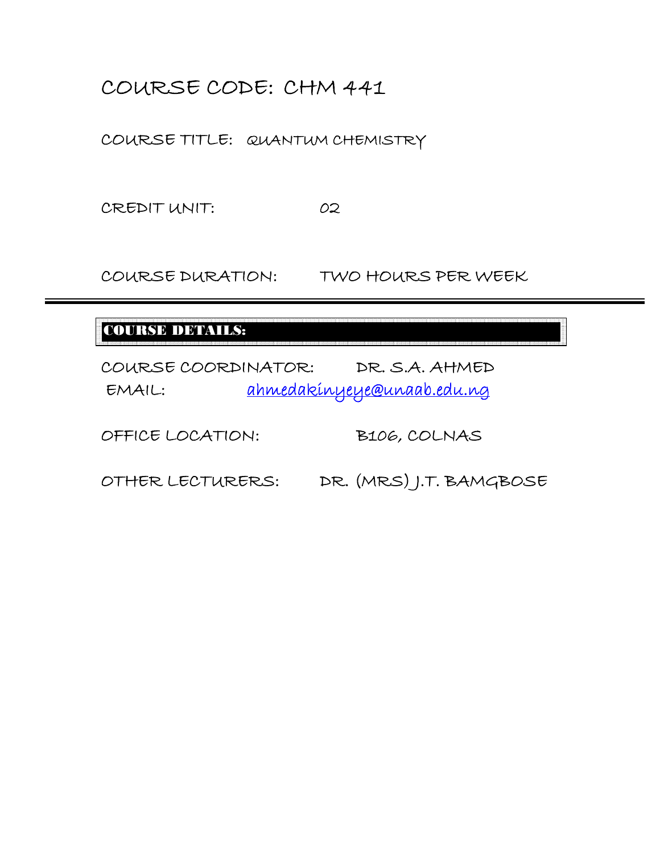# COURSE CODE: CHM 441

COURSE TITLE: QUANTUM CHEMISTRY

CREDIT UNIT: 02

COURSE DURATION: TWO HOURS PER WEEK

#### ï ļ. COURSE DETAILS:

i

COURSE COORDINATOR: DR. S.A. AHMED EMAIL: ahmedakinyeye@unaab.edu.ng

OFFICE LOCATION: B106, COLNAS

OTHER LECTURERS: DR. (MRS) J.T. BAMGBOSE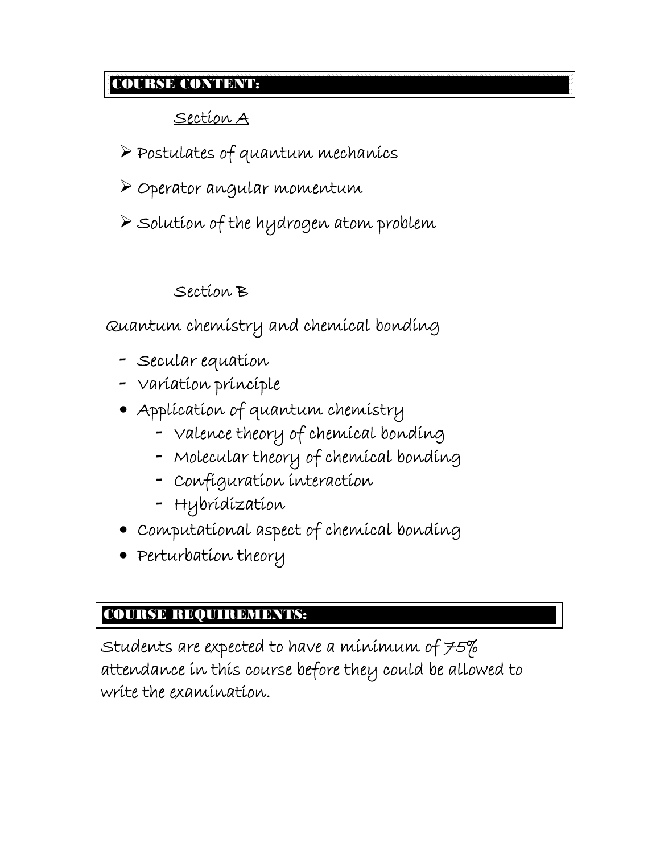### COURSE CONTENT:

 $\frac{1}{2}$ 

## Section A

- $\triangleright$  Postulates of quantum mechanics
- ¾ Operator angular momentum
- ¾ Solution of the hydrogen atom problem

# Section B

Quantum chemistry and chemical bonding

- Secular equation
- Variation principle
- Application of quantum chemistry
	- Valence theory of chemical bonding
	- Molecular theory of chemical bonding
	- Configuration interaction
	- Hybridization
- Computational aspect of chemical bonding
- Perturbation theory

# $\overline{1}$ COURSE REQUIREMENTS:

Students are expected to have a minimum of  $75\%$ attendance in this course before they could be allowed to write the examination.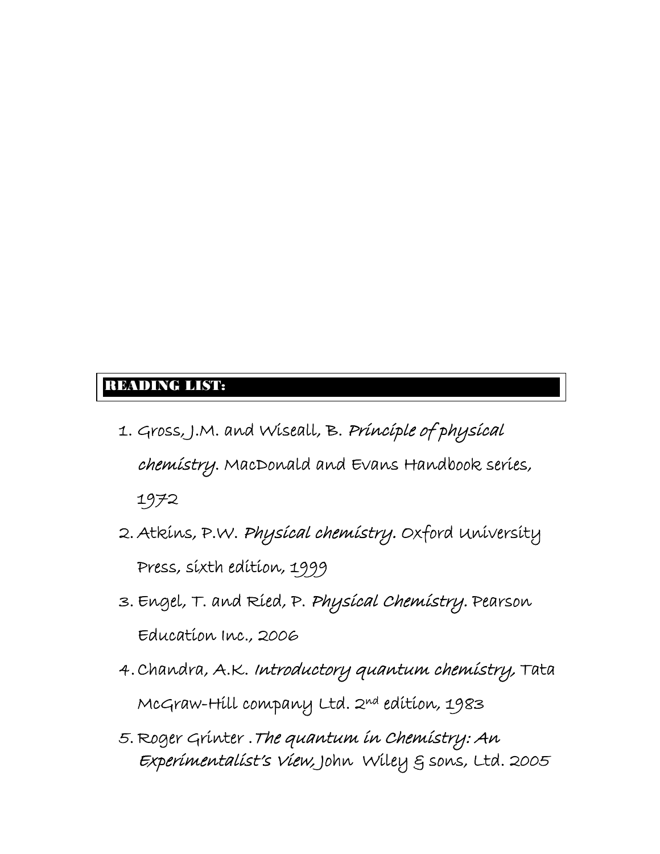# READING LIST:

 $\overline{\phantom{a}}$ 

- 1. Gross, J.M. and Wiseall, B. Principle of physical chemistry. MacDonald and Evans Handbook series, 1972
- 2. Atkins, P.W. Physical chemistry. Oxford University Press, sixth edition, 1999
- 3. Engel, T. and Ried, P. Physical Chemistry. Pearson Education Inc., 2006
- 4.Chandra, A.K. Introductory quantum chemistry, Tata McGraw-Hill company Ltd. 2nd edition, 1983
- 5. Roger Grinter .The quantum in Chemistry: An Experimentalist's View, John Wiley & sons, Ltd. 2005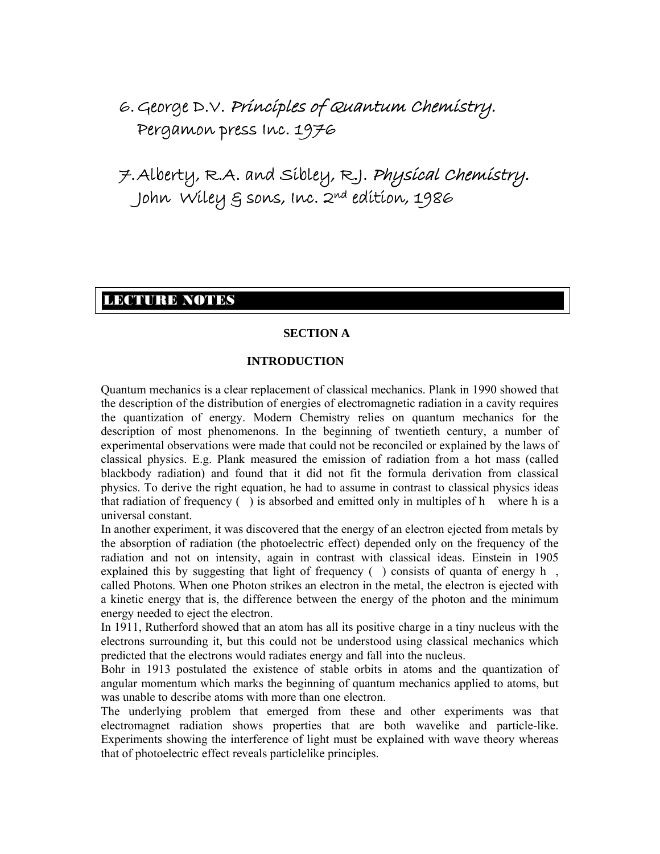6.George D.V. Principles of Quantum Chemistry. Pergamon press Inc. 1976

7.Alberty, R.A. and Sibley, R.J. Physical Chemistry. John Wiley & sons, Inc. 2nd edition, 1986

### LECTURE NOTES

#### **SECTION A**

#### **INTRODUCTION**

Quantum mechanics is a clear replacement of classical mechanics. Plank in 1990 showed that the description of the distribution of energies of electromagnetic radiation in a cavity requires the quantization of energy. Modern Chemistry relies on quantum mechanics for the description of most phenomenons. In the beginning of twentieth century, a number of experimental observations were made that could not be reconciled or explained by the laws of classical physics. E.g. Plank measured the emission of radiation from a hot mass (called blackbody radiation) and found that it did not fit the formula derivation from classical physics. To derive the right equation, he had to assume in contrast to classical physics ideas that radiation of frequency () is absorbed and emitted only in multiples of h where h is a universal constant.

In another experiment, it was discovered that the energy of an electron ejected from metals by the absorption of radiation (the photoelectric effect) depended only on the frequency of the radiation and not on intensity, again in contrast with classical ideas. Einstein in 1905 explained this by suggesting that light of frequency  $($  ) consists of quanta of energy h, called Photons. When one Photon strikes an electron in the metal, the electron is ejected with a kinetic energy that is, the difference between the energy of the photon and the minimum energy needed to eject the electron.

In 1911, Rutherford showed that an atom has all its positive charge in a tiny nucleus with the electrons surrounding it, but this could not be understood using classical mechanics which predicted that the electrons would radiates energy and fall into the nucleus.

Bohr in 1913 postulated the existence of stable orbits in atoms and the quantization of angular momentum which marks the beginning of quantum mechanics applied to atoms, but was unable to describe atoms with more than one electron.

The underlying problem that emerged from these and other experiments was that electromagnet radiation shows properties that are both wavelike and particle-like. Experiments showing the interference of light must be explained with wave theory whereas that of photoelectric effect reveals particlelike principles.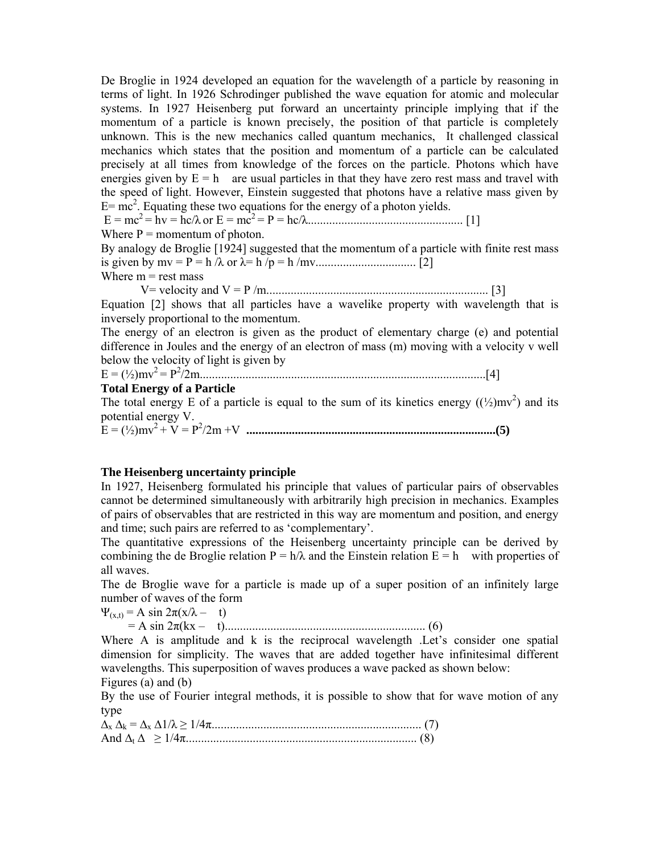De Broglie in 1924 developed an equation for the wavelength of a particle by reasoning in terms of light. In 1926 Schrodinger published the wave equation for atomic and molecular systems. In 1927 Heisenberg put forward an uncertainty principle implying that if the momentum of a particle is known precisely, the position of that particle is completely unknown. This is the new mechanics called quantum mechanics, It challenged classical mechanics which states that the position and momentum of a particle can be calculated precisely at all times from knowledge of the forces on the particle. Photons which have energies given by  $E = h$  are usual particles in that they have zero rest mass and travel with the speed of light. However, Einstein suggested that photons have a relative mass given by  $E= mc<sup>2</sup>$ . Equating these two equations for the energy of a photon yields. E = mc2 = hv = hc/λ or E = mc2 = P = hc/λ................................................... [1] Where  $P =$  momentum of photon. By analogy de Broglie [1924] suggested that the momentum of a particle with finite rest mass is given by mv = P = h /λ or λ= h /p = h /mv................................. [2] Where  $m = rest$  mass V= velocity and V = P /m......................................................................... [3] Equation [2] shows that all particles have a wavelike property with wavelength that is inversely proportional to the momentum. The energy of an electron is given as the product of elementary charge (e) and potential difference in Joules and the energy of an electron of mass (m) moving with a velocity v well below the velocity of light is given by E = (½)mv2 = P2 /2m..............................................................................................[4] **Total Energy of a Particle**  The total energy E of a particle is equal to the sum of its kinetics energy  $((\frac{1}{2})mv^2)$  and its

potential energy V.

E = (½)mv2 + V = P2 /2m +V **..................................................................................(5)** 

#### **The Heisenberg uncertainty principle**

In 1927, Heisenberg formulated his principle that values of particular pairs of observables cannot be determined simultaneously with arbitrarily high precision in mechanics. Examples of pairs of observables that are restricted in this way are momentum and position, and energy and time; such pairs are referred to as 'complementary'.

The quantitative expressions of the Heisenberg uncertainty principle can be derived by combining the de Broglie relation  $P = h/\lambda$  and the Einstein relation  $E = h$  with properties of all waves.

The de Broglie wave for a particle is made up of a super position of an infinitely large number of waves of the form

 $\Psi_{(x,t)} = A \sin 2\pi (x/\lambda - t)$ 

= A sin 2π(kx – t).................................................................. (6)

Where A is amplitude and k is the reciprocal wavelength .Let's consider one spatial dimension for simplicity. The waves that are added together have infinitesimal different wavelengths. This superposition of waves produces a wave packed as shown below:

Figures (a) and (b)

By the use of Fourier integral methods, it is possible to show that for wave motion of any type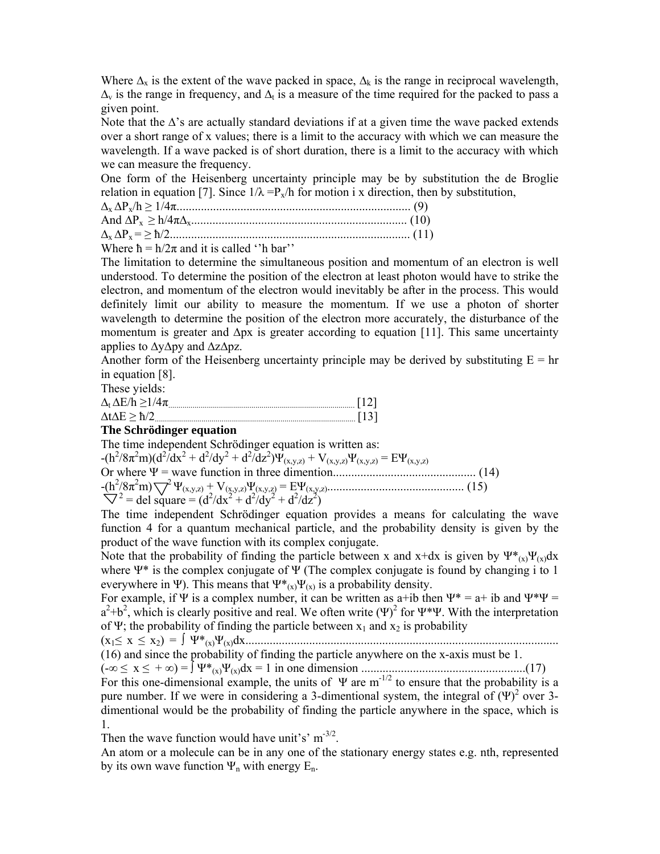Where  $\Delta_x$  is the extent of the wave packed in space,  $\Delta_k$  is the range in reciprocal wavelength,  $\Delta_{\rm v}$  is the range in frequency, and  $\Delta_{\rm t}$  is a measure of the time required for the packed to pass a given point.

Note that the  $\Delta$ 's are actually standard deviations if at a given time the wave packed extends over a short range of x values; there is a limit to the accuracy with which we can measure the wavelength. If a wave packed is of short duration, there is a limit to the accuracy with which we can measure the frequency.

One form of the Heisenberg uncertainty principle may be by substitution the de Broglie relation in equation [7]. Since  $1/\lambda = P_x/h$  for motion i x direction, then by substitution,

∆x ∆Px/h ≥ 1/4π............................................................................. (9) And ∆Px ≥ h/4π∆x....................................................................... (10) ∆x ∆Px = ≥ ħ/2............................................................................... (11)

Where  $\hbar = h/2\pi$  and it is called ''h bar''

The limitation to determine the simultaneous position and momentum of an electron is well understood. To determine the position of the electron at least photon would have to strike the electron, and momentum of the electron would inevitably be after in the process. This would definitely limit our ability to measure the momentum. If we use a photon of shorter wavelength to determine the position of the electron more accurately, the disturbance of the momentum is greater and ∆px is greater according to equation [11]. This same uncertainty applies to ∆y∆py and ∆z∆pz.

Another form of the Heisenberg uncertainty principle may be derived by substituting  $E = hr$ in equation [8].

These yields:

| $\Delta_t \Delta E/h \geq 1/4\pi$ |  |
|-----------------------------------|--|
| $\Lambda$ t $\Lambda$ E $>$ ħ/2   |  |

#### **The Schrödinger equation**

The time independent Schrödinger equation is written as:

 $-(h^2/8\pi^2 m)(d^2/dx^2 + d^2/dy^2 + d^2/dz^2)\Psi_{(x,y,z)} + V_{(x,y,z)}\Psi_{(x,y,z)} = E\Psi_{(x,y,z)}$ 

Or where Ψ = wave function in three dimention............................................... (14) -(h2 /8π 2 m) <sup>2</sup>Ψ(x,y,z) + V(x,y,z)Ψ(x,y,z) = EΨ(x,y,z)............................................. (15)

 $\vec{\nabla}^2$  = del square =  $(d^2/dx^2 + d^2/dy^2 + d^2/dz^2)$ 

The time independent Schrödinger equation provides a means for calculating the wave function 4 for a quantum mechanical particle, and the probability density is given by the product of the wave function with its complex conjugate.

Note that the probability of finding the particle between x and x+dx is given by  $\Psi^*_{(x)}\Psi_{(x)}dx$ where  $\Psi^*$  is the complex conjugate of  $\Psi$  (The complex conjugate is found by changing i to 1 everywhere in Ψ). This means that  $\Psi^*_{(x)}\Psi_{(x)}$  is a probability density.

For example, if  $\Psi$  is a complex number, it can be written as a+ib then  $\Psi^* = a + ib$  and  $\Psi^* \Psi =$  $a^2+b^2$ , which is clearly positive and real. We often write (Ψ)<sup>2</sup> for Ψ\*Ψ. With the interpretation of Ψ; the probability of finding the particle between  $x_1$  and  $x_2$  is probability

(x1≤ x ≤ x2) = ∫ Ψ\*(x)Ψ(x)dx....................................................................................................... (16) and since the probability of finding the particle anywhere on the x-axis must be 1.

(-∞ ≤ x ≤ + ∞) = ∫ Ψ\*(x)Ψ(x)dx = 1 in one dimension ......................................................(17)

For this one-dimensional example, the units of  $\Psi$  are m<sup>-1/2</sup> to ensure that the probability is a pure number. If we were in considering a 3-dimentional system, the integral of  $(\Psi)^2$  over 3dimentional would be the probability of finding the particle anywhere in the space, which is 1.

Then the wave function would have unit's'  $m^{-3/2}$ .

An atom or a molecule can be in any one of the stationary energy states e.g. nth, represented by its own wave function  $\Psi_n$  with energy  $E_n$ .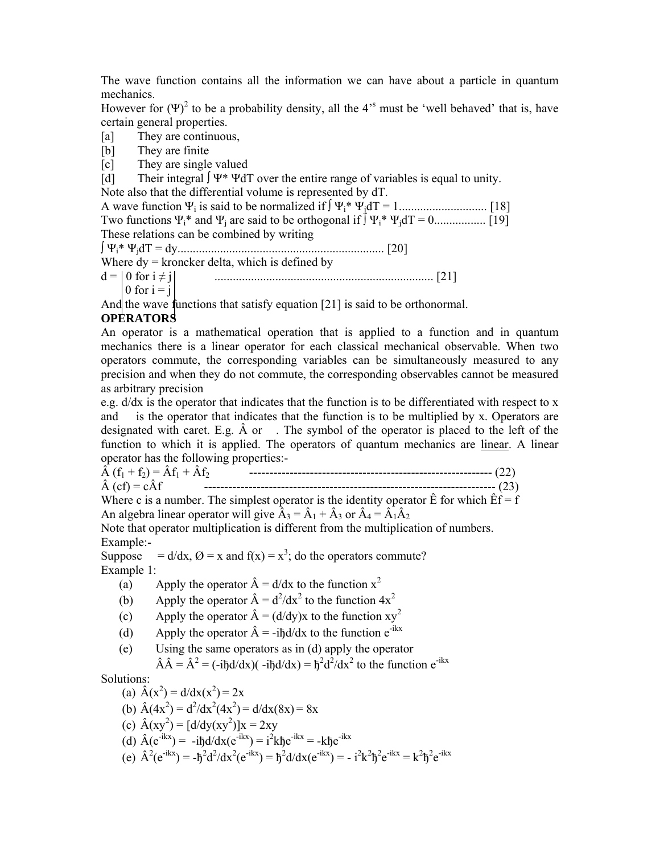The wave function contains all the information we can have about a particle in quantum mechanics.

However for  $(\Psi)^2$  to be a probability density, all the 4<sup>38</sup> must be 'well behaved' that is, have certain general properties.

[a] They are continuous,

[b] They are finite

[c] They are single valued

[d] Their integral ∫ Ψ\* ΨdT over the entire range of variables is equal to unity.

Note also that the differential volume is represented by dT.

A wave function Ψi is said to be normalized if ∫ Ψi\* ΨjdT = 1............................. [18] Two functions Ψi\* and Ψj are said to be orthogonal if ∫ Ψi\* ΨjdT = 0................. [19] These relations can be combined by writing

∫ Ψi\* ΨjdT = dy.................................................................... [20]

Where  $dy =$  kroncker delta, which is defined by

d = 0 for i ≠ j ........................................................................ [21]

0 for  $i = j$ 

And the wave functions that satisfy equation [21] is said to be orthonormal.

### **OPERATORS**

An operator is a mathematical operation that is applied to a function and in quantum mechanics there is a linear operator for each classical mechanical observable. When two operators commute, the corresponding variables can be simultaneously measured to any precision and when they do not commute, the corresponding observables cannot be measured as arbitrary precision

e.g. d/dx is the operator that indicates that the function is to be differentiated with respect to x and is the operator that indicates that the function is to be multiplied by x. Operators are designated with caret. E.g. Â or . The symbol of the operator is placed to the left of the function to which it is applied. The operators of quantum mechanics are linear. A linear operator has the following properties:-

 (f1 + f2) = Âf1 + Âf2 ------------------------------------------------------------ (22) (cf) = cÂf ------------------------------------------------------------------------ (23)

Where c is a number. The simplest operator is the identity operator  $\hat{E}$  for which  $\hat{E}f = f$ An algebra linear operator will give  $\hat{A}_3 = \hat{A}_1 + \hat{A}_3$  or  $\hat{A}_4 = \hat{A}_1 \hat{A}_2$ 

Note that operator multiplication is different from the multiplication of numbers. Example:-

Suppose =  $d/dx$ ,  $\varnothing = x$  and  $f(x) = x^3$ ; do the operators commute? Example 1:

- (a) Apply the operator  $\hat{A} = d/dx$  to the function  $x^2$
- (b) Apply the operator  $\hat{A} = d^2/dx^2$  to the function  $4x^2$
- (c) Apply the operator  $\hat{A} = (d/dy)x$  to the function  $xy^2$
- (d) Apply the operator  $\hat{A} = -i\hbar d/dx$  to the function  $e^{-ikx}$
- (e) Using the same operators as in (d) apply the operator

$$
\hat{A}\hat{A} = \hat{A}^2 = (-i\hbar \text{d}/\text{dx})(-i\hbar \text{d}/\text{dx}) = \hbar^2 \text{d}^2/\text{dx}^2
$$
 to the function  $e^{-ikx}$ 

Solutions:

(a)  $\hat{A}(x^2) = d/dx(x^2) = 2x$ (b)  $\hat{A}(4x^2) = d^2/dx^2(4x^2) = d/dx(8x) = 8x$ (c)  $\hat{A}(xy^2) = [d/dy(xy^2)]x = 2xy$ (d)  $\hat{A}(e^{-ikx}) = -i\hbar d/dx(e^{-ikx}) = i^2k\hbar e^{-ikx} = -k\hbar e^{-ikx}$ (e)  $\hat{A}^2(e^{ikx}) = -\hbar^2 d^2/dx^2(e^{-ikx}) = \hbar^2 d/dx(e^{-ikx}) = -i^2k^2\hbar^2 e^{-ikx} = k^2\hbar^2 e^{-ikx}$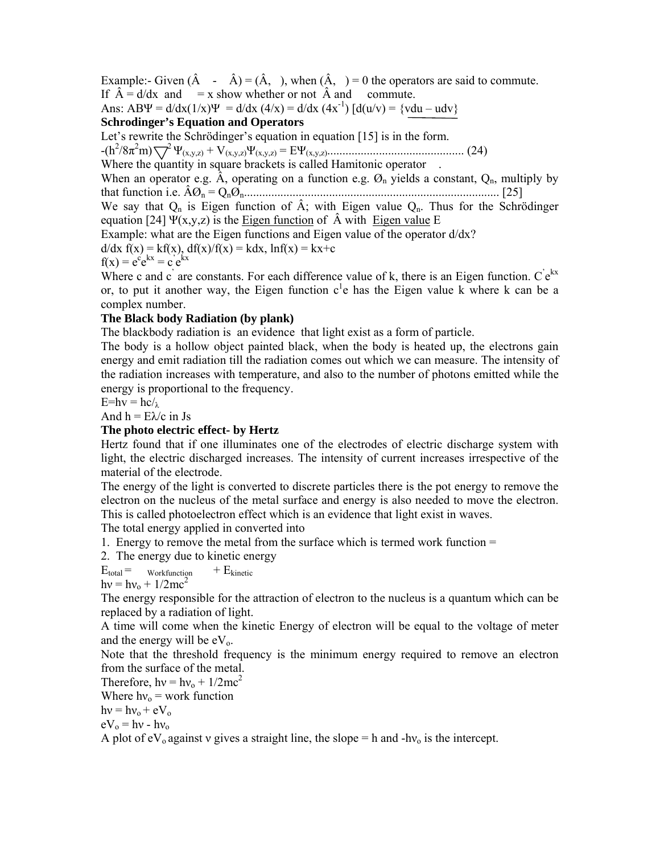Example:- Given  $(\hat{A} - \hat{A}) = (\hat{A},),$  when  $(\hat{A},) = 0$  the operators are said to commute. If  $\hat{A} = d/dx$  and  $= x$  show whether or not  $\hat{A}$  and commute. Ans:  $AB\Psi = d/dx(1/x)\Psi = d/dx(4/x) = d/dx(4x^{-1}) \left[ d(u/v) = \{vdu - udv\} \right]$ **Schrodinger's Equation and Operators**  Let's rewrite the Schrödinger's equation in equation [15] is in the form. -(h2 /8π 2 m) <sup>2</sup>Ψ(x,y,z) + V(x,y,z)Ψ(x,y,z) = EΨ(x,y,z)............................................. (24) Where the quantity in square brackets is called Hamitonic operator . When an operator e.g.  $\hat{A}$ , operating on a function e.g.  $\mathcal{O}_n$  yields a constant,  $Q_n$ , multiply by that function i.e. ÂØn = QnØn.................................................................................... [25] We say that  $Q_n$  is Eigen function of  $\hat{A}$ ; with Eigen value  $Q_n$ . Thus for the Schrödinger equation [24] Ψ(x,y,z) is the Eigen function of  $\hat{A}$  with Eigen value E Example: what are the Eigen functions and Eigen value of the operator d/dx?  $d/dx f(x) = kf(x), df(x)/f(x) = kdx, lnf(x) = kx+c$  $f(x) = e^{\dot{c}}e^{kx} = c^{\dot{c}}e^{kx}$ Where c and c are constants. For each difference value of k, there is an Eigen function.  $\vec{C}e^{kx}$ 

or, to put it another way, the Eigen function  $c^1$ e has the Eigen value k where k can be a complex number.

#### **The Black body Radiation (by plank)**

The blackbody radiation is an evidence that light exist as a form of particle.

The body is a hollow object painted black, when the body is heated up, the electrons gain energy and emit radiation till the radiation comes out which we can measure. The intensity of the radiation increases with temperature, and also to the number of photons emitted while the energy is proportional to the frequency.

 $E=hv = hc/\lambda$ 

And  $h = E\lambda/c$  in Js

#### **The photo electric effect- by Hertz**

Hertz found that if one illuminates one of the electrodes of electric discharge system with light, the electric discharged increases. The intensity of current increases irrespective of the material of the electrode.

The energy of the light is converted to discrete particles there is the pot energy to remove the electron on the nucleus of the metal surface and energy is also needed to move the electron. This is called photoelectron effect which is an evidence that light exist in waves.

The total energy applied in converted into

1. Energy to remove the metal from the surface which is termed work function =

2. The energy due to kinetic energy

 $E_{total}$  = Workfunction +  $E_{kinetic}$  $hv = hv_0 + 1/2mc^2$ 

The energy responsible for the attraction of electron to the nucleus is a quantum which can be replaced by a radiation of light.

A time will come when the kinetic Energy of electron will be equal to the voltage of meter and the energy will be  $eV_0$ .

Note that the threshold frequency is the minimum energy required to remove an electron from the surface of the metal.

Therefore,  $hv = hv_0 + 1/2mc^2$ 

Where  $hv_0 = work$  function

 $hv = hv_0 + eV_0$ 

 $eV_0 = hv - hv_0$ 

A plot of  $eV_0$  against v gives a straight line, the slope = h and -h $v_0$  is the intercept.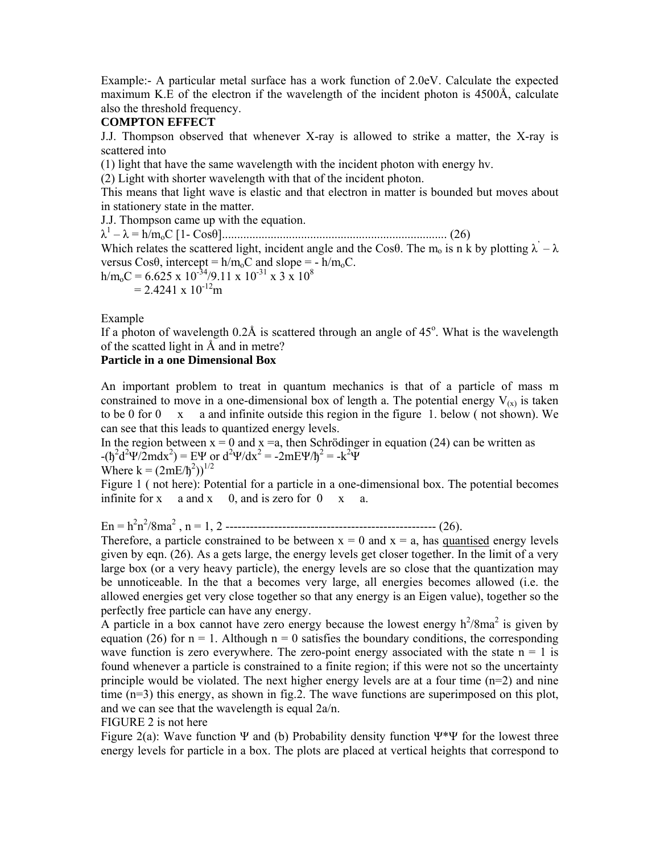Example:- A particular metal surface has a work function of 2.0eV. Calculate the expected maximum K.E of the electron if the wavelength of the incident photon is 4500Å, calculate also the threshold frequency.

#### **COMPTON EFFECT**

J.J. Thompson observed that whenever X-ray is allowed to strike a matter, the X-ray is scattered into

(1) light that have the same wavelength with the incident photon with energy hv.

(2) Light with shorter wavelength with that of the incident photon.

This means that light wave is elastic and that electron in matter is bounded but moves about in stationery state in the matter.

J.J. Thompson came up with the equation.

λ1 – λ = h/moC [1- Cosθ].......................................................................... (26)

Which relates the scattered light, incident angle and the Cos $\theta$ . The m<sub>o</sub> is n k by plotting  $\lambda - \lambda$ versus  $Cos\theta$ , intercept = h/m<sub>o</sub>C and slope = - h/m<sub>o</sub>C.

 $h/m_0C = 6.625 \times 10^{-34}/9.11 \times 10^{-31} \times 3 \times 10^8$  $= 2.4241 \times 10^{-12}$ m

Example

If a photon of wavelength  $0.2\text{\AA}$  is scattered through an angle of 45 $^{\circ}$ . What is the wavelength of the scatted light in Å and in metre?

#### **Particle in a one Dimensional Box**

An important problem to treat in quantum mechanics is that of a particle of mass m constrained to move in a one-dimensional box of length a. The potential energy  $V(x)$  is taken to be 0 for  $0 \times x$  a and infinite outside this region in the figure 1. below (not shown). We can see that this leads to quantized energy levels.

In the region between  $x = 0$  and  $x = a$ , then Schrödinger in equation (24) can be written as  $-(\frac{\hbar^2 d^2 \Psi}{2m}dx^2) = E \Psi$  or  $d^2 \Psi/dx^2 = -2mE \Psi/\hbar^2 = -k^2 \Psi$ 

Where  $k = (2mE/\hbar^2)^{1/2}$ 

Figure 1 ( not here): Potential for a particle in a one-dimensional box. The potential becomes infinite for  $x = a$  and  $x = 0$ , and is zero for  $0 \times x = a$ .

En = h2 n2 /8ma<sup>2</sup> , n = 1, 2 ---------------------------------------------------- (26).

Therefore, a particle constrained to be between  $x = 0$  and  $x = a$ , has quantised energy levels given by eqn. (26). As a gets large, the energy levels get closer together. In the limit of a very large box (or a very heavy particle), the energy levels are so close that the quantization may be unnoticeable. In the that a becomes very large, all energies becomes allowed (i.e. the allowed energies get very close together so that any energy is an Eigen value), together so the perfectly free particle can have any energy.

A particle in a box cannot have zero energy because the lowest energy  $h^2/8ma^2$  is given by equation (26) for  $n = 1$ . Although  $n = 0$  satisfies the boundary conditions, the corresponding wave function is zero everywhere. The zero-point energy associated with the state  $n = 1$  is found whenever a particle is constrained to a finite region; if this were not so the uncertainty principle would be violated. The next higher energy levels are at a four time  $(n=2)$  and nine time (n=3) this energy, as shown in fig.2. The wave functions are superimposed on this plot, and we can see that the wavelength is equal 2a/n.

FIGURE 2 is not here

Figure 2(a): Wave function Ψ and (b) Probability density function  $\Psi^*\Psi$  for the lowest three energy levels for particle in a box. The plots are placed at vertical heights that correspond to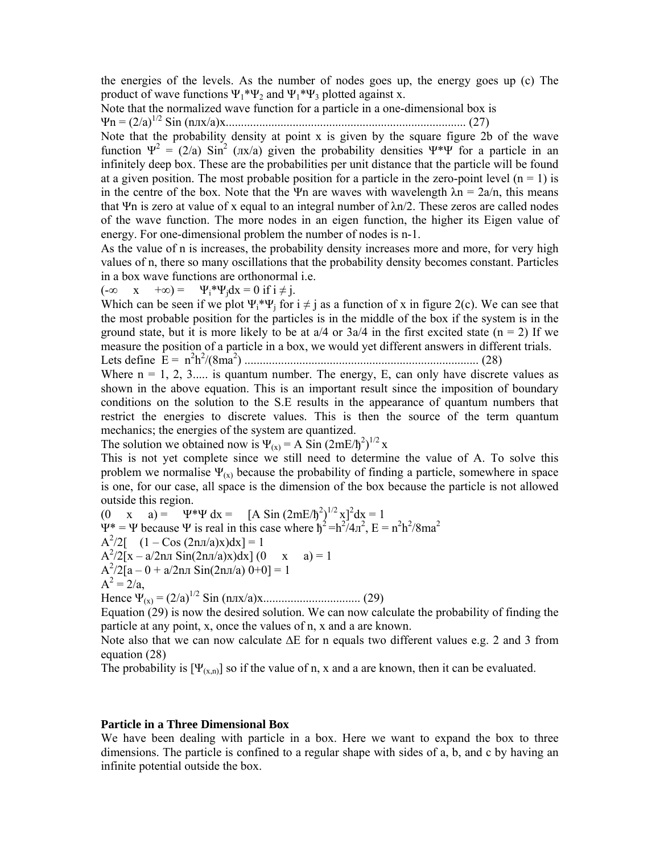the energies of the levels. As the number of nodes goes up, the energy goes up (c) The product of wave functions  $\Psi_1^* \Psi_2$  and  $\Psi_1^* \Psi_3$  plotted against x.

Note that the normalized wave function for a particle in a one-dimensional box is

Ψn = (2/a)1/2 Sin (nлx/a)x............................................................................... (27)

Note that the probability density at point x is given by the square figure 2b of the wave function  $\Psi^2 = (2/a)$  Sin<sup>2</sup> (πx/a) given the probability densities  $\Psi^* \Psi$  for a particle in an infinitely deep box. These are the probabilities per unit distance that the particle will be found at a given position. The most probable position for a particle in the zero-point level  $(n = 1)$  is in the centre of the box. Note that the Ψn are waves with wavelength  $\lambda$ n = 2a/n, this means that Ψn is zero at value of x equal to an integral number of  $\lambda n/2$ . These zeros are called nodes of the wave function. The more nodes in an eigen function, the higher its Eigen value of energy. For one-dimensional problem the number of nodes is n-1.

As the value of n is increases, the probability density increases more and more, for very high values of n, there so many oscillations that the probability density becomes constant. Particles in a box wave functions are orthonormal i.e.

 $(-\infty \quad x \quad +\infty) = \quad \Psi_i^* \Psi_i dx = 0 \text{ if } i \neq j.$ 

Which can be seen if we plot  $\Psi_i^* \Psi_i$  for  $i \neq j$  as a function of x in figure 2(c). We can see that the most probable position for the particles is in the middle of the box if the system is in the ground state, but it is more likely to be at  $a/4$  or  $3a/4$  in the first excited state (n = 2) If we measure the position of a particle in a box, we would yet different answers in different trials.

Lets define E = n<sup>2</sup> h2 /(8ma<sup>2</sup> ) ............................................................................. (28)

Where  $n = 1, 2, 3,...$  is quantum number. The energy, E, can only have discrete values as shown in the above equation. This is an important result since the imposition of boundary conditions on the solution to the S.E results in the appearance of quantum numbers that restrict the energies to discrete values. This is then the source of the term quantum mechanics; the energies of the system are quantized.

The solution we obtained now is  $\Psi(x) = A \sin((2mE/\hbar^2))^{1/2} x$ 

This is not yet complete since we still need to determine the value of A. To solve this problem we normalise  $\Psi_{(x)}$  because the probability of finding a particle, somewhere in space is one, for our case, all space is the dimension of the box because the particle is not allowed outside this region.

(0 x a) =  $\Psi^* \Psi \ dx = [A \sin (2mE/\hbar^2)^{1/2} x]^2 dx = 1$  $\Psi^* = \Psi$  because  $\Psi$  is real in this case where  $\hbar^2 = h^2/4\pi^2$ ,  $E = n^2h^2/8ma^2$  $A^2/2[$   $(1 - \cos(2n\pi/a)x)dx] = 1$  $A^2/2[x - a/2n\pi \sin(2n\pi/a)x)dx]$  (0 x a) = 1  $A^2/2[a-0 + a/2n\pi \sin(2n\pi/a) 0+0] = 1$  $A^2 = 2/a$ ,

Hence Ψ(x) = (2/a)1/2 Sin (nлx/a)x................................ (29)

Equation (29) is now the desired solution. We can now calculate the probability of finding the particle at any point, x, once the values of n, x and a are known.

Note also that we can now calculate ∆E for n equals two different values e.g. 2 and 3 from equation (28)

The probability is  $[\Psi_{(x,n)}]$  so if the value of n, x and a are known, then it can be evaluated.

#### **Particle in a Three Dimensional Box**

We have been dealing with particle in a box. Here we want to expand the box to three dimensions. The particle is confined to a regular shape with sides of a, b, and c by having an infinite potential outside the box.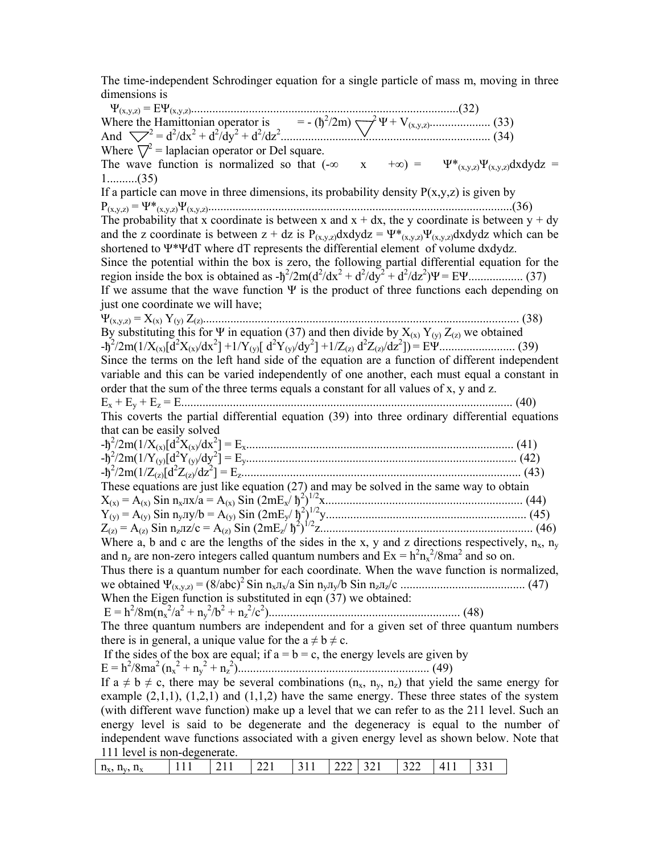The time-independent Schrodinger equation for a single particle of mass m, moving in three dimensions is

Ψ(x,y,z) = EΨ(x,y,z)........................................................................................(32) Where the Hamittonian operator is = - (ђ<sup>2</sup> /2m) <sup>2</sup>Ψ + V(x,y,z).................... (33) And <sup>2</sup> = d<sup>2</sup> /dx<sup>2</sup> + d2 /dy<sup>2</sup> + d2 /dz<sup>2</sup> ..................................................................... (34) Where  $\overline{\vee}^2$  = laplacian operator or Del square. The wave function is normalized so that  $(-\infty \times x +\infty) = \Psi^*_{(x,y,z)}\Psi_{(x,y,z)}dxdydz =$ 1..........(35) If a particle can move in three dimensions, its probability density  $P(x,y,z)$  is given by P(x,y,z) = Ψ\*(x,y,z)Ψ(x,y,z)....................................................................................................(36) The probability that x coordinate is between x and  $x + dx$ , the y coordinate is between  $y + dy$ and the z coordinate is between  $z + dz$  is  $P_{(x,y,z)}dxdydz = \Psi^*_{(x,y,z)}\Psi_{(x,y,z)}dxdydz$  which can be shortened to Ψ\*ΨdT where dT represents the differential element of volume dxdydz. Since the potential within the box is zero, the following partial differential equation for the region inside the box is obtained as -ђ<sup>2</sup> /2m(d2 /dx<sup>2</sup> + d<sup>2</sup> /dy<sup>2</sup> + d2 /dz2 )Ψ = EΨ.................. (37) If we assume that the wave function  $\Psi$  is the product of three functions each depending on just one coordinate we will have; Ψ(x,y,z) = X(x) Y(y) Z(z)........................................................................................................ (38) By substituting this for Ψ in equation (37) and then divide by  $X_{(x)} Y_{(y)} Z_{(z)}$  we obtained -ђ2 /2m(1/X(x)[d2 X(x)/dx2 ] +1/Y(y)[ d2 Y(y)/dy<sup>2</sup> ] +1/Z(z) d2 Z(z)/dz2 ]) = EΨ......................... (39) Since the terms on the left hand side of the equation are a function of different independent variable and this can be varied independently of one another, each must equal a constant in order that the sum of the three terms equals a constant for all values of x, y and z. Ex + Ey + Ez = E............................................................................................................. (40) This coverts the partial differential equation (39) into three ordinary differential equations that can be easily solved -ђ2 /2m(1/X(x)[d2 X(x)/dx2 ] = Ex........................................................................................ (41) -ђ2 /2m(1/Y(y)[d2 Y(y)/dy<sup>2</sup> ] = Ey......................................................................................... (42) -ђ2 /2m(1/Z(z)[d2 Z(z)/dz2 ] = Ez............................................................................................ (43) These equations are just like equation (27) and may be solved in the same way to obtain X(x) = A(x) Sin nxлx/a = A(x) Sin (2mEx/ ђ<sup>2</sup> ) 1/2x................................................................. (44) Y(y) = A(y) Sin nyлy/b = A(y) Sin (2mEy/ ђ<sup>2</sup> ) 1/2y.................................................................. (45) Z(z) = A(z) Sin nzлz/c = A(z) Sin (2mEz/ ђ<sup>2</sup> ) 1/2z...................................................................... (46) Where a, b and c are the lengths of the sides in the x, y and z directions respectively,  $n_x$ ,  $n_y$ and  $n_z$  are non-zero integers called quantum numbers and  $Ex = h^2 n_x^2/8ma^2$  and so on. Thus there is a quantum number for each coordinate. When the wave function is normalized, we obtained Ψ(x,y,z) = (8/abc)2 Sin nxлx/a Sin nyлy/b Sin nzлz/c ......................................... (47) When the Eigen function is substituted in eqn  $(37)$  we obtained: E = h2 /8m(nx 2 /a2 + ny 2 /b2 + nz 2 /c2 )............................................................... (48) The three quantum numbers are independent and for a given set of three quantum numbers there is in general, a unique value for the  $a \neq b \neq c$ . If the sides of the box are equal; if  $a = b = c$ , the energy levels are given by E = h2 /8ma2 (nx 2 + ny 2 + nz 2 )............................................................... (49) If  $a \neq b \neq c$ , there may be several combinations  $(n_x, n_y, n_z)$  that yield the same energy for example  $(2,1,1)$ ,  $(1,2,1)$  and  $(1,1,2)$  have the same energy. These three states of the system (with different wave function) make up a level that we can refer to as the 211 level. Such an energy level is said to be degenerate and the degeneracy is equal to the number of independent wave functions associated with a given energy level as shown below. Note that 111 level is non-degenerate.  $n_x$ ,  $n_y$ ,  $n_x$  | 111 | 211 | 221 | 311 | 222 | 321 | 322 | 411 | 331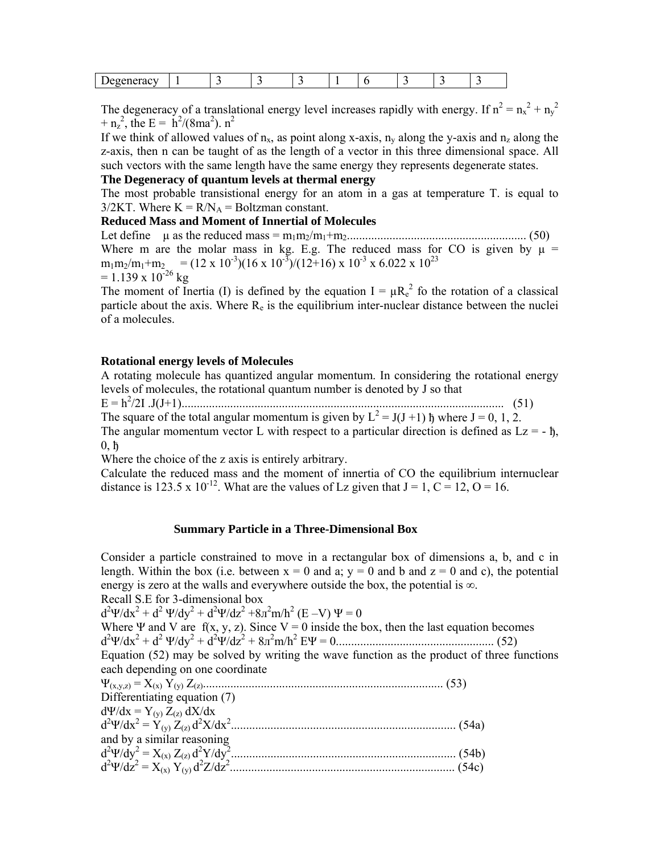|--|--|--|--|--|--|--|--|--|--|--|

The degeneracy of a translational energy level increases rapidly with energy. If  $n^2 = n_x^2 + n_y^2$ +  $n_z^2$ , the E =  $\frac{h^2}{(8ma^2)}$ .  $n^2$ 

If we think of allowed values of  $n_x$ , as point along x-axis,  $n_y$  along the y-axis and  $n_z$  along the z-axis, then n can be taught of as the length of a vector in this three dimensional space. All such vectors with the same length have the same energy they represents degenerate states.

#### **The Degeneracy of quantum levels at thermal energy**

The most probable transistional energy for an atom in a gas at temperature T. is equal to  $3/2KT$ . Where  $K = R/N_A = Boltzman$  constant.

#### **Reduced Mass and Moment of Innertial of Molecules**

Let define µ as the reduced mass = m1m2/m1+m2........................................................... (50) Where m are the molar mass in kg. E.g. The reduced mass for CO is given by  $\mu$  =  $m_1m_2/m_1+m_2 = (12 \times 10^{-3})(16 \times 10^{-3})/(12+16) \times 10^{-3} \times 6.022 \times 10^{23}$  $= 1.139 \times 10^{-26} \text{ kg}$ 

The moment of Inertia (I) is defined by the equation  $I = \mu R_e^2$  fo the rotation of a classical particle about the axis. Where  $R_e$  is the equilibrium inter-nuclear distance between the nuclei of a molecules.

#### **Rotational energy levels of Molecules**

A rotating molecule has quantized angular momentum. In considering the rotational energy levels of molecules, the rotational quantum number is denoted by J so that

E = h2 /2I .J(J+1).......................................................................................................... (51)

The square of the total angular momentum is given by  $L^2 = J(J+1)$  fi where  $J = 0, 1, 2$ . The angular momentum vector L with respect to a particular direction is defined as  $Lz = -\hbar$ ,  $0, \hbar$ 

Where the choice of the z axis is entirely arbitrary.

Calculate the reduced mass and the moment of innertia of CO the equilibrium internuclear distance is 123.5 x 10<sup>-12</sup>. What are the values of Lz given that  $J = 1$ ,  $C = 12$ ,  $O = 16$ .

#### **Summary Particle in a Three-Dimensional Box**

Consider a particle constrained to move in a rectangular box of dimensions a, b, and c in length. Within the box (i.e. between  $x = 0$  and a;  $y = 0$  and b and  $z = 0$  and c), the potential energy is zero at the walls and everywhere outside the box, the potential is  $\infty$ . Recall S.E for 3-dimensional box  $d^2\Psi/dx^2 + d^2\Psi/dy^2 + d^2\Psi/dz^2 + 8\pi^2m/h^2$  (E –V)  $\Psi = 0$ Where Ψ and V are  $f(x, y, z)$ . Since  $V = 0$  inside the box, then the last equation becomes d2 Ψ/dx2 + d<sup>2</sup> Ψ/dy<sup>2</sup> + d2 Ψ/dz2 + 8л 2 m/h2 EΨ = 0.................................................... (52) Equation (52) may be solved by writing the wave function as the product of three functions each depending on one coordinate Ψ(x,y,z) = X(x) Y(y) Z(z)............................................................................... (53) Differentiating equation (7)  $d\Psi/dx = Y_{(y)} Z_{(z)} dX/dx$ d2 Ψ/dx2 = Y(y) Z(z) d2 X/dx<sup>2</sup> .......................................................................... (54a) and by a similar reasoning d2 Ψ/dy<sup>2</sup> = X(x) Z(z) d2 Y/dy<sup>2</sup> .......................................................................... (54b) d2 Ψ/dz2 = X(x) Y(y) d2 Z/dz2 .......................................................................... (54c)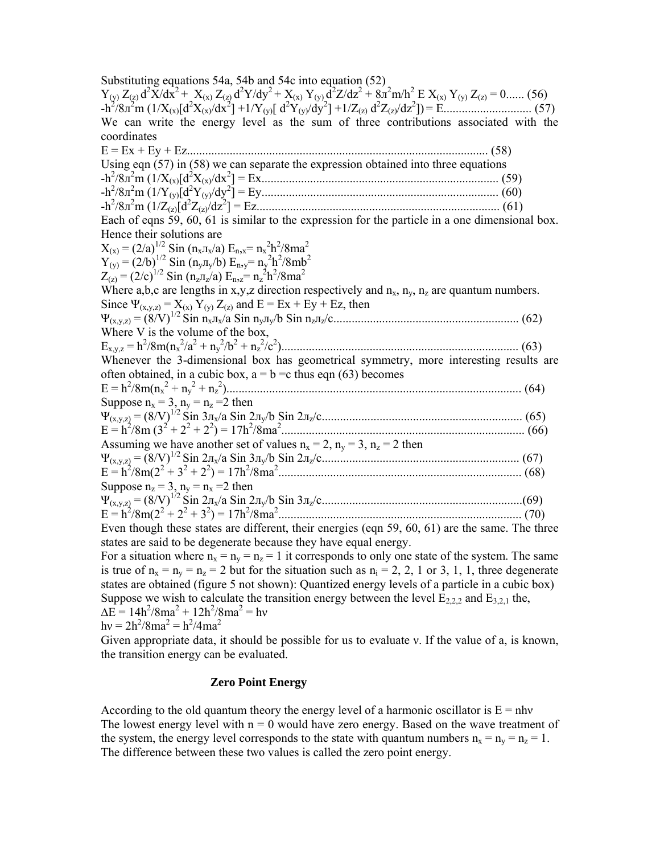Substituting equations 54a, 54b and 54c into equation (52)  $Y_{(y)}Z_{(z)} d^2 \vec{X}/dx^2 + X_{(x)}Z_{(z)} d^2 Y/dy^2 + X_{(x)}Y_{(y)} d^2 Z/dz^2 + 8\pi^2 m/h^2 E X_{(x)}Y_{(y)}Z_{(z)} = 0$ ...... (56) -h2 /8л 2 m (1/X(x)[d2 X(x)/dx2 ] +1/Y(y)[ d2 Y(y)/dy<sup>2</sup> ] +1/Z(z) d2 Z(z)/dz2 ]) = E............................. (57) We can write the energy level as the sum of three contributions associated with the coordinates  $E = Ex + Ev + Ez$ (58) Using eqn (57) in (58) we can separate the expression obtained into three equations -h2 /8л 2 m (1/X(x)[d2 X(x)/dx2 ] = Ex.............................................................................. (59) -h2 /8л 2 m (1/Y(y)[d2 Y(y)/dy<sup>2</sup> ] = Ey.............................................................................. (60) -h2 /8л 2 m (1/Z(z)[d2 Z(z)/dz<sup>2</sup> ] = Ez................................................................................ (61) Each of eqns 59, 60, 61 is similar to the expression for the particle in a one dimensional box. Hence their solutions are  $X_{(x)} = (2/a)^{1/2}$  Sin  $(n_x n_x/a) E_{n_x} = n_x^2 h^2/8ma^2$  $Y_{(y)} = (2/b)^{1/2}$  Sin  $(n_y \pi_y/b)$  E<sub>n</sub>,  $y = n_y^2 h^2/8mb^2$  $Z_{(z)} = (2/c)^{1/2}$  Sin  $(n_z \pi_z/a) E_{n_z} = n_z^2 h^2/8ma^2$ Where a,b,c are lengths in x,y,z direction respectively and  $n_x$ ,  $n_y$ ,  $n_z$  are quantum numbers. Since  $\Psi_{(x,y,z)} = X_{(x)} Y_{(y)} Z_{(z)}$  and  $E = Ex + Ey + Ez$ , then Ψ(x,y,z) = (8/V)1/2 Sin nxлx/a Sin nyлy/b Sin nzлz/c............................................................. (62) Where V is the volume of the box, Ex,y,z = h2 /8m(nx 2 /a2 + ny 2 /b2 + nz 2 /c2 ).............................................................................. (63) Whenever the 3-dimensional box has geometrical symmetry, more interesting results are often obtained, in a cubic box,  $a = b = c$  thus eqn (63) becomes E = h2 /8m(nx 2 + ny 2 + nz 2 )................................................................................................. (64) Suppose  $n_x = 3$ ,  $n_y = n_z = 2$  then Ψ(x,y,z) = (8/V)1/2 Sin 3лx/a Sin 2лy/b Sin 2лz/c.................................................................. (65) E = h2 /8m (32 + 2<sup>2</sup> + 22 ) = 17h2 /8ma2 ................................................................................ (66) Assuming we have another set of values  $n_x = 2$ ,  $n_y = 3$ ,  $n_z = 2$  then Ψ(x,y,z) = (8/V)1/2 Sin 2лx/a Sin 3лy/b Sin 2лz/c................................................................. (67) E = h2 /8m(2<sup>2</sup> + 32 + 22 ) = 17h2 /8ma2 ................................................................................ (68) Suppose  $n_z = 3$ ,  $n_y = n_x = 2$  then Ψ(x,y,z) = (8/V)1/2 Sin 2лx/a Sin 2лy/b Sin 3лz/c..................................................................(69) E = h2 /8m(2<sup>2</sup> + 22 + 32 ) = 17h2 /8ma2 ................................................................................ (70) Even though these states are different, their energies (eqn 59, 60, 61) are the same. The three states are said to be degenerate because they have equal energy. For a situation where  $n_x = n_y = n_z = 1$  it corresponds to only one state of the system. The same is true of  $n_x = n_y = n_z = 2$  but for the situation such as  $n_i = 2, 2, 1$  or 3, 1, 1, three degenerate states are obtained (figure 5 not shown): Quantized energy levels of a particle in a cubic box) Suppose we wish to calculate the transition energy between the level  $E_{2,2,2}$  and  $E_{3,2,1}$  the,  $\Delta E = 14h^2/8ma^2 + 12h^2/8ma^2 = hv$  $hv = 2h^2/8ma^2 = h^2/4ma^2$ 

Given appropriate data, it should be possible for us to evaluate ν. If the value of a, is known, the transition energy can be evaluated.

#### **Zero Point Energy**

According to the old quantum theory the energy level of a harmonic oscillator is  $E = nhv$ The lowest energy level with  $n = 0$  would have zero energy. Based on the wave treatment of the system, the energy level corresponds to the state with quantum numbers  $n_x = n_y = n_z = 1$ . The difference between these two values is called the zero point energy.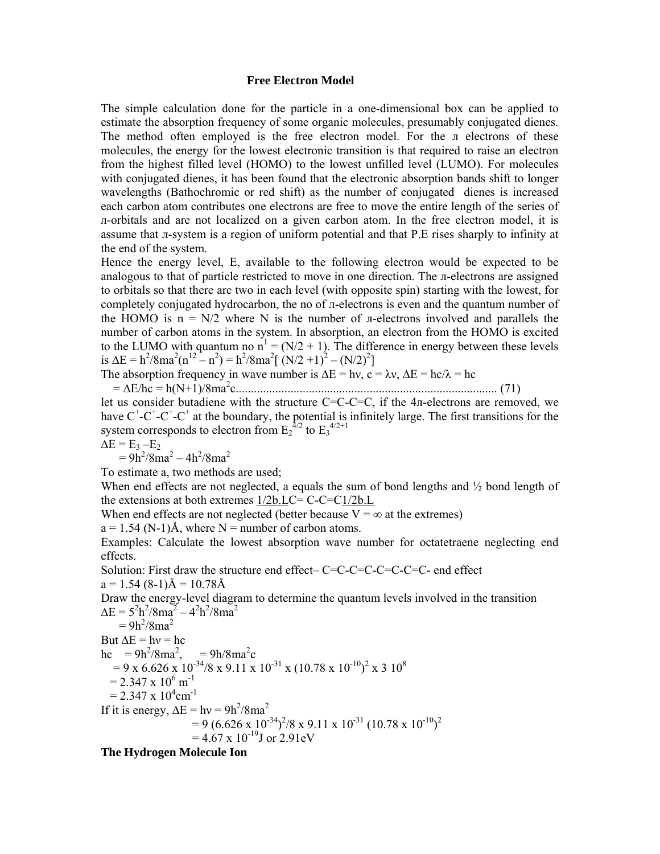#### **Free Electron Model**

The simple calculation done for the particle in a one-dimensional box can be applied to estimate the absorption frequency of some organic molecules, presumably conjugated dienes. The method often employed is the free electron model. For the л electrons of these molecules, the energy for the lowest electronic transition is that required to raise an electron from the highest filled level (HOMO) to the lowest unfilled level (LUMO). For molecules with conjugated dienes, it has been found that the electronic absorption bands shift to longer wavelengths (Bathochromic or red shift) as the number of conjugated dienes is increased each carbon atom contributes one electrons are free to move the entire length of the series of л-orbitals and are not localized on a given carbon atom. In the free electron model, it is assume that л-system is a region of uniform potential and that P.E rises sharply to infinity at the end of the system.

Hence the energy level, E, available to the following electron would be expected to be analogous to that of particle restricted to move in one direction. The л-electrons are assigned to orbitals so that there are two in each level (with opposite spin) starting with the lowest, for completely conjugated hydrocarbon, the no of л-electrons is even and the quantum number of the HOMO is  $n = N/2$  where N is the number of *n*-electrons involved and parallels the number of carbon atoms in the system. In absorption, an electron from the HOMO is excited to the LUMO with quantum no  $n^1 = (N/2 + 1)$ . The difference in energy between these levels is ∆E = h<sup>2</sup>/8ma<sup>2</sup>(n<sup>12</sup> - n<sup>2</sup>) = h<sup>2</sup>/8ma<sup>2</sup>[(N/2 +1)<sup>2</sup> - (N/2)<sup>2</sup>]

The absorption frequency in wave number is  $\Delta E = h v$ ,  $c = \lambda v$ ,  $\Delta E = h c / \lambda = h c$ 

= ∆E/hc = h(N+1)/8ma2 c...................................................................................... (71)

let us consider butadiene with the structure C=C-C=C, if the 4л-electrons are removed, we have  $C^{\dagger}$ - $C^{\dagger}$ - $C^{\dagger}$ - $C^{\dagger}$  at the boundary, the potential is infinitely large. The first transitions for the system corresponds to electron from  $E_2^{4/2}$  to  $E_3^{4/2+1}$ 

$$
\Delta E = E_3 - E_2
$$

 $= 9h^2/8ma^2 - 4h^2/8ma^2$ 

To estimate a, two methods are used;

When end effects are not neglected, a equals the sum of bond lengths and  $\frac{1}{2}$  bond length of the extensions at both extremes  $1/2b$ .LC= C-C=C $1/2b$ .L

When end effects are not neglected (better because  $V = \infty$  at the extremes)

 $a = 1.54$  (N-1)Å, where N = number of carbon atoms.

Examples: Calculate the lowest absorption wave number for octatetraene neglecting end effects.

Solution: First draw the structure end effect– C=C-C=C-C=C-C=C- end effect  $a = 1.54 (8-1)$ Å = 10.78Å

Draw the energy-level diagram to determine the quantum levels involved in the transition  $\Delta E = 5^2 h^2 / 8m \tilde{a}^2 - 4^2 h^2 / 8m \tilde{a}^2$  $= 9h^2/8ma^2$ But  $\Delta E = h v = h c$  $hc = 9h^2/8ma^2$  $, = 9h/8ma^2c$  $= 9 \times 6.626 \times 10^{-34} / 8 \times 9.11 \times 10^{-31} \times (10.78 \times 10^{-10})^2 \times 3 \times 10^8$  $= 2.347 \times 10^6 \text{ m}^{-1}$  $= 2.347 \times 10^4$  cm<sup>-1</sup> If it is energy,  $\Delta E = h v = 9h^2/8ma^2$  $= 9 (6.626 \times 10^{-34})^2/8 \times 9.11 \times 10^{-31} (10.78 \times 10^{-10})^2$  $= 4.67 \times 10^{-19}$ J or 2.91eV

**The Hydrogen Molecule Ion**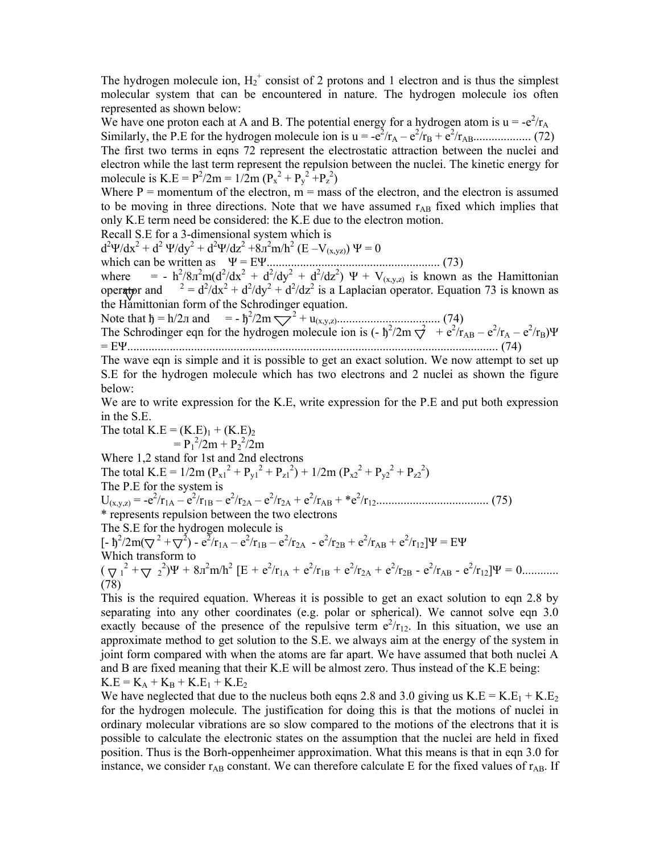The hydrogen molecule ion,  $H_2^+$  consist of 2 protons and 1 electron and is thus the simplest molecular system that can be encountered in nature. The hydrogen molecule ios often represented as shown below:

We have one proton each at A and B. The potential energy for a hydrogen atom is  $u = -e^2/r_A$ Similarly, the P.E for the hydrogen molecule ion is u = -e2 /rA – e 2 /rB + e2 /rAB................... (72) The first two terms in eqns 72 represent the electrostatic attraction between the nuclei and electron while the last term represent the repulsion between the nuclei. The kinetic energy for molecule is K.E =  $P^2/2m = 1/2m (P_x^2 + P_y^2 + P_z^2)$ 

Where  $P =$  momentum of the electron,  $m =$  mass of the electron, and the electron is assumed to be moving in three directions. Note that we have assumed  $r_{AB}$  fixed which implies that only K.E term need be considered: the K.E due to the electron motion.

Recall S.E for a 3-dimensional system which is

 $d^2\Psi/dx^2 + d^2\Psi/dy^2 + d^2\Psi/dz^2 + 8\pi^2m/h^2$  (E –V<sub>(x,yz)</sub>)  $\Psi = 0$ which can be written as Ψ = EΨ......................................................... (73)

where = -  $h^2/8\pi^2 m(d^2/dx^2 + d^2/dy^2 + d^2/dz^2)$   $\Psi + V_{(x,y,z)}$  is known as the Hamittonian operator and  $= d^2/dx^2 + d^2/dy^2 + d^2/dz^2$  is a Laplacian operator. Equation 73 is known as the Hamittonian form of the Schrodinger equation.

Note that ђ = h/2л and = - ђ<sup>2</sup> /2m <sup>2</sup> + u(x,y,z).................................. (74) The Schrodinger eqn for the hydrogen molecule ion is  $(-\frac{\hbar^2}{2m}\nabla + e^2/r_{AB} - e^2/r_A - e^2/r_B)\Psi$ = EΨ.......................................................................................................................... (74)

The wave eqn is simple and it is possible to get an exact solution. We now attempt to set up S.E for the hydrogen molecule which has two electrons and 2 nuclei as shown the figure below:

We are to write expression for the K.E, write expression for the P.E and put both expression in the S.E.

The total  $K.E = (K.E)<sub>1</sub> + (K.E)<sub>2</sub>$  $= P_1^2/2m + P_2^2/2m$ 

Where 1,2 stand for 1st and 2nd electrons

The total K.E =  $1/2m (P_{x1}^2 + P_{y1}^2 + P_{z1}^2) + 1/2m (P_{x2}^2 + P_{y2}^2 + P_{z2}^2)$ The P.E for the system is

U(x,y,z) = -e 2 /r1A – e 2 /r1B – e 2 /r2A – e 2 /r2A + e2 /rAB + \*e2 /r12..................................... (75)

\* represents repulsion between the two electrons

The S.E for the hydrogen molecule is

 $[-\frac{\hbar^2}{2m(\nabla^2 + \nabla^2)} - e^2/r_{1A} - e^2/r_{1B} - e^2/r_{2A} - e^2/r_{2B} + e^2/r_{AB} + e^2/r_{12}]\Psi = E\Psi$ Which transform to  $(\nabla l^2 + \nabla l^2)\Psi + 8\pi^2 m/h^2 [E + e^2/r_{1A} + e^2/r_{1B} + e^2/r_{2A} + e^2/r_{2B} - e^2/r_{AB} - e^2/r_{12}]\Psi = 0$ ............ (78)

This is the required equation. Whereas it is possible to get an exact solution to eqn 2.8 by separating into any other coordinates (e.g. polar or spherical). We cannot solve eqn 3.0 exactly because of the presence of the repulsive term  $e^2/r_{12}$ . In this situation, we use an approximate method to get solution to the S.E. we always aim at the energy of the system in joint form compared with when the atoms are far apart. We have assumed that both nuclei A and B are fixed meaning that their K.E will be almost zero. Thus instead of the K.E being:  $K.E = K_A + K_B + K.E_1 + K.E_2$ 

We have neglected that due to the nucleus both eqns 2.8 and 3.0 giving us  $K.E = K.E<sub>1</sub> + K.E<sub>2</sub>$ for the hydrogen molecule. The justification for doing this is that the motions of nuclei in ordinary molecular vibrations are so slow compared to the motions of the electrons that it is possible to calculate the electronic states on the assumption that the nuclei are held in fixed position. Thus is the Borh-oppenheimer approximation. What this means is that in eqn 3.0 for instance, we consider  $r_{AB}$  constant. We can therefore calculate E for the fixed values of  $r_{AB}$ . If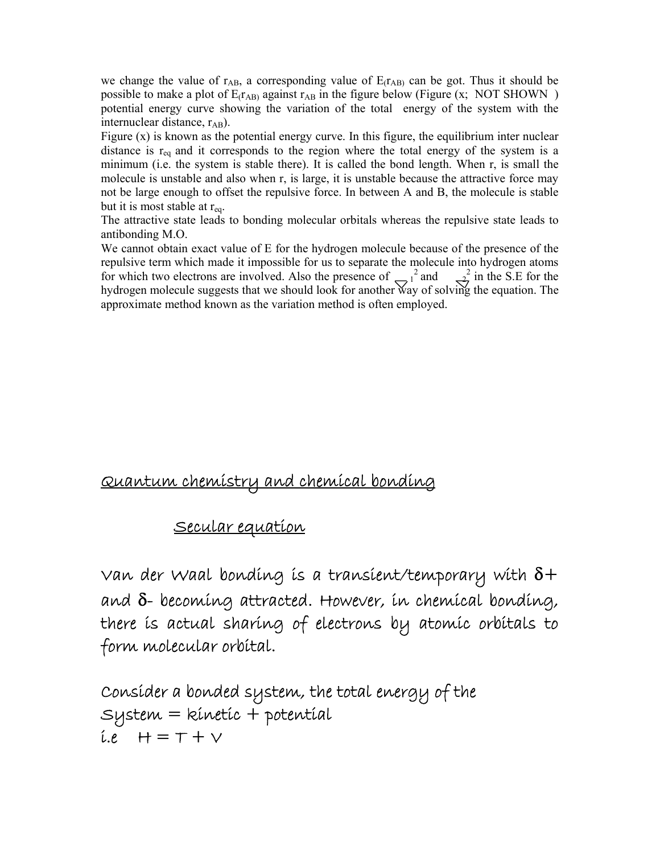we change the value of  $r_{AB}$ , a corresponding value of  $E(r_{AB})$  can be got. Thus it should be possible to make a plot of  $E_{(r_{AB})}$  against  $r_{AB}$  in the figure below (Figure (x; NOT SHOWN) potential energy curve showing the variation of the total energy of the system with the internuclear distance,  $r_{AB}$ ).

Figure (x) is known as the potential energy curve. In this figure, the equilibrium inter nuclear distance is  $r_{eq}$  and it corresponds to the region where the total energy of the system is a minimum (i.e. the system is stable there). It is called the bond length. When r, is small the molecule is unstable and also when r, is large, it is unstable because the attractive force may not be large enough to offset the repulsive force. In between A and B, the molecule is stable but it is most stable at  $r_{eq}$ .

The attractive state leads to bonding molecular orbitals whereas the repulsive state leads to antibonding M.O.

We cannot obtain exact value of E for the hydrogen molecule because of the presence of the repulsive term which made it impossible for us to separate the molecule into hydrogen atoms for which two electrons are involved. Also the presence of  $\frac{1}{2}$  and  $\frac{2}{3}$  in the S.E for the hydrogen molecule suggests that we should look for another way of solving the equation. The approximate method known as the variation method is often employed.

# Quantum chemistry and chemical bonding

### Secular equation

Van der Waal bonding is a transient/temporary with  $\delta+$ and δ- becoming attracted. However, in chemical bonding, there is actual sharing of electrons by atomic orbitals to form molecular orbital.

Consider a bonded system, the total energy of the  $System = kinetic + potential$  $i.e$   $H = T + V$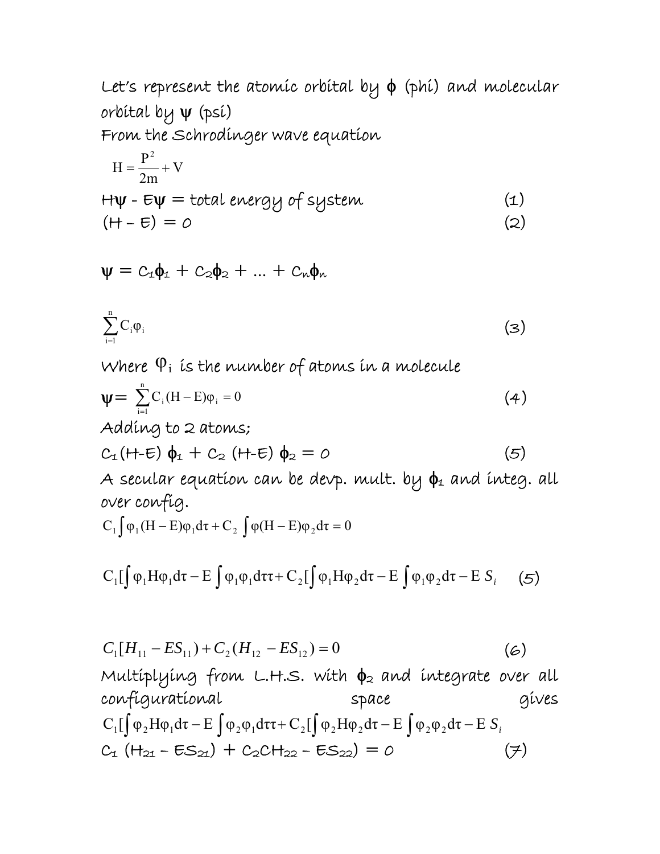Let's represent the atomic orbital by  $\phi$  (phi) and molecular orbital by  $\psi$  (psi) From the Schrodinger wave equation

$$
H = \frac{P^{2}}{2m} + V
$$
  
 
$$
H\psi - E\Psi = \text{total energy of system}
$$
  
 
$$
(H - E) = O
$$
 (2)

$$
\psi = C_1 \phi_1 + C_2 \phi_2 + ... + C_n \phi_n
$$

$$
\sum_{i=1}^{n} C_i \varphi_i \tag{3}
$$

Where  $\varphi_i$  is the number of atoms in a molecule

$$
\Psi = \sum_{i=1}^{n} C_i (H - E)\varphi_i = 0
$$
\n
$$
\text{Adding to 2 atoms;}
$$
\n
$$
\text{Adding to 2 atoms;}
$$
\n
$$
\Psi = \sum_{i=1}^{n} C_i (H - E)\varphi_i = 0
$$

$$
C_1(H-E) \phi_1 + C_2 (H-E) \phi_2 = 0 \qquad (5)
$$

A secular equation can be devp. mult. by  $\phi_1$  and integ. all over config.

$$
C_1 \int \varphi_1 (H - E) \varphi_1 d\tau + C_2 \int \varphi (H - E) \varphi_2 d\tau = 0
$$

$$
C_1[\int \varphi_1 H \varphi_1 d\tau - E \int \varphi_1 \varphi_1 d\tau + C_2[\int \varphi_1 H \varphi_2 d\tau - E \int \varphi_1 \varphi_2 d\tau - E S_i \quad (5)
$$

$$
C_1[H_{11} - ES_{11}) + C_2(H_{12} - ES_{12}) = 0
$$
\n(6)

\nMultiplying from L.H.S. with  $\phi_2$  and integrate over all  
\nconfigurational  
\n
$$
C_1[\int \phi_2 H \phi_1 d\tau - E \int \phi_2 \phi_1 d\tau + C_2 [\int \phi_2 H \phi_2 d\tau - E \int \phi_2 \phi_2 d\tau - ES_i]
$$
  
\n
$$
C_1(H_{21} - ES_{21}) + C_2 CH_{22} - ES_{22}) = 0
$$
\n(7)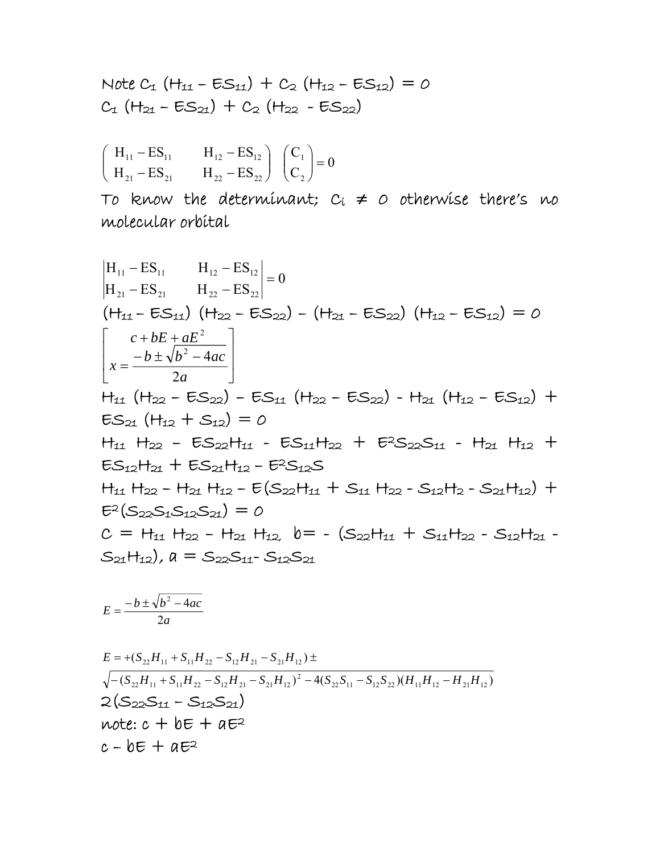Note C1 (H11 – ES11) + C2 (H12 – ES12) = 0 C1 (H21 – ES21) + C2 (H22 - ES22)

$$
\begin{pmatrix} H_{11} - ES_{11} & H_{12} - ES_{12} \ H_{21} - ES_{21} & H_{22} - ES_{22} \end{pmatrix} \begin{pmatrix} C_1 \ C_2 \end{pmatrix} = 0
$$

To know the determinant;  $C_i \neq 0$  otherwise there's no molecular orbital

$$
\begin{vmatrix}\nH_{11} - ES_{11} & H_{12} - ES_{12} \\
H_{21} - ES_{21} & H_{22} - ES_{22}\n\end{vmatrix} = 0
$$
\n
$$
(H_{11} - ES_{11}) (H_{22} - ES_{22}) - (H_{21} - ES_{22}) (H_{12} - ES_{12}) = 0
$$
\n
$$
\begin{vmatrix}\n c + bE + aE^2 \\
 x = \frac{-b \pm \sqrt{b^2 - 4ac}}{2a} \\
 2a\n\end{vmatrix}
$$
\n
$$
H_{11} (H_{22} - ES_{22}) - ES_{11} (H_{22} - ES_{22}) - H_{21} (H_{12} - ES_{12}) + ES_{21} (H_{12} + S_{12}) = 0
$$
\n
$$
H_{11} H_{22} - ES_{22}H_{11} - ES_{11}H_{22} + ES_{22}S_{11} - H_{21} H_{12} + ES_{12}H_{21} + ES_{21}H_{12} - ES_{21}S_{12}S
$$
\n
$$
H_{11} H_{22} - H_{21} H_{12} - E(S_{22}H_{11} + S_{11}H_{22} - S_{12}H_{2} - S_{21}H_{12}) + E^2(S_{22}S_{12}S_{21}) = 0
$$
\n
$$
C = H_{11} H_{22} - H_{21} H_{12}, b = - (S_{22}H_{11} + S_{11}H_{22} - S_{12}H_{21} - S_{12}H_{21} - S_{21}H_{12}), a = S_{22}S_{11} - S_{12}S_{21}
$$

$$
E = \frac{-b \pm \sqrt{b^2 - 4ac}}{2a}
$$

$$
E = +(S_{22}H_{11} + S_{11}H_{22} - S_{12}H_{21} - S_{21}H_{12}) \pm
$$
  
\n
$$
\sqrt{- (S_{22}H_{11} + S_{11}H_{22} - S_{12}H_{21} - S_{21}H_{12})^2 - 4(S_{22}S_{11} - S_{12}S_{22})(H_{11}H_{12} - H_{21}H_{12})}
$$
  
\n
$$
2(S_{22}S_{11} - S_{12}S_{21})
$$
  
\n
$$
note: c + bE + aE^2
$$
  
\n
$$
c - bE + aE^2
$$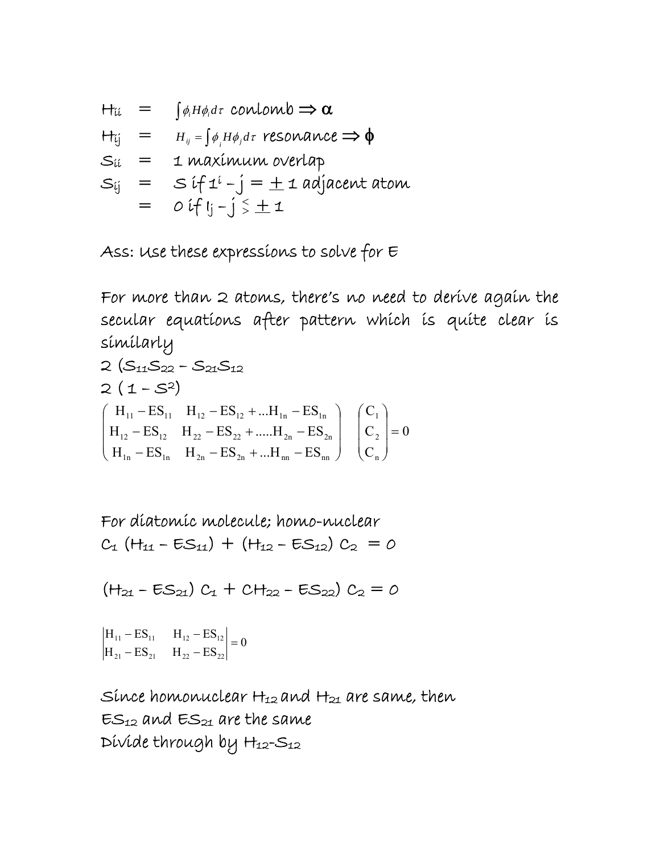$$
H_{ii} = \int \phi_i H \phi_i d\tau \text{ convlomb} \Rightarrow \alpha
$$
\n
$$
H_{ij} = H_{ij} = \int \phi_i H \phi_i d\tau \text{ resonance} \Rightarrow \phi
$$
\n
$$
S_{ii} = 1 \text{ maximum overlap}
$$
\n
$$
S_{ij} = S \text{ if } I^i - j = \pm 1 \text{ adjacent atom}
$$
\n
$$
= O \text{ if } I_j - j \leq \pm 1
$$

Ass: Use these expressions to solve for E

For more than 2 atoms, there's no need to derive again the secular equations after pattern which is quite clear is similarly

$$
2 (S_{11}S_{22} - S_{21}S_{12}
$$
  
\n
$$
2 (1 - S^{2})
$$
  
\n
$$
\begin{pmatrix} H_{11} - ES_{11} & H_{12} - ES_{12} + ...H_{1n} - ES_{1n} \\ H_{12} - ES_{12} & H_{22} - ES_{22} + ....H_{2n} - ES_{2n} \\ H_{1n} - ES_{1n} & H_{2n} - ES_{2n} + ...H_{nn} - ES_{nn} \end{pmatrix} {C_{1} \choose C_{2}} = 0
$$

For diatomic molecule; homo-nuclear  $C_1$  (H<sub>11</sub> –  $ES_{11}$ ) + (H<sub>12</sub> –  $ES_{12}$ )  $C_2 = 0$ 

 $(H_{21} - ES_{21}) C_1 + CH_{22} - ES_{22}) C_2 = 0$ 

0  $H_{22}$  – ES  $H_{12} - ES$  $H_{21} - ES$  $H_{11} - ES$ 22  $\frac{10}{22}$  $12 \quad \text{L} \cup_{12}$  $\begin{vmatrix} 11 - ES_{11} & H_{12} - ES_{12} \ 21 - ES_{21} & H_{22} - ES_{22} \end{vmatrix} =$  $-\text{ES}_{11}$   $\text{H}_{12} - \text{ES}_{12}$ <br>  $-\text{ES}_{21}$   $\text{H}_{22} - \text{ES}_{22}$  = 0

Since homonuclear  $H_{12}$  and  $H_{21}$  are same, then  $ES_{12}$  and  $ES_{21}$  are the same Divide through by H12-S12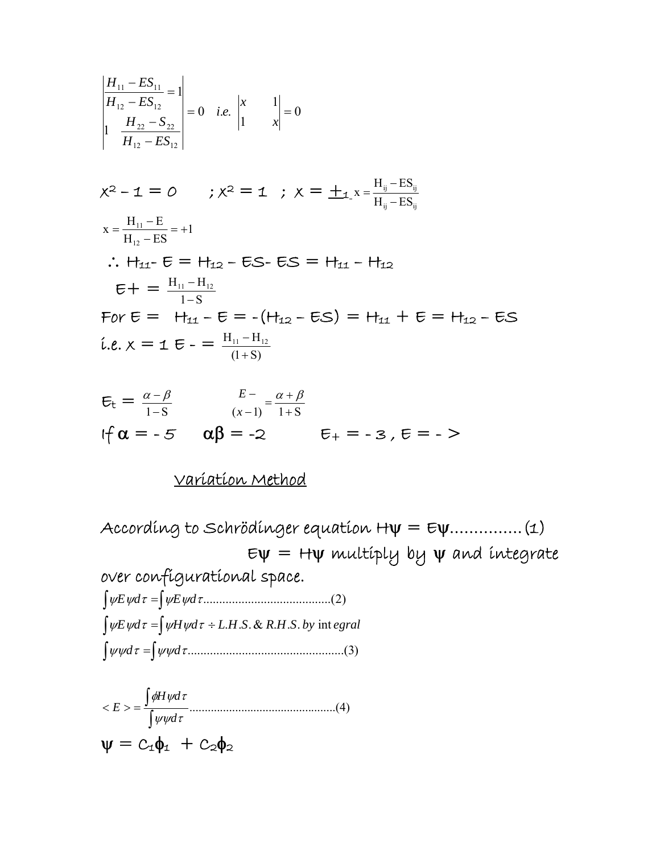$$
\begin{vmatrix} H_{11} - ES_{11} \\ H_{12} - ES_{12} \\ 1 & H_{22} - S_{22} \\ H_{12} - ES_{12} \end{vmatrix} = 0 \quad i.e. \begin{vmatrix} x & 1 \\ 1 & x \end{vmatrix} = 0
$$

 $x^2 - 1 = 0$  ;  $x^2 = 1$  ;  $x = \frac{1}{1}x = \frac{11}{1}x = ES_{ij}$  $i$ <sub>ij</sub>  $\boldsymbol{\omega}$  $\boldsymbol{\omega}$ <sub>ij</sub>  $H_{ii} - ES$  $H_{ii} - ES$  $x = \frac{H_{ij} - ES_{ij}}{H_{ii} - ES_{ii}}$ 1  $H_{12} - ES$  $x = \frac{H_{11} - E}{H_{12}}$  $=\frac{H_{11} - E}{H_{12} - ES} = +1$ ∴  $H_{11} - E = H_{12} - ES - ES = H_{11} - H_{12}$  $E+ = \frac{n_{11} - n_{12}}{1 - S}$  $H_{11} - H_{12}$  $\frac{-H_{12}}{-S}$ For  $E = H_{11} - E = -(H_{12} - ES) = H_{11} + E = H_{12} - ES$ í.e.  $x = \pm \epsilon - \frac{H_{11} - H_{12}}{(1 + S)}$  $\frac{-H_{12}}{+S}$ 

$$
\mathbf{E}_{t} = \frac{\alpha - \beta}{1 - S} \qquad \qquad \frac{E - \alpha + \beta}{(x - 1)} = \frac{\alpha + \beta}{1 + S}
$$
  
if  $\alpha = -5$   $\alpha\beta = -2$   $\qquad \mathbf{E}_{+} = -3, \mathbf{E} = ->$ 

### Variation Method

According to Schrödinger equation Hψ = Eψ……………(1)  $E\Psi = H\Psi$  multiply by  $\Psi$  and integrate over configurational space.

∫ ∫ = .................................................(3) ψψ <sup>τ</sup> ψψ <sup>τ</sup> *d d*  $\int \psi E \psi d\tau = \int \psi H \psi d\tau \div L.H.S. \& R.H.S. by \text{ int } e \text{gral}$ ∫ ∫ = ........................................(2) ψ ψ <sup>τ</sup> ψ ψ <sup>τ</sup> *E d E d*

$$
\langle E \rangle = \frac{\int \phi H \psi d\tau}{\int \psi \psi d\tau}
$$
\n
$$
\psi = C_1 \phi_1 + C_2 \phi_2
$$
\n(4)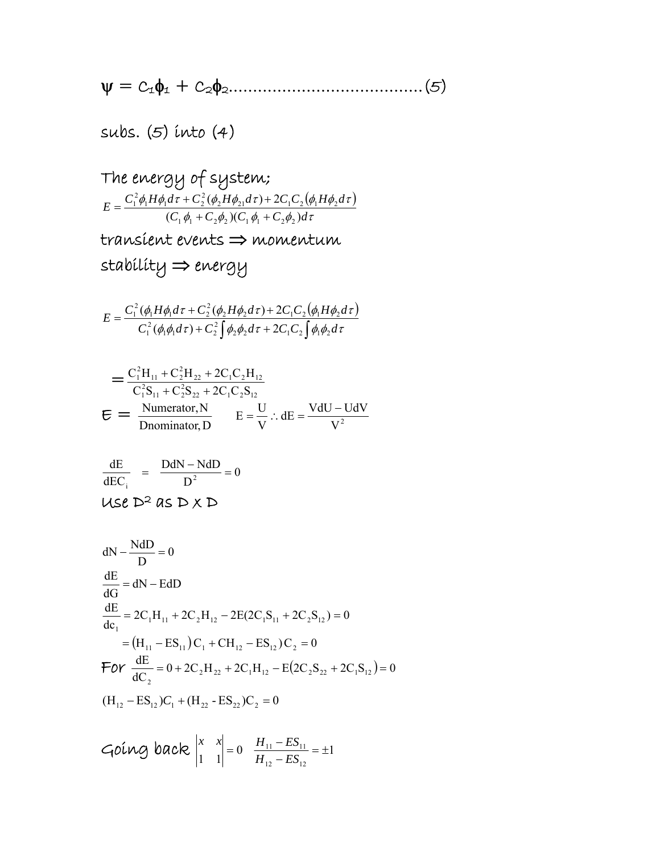ψ = C1φ1 + C2φ2………………………………….(5)

subs. (5) into (4)

The energy of system;  $(\phi H \phi, d\tau)$  $\phi_1 + C_2 \phi_2$ ) $(C_1 \phi_1 + C_2 \phi_2) d\tau$  $\oint_{\gamma_1} H \phi_1 d\tau + C_2^2(\phi, H \phi_{21} d\tau) + 2C_1C_2(\phi_1 H \phi_2 d\tau)$  $C_1 \phi_1 + C_2 \phi_2$  $(C_1 \phi_1 + C_2 \phi_2) d$  $E = \frac{C_1^2 \phi_1 H \phi_1 d\tau + C_2^2 (\phi_2 H \phi_2 d\tau) + 2C_1 C_2 (\phi_1 H \phi_2 d\tau)}{C_1 C_2 \phi_1 H \phi_2 d\tau}$  $(C_1 \phi_1 + C_2 \phi_2)(C_1 \phi_1 + C_2 \phi_2)$  $(\phi_2 H \phi_{21} d\tau) + 2$  $_1 \varphi_1$   $_2 \varphi_2$   $_1 \varphi_1$   $_1$   $_2 \varphi_2$  $\int_{1}^{2}\phi_{1}H\phi_{1}d\tau+C_{2}^{2}(\phi_{2}H\phi_{21}d\tau)+2C_{1}C_{2}(\phi_{1}H\phi_{21})$  $= \frac{C_1^2 \phi_1 H \phi_1 d\tau + C_2^2 (\phi_2 H \phi_{21} d\tau) + 2C_1 C_2 (\phi_1 H \phi_2 d\tau)}{(C_1 \phi_1 + C_2 \phi_2)(C_1 \phi_1 + C_2 \phi_2) d\tau}$ 

transient events ⇒ momentum stability ⇒ energy

$$
E = \frac{C_1^2 (\phi_1 H \phi_1 d\tau + C_2^2 (\phi_2 H \phi_2 d\tau) + 2C_1 C_2 (\phi_1 H \phi_2 d\tau)}{C_1^2 (\phi_1 \phi_1 d\tau) + C_2^2 \int \phi_2 \phi_2 d\tau + 2C_1 C_2 \int \phi_1 \phi_2 d\tau}
$$

$$
= \frac{C_1^2 H_{11} + C_2^2 H_{22} + 2C_1 C_2 H_{12}}{C_1^2 S_{11} + C_2^2 S_{22} + 2C_1 C_2 S_{12}}
$$
  
\n
$$
E = \frac{\text{Numerator, N}}{\text{Doninator, D}} \qquad E = \frac{U}{V} \therefore dE = \frac{VdU - UdV}{V^2}
$$

$$
\frac{dE}{dEC_i} = \frac{DdN - NdD}{D^2} = 0
$$
  
Use D<sup>2</sup> as D × D

$$
dN - \frac{NdD}{D} = 0
$$
  
\n
$$
\frac{dE}{dG} = dN - EdD
$$
  
\n
$$
\frac{dE}{dc_1} = 2C_1H_{11} + 2C_2H_{12} - 2E(2C_1S_{11} + 2C_2S_{12}) = 0
$$
  
\n
$$
= (H_{11} - ES_{11})C_1 + CH_{12} - ES_{12})C_2 = 0
$$
  
\n
$$
For \frac{dE}{dC_2} = 0 + 2C_2H_{22} + 2C_1H_{12} - E(2C_2S_{22} + 2C_1S_{12}) = 0
$$
  
\n
$$
(H_{12} - ES_{12})C_1 + (H_{22} - ES_{22})C_2 = 0
$$

Going back 
$$
\begin{vmatrix} x & x \\ 1 & 1 \end{vmatrix} = 0
$$
  $\frac{H_{11} - ES_{11}}{H_{12} - ES_{12}} = \pm 1$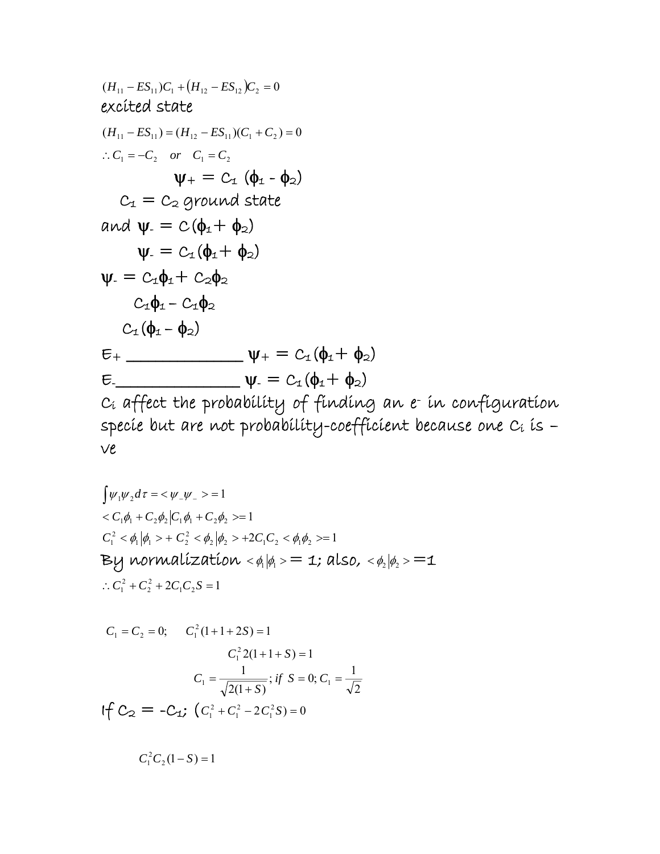$(H_{11} - ES_{11})C_1 + (H_{12} - ES_{12})C_2 = 0$ excited state  $(H_{11} - ES_{11}) = (H_{12} - ES_{11})(C_1 + C_2) = 0$  $\therefore C_1 = -C_2$  *or*  $C_1 = C_2$  $\psi_+ = C_1 (\phi_1 - \phi_2)$  $c_1 = c_2$  ground state and  $\psi = C(\phi_1 + \phi_2)$  $\psi = C_1(\phi_1 + \phi_2)$  $\psi = C_1 \phi_1 + C_2 \phi_2$  $C_1\phi_1 - C_1\phi_2$  $C_1(\phi_1 - \phi_2)$ E+ \_\_\_\_\_\_\_\_\_\_\_\_\_\_\_\_ ψ+ = C1(φ1+ φ2)  $E_{\text{2}} = C_1(\phi_1 + \phi_2)$ Ci affect the probability of finding an e- in configuration specie but are not probability-coefficient because one Ci is – ve

$$
\int \psi_1 \psi_2 d\tau = \langle \psi_-\psi_-\rangle = 1
$$
  
<  $C_1 \phi_1 + C_2 \phi_2 | C_1 \phi_1 + C_2 \phi_2 \rangle = 1$   
 $C_1^2 < \phi_1 | \phi_1 > + C_2^2 < \phi_2 | \phi_2 > +2C_1 C_2 < \phi_1 \phi_2 \rangle = 1$   
By normalization  $<\phi_1 | \phi_1> = \mathbf{1}$ ; also,  $<\phi_2 | \phi_2> = \mathbf{1}$   
 $\therefore C_1^2 + C_2^2 + 2C_1 C_2 S = 1$ 

$$
C_1 = C_2 = 0; \t C_1^2 (1 + 1 + 2S) = 1
$$
  

$$
C_1^2 2(1 + 1 + S) = 1
$$
  

$$
C_1 = \frac{1}{\sqrt{2(1 + S)}}; \text{ if } S = 0; C_1 = \frac{1}{\sqrt{2}}
$$
  
If  $C_2 = -C_1$ ;  $(C_1^2 + C_1^2 - 2C_1^2 S) = 0$ 

 $C_1^2 C_2 (1 - S) = 1$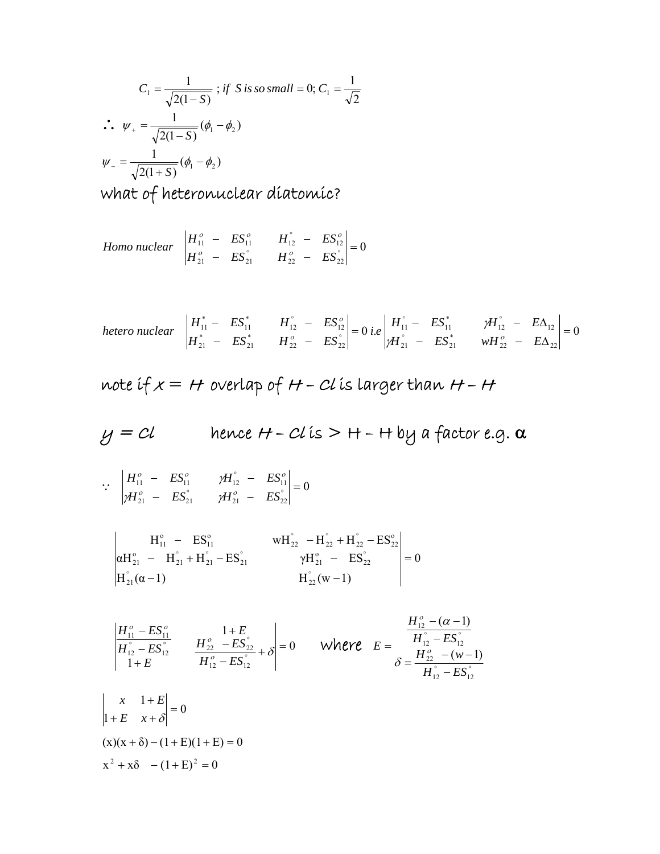$$
C_1 = \frac{1}{\sqrt{2(1-S)}}; \text{ if } S \text{ is so small } = 0; C_1 = \frac{1}{\sqrt{2}}
$$
  

$$
\therefore \psi_+ = \frac{1}{\sqrt{2(1-S)}} (\phi_1 - \phi_2)
$$
  

$$
\psi_- = \frac{1}{\sqrt{2(1+S)}} (\phi_1 - \phi_2)
$$

what of heteronuclear diatomic?

*Homonuclear* 
$$
\begin{vmatrix} H_{11}^o & - & ES_{11}^o & H_{12}^o & - & ES_{12}^o \\ H_{21}^o & - & ES_{21}^o & H_{22}^o & - & ES_{22}^o \end{vmatrix} = 0
$$

*hetero nuclear* 
$$
\begin{vmatrix} H_{11}^* - ES_{11}^* & H_{12}^* - ES_{12}^* \\ H_{21}^* - ES_{21}^* & H_{22}^* - ES_{22}^* \end{vmatrix} = 0
$$
 *i.e*  $\begin{vmatrix} H_{11}^* - ES_{11}^* & \mathcal{H}_{12}^* - E\Delta_{12} \\ \mathcal{H}_{21}^* - ES_{21}^* & \mathcal{W}H_{22}^* - E\Delta_{22} \end{vmatrix} = 0$ 

note if  $x = H$  overlap of  $H - Cl$  is larger than  $H - H$ 

$$
y = cl \qquad \text{hence } H - Cl \text{ is } > H - H \text{ by a factor } e.g. \text{ } \alpha
$$

$$
\begin{vmatrix}\nH_{11}^o - ES_{11}^o & \mathcal{H}_{12}^o - ES_{11}^o \\
\mathcal{H}_{21}^o - ES_{21}^o & \mathcal{H}_{21}^o - ES_{22}^o\n\end{vmatrix} = 0
$$

$$
\begin{vmatrix}\nH_{11}^{o} - ES_{11}^{o} & wH_{22}^{o} - H_{22}^{o} + H_{22}^{o} - ES_{22}^{o} \\
\alpha H_{21}^{o} - H_{21}^{o} + H_{21}^{o} - ES_{21}^{o} & \gamma H_{21}^{o} - ES_{22}^{o} \\
H_{21}^{o}(\alpha - 1) & H_{22}^{o}(w - 1)\n\end{vmatrix} = 0
$$

$$
\begin{vmatrix}\nH_{11}^o - ES_{11}^o & 1 + E \\
H_{12}^o - ES_{12}^o & H_{22}^o - ES_{22}^o \\
1 + E & H_{12}^o - ES_{12}^o\n\end{vmatrix} = 0 \quad \text{where} \quad E = \frac{H_{12}^o - (\alpha - 1)}{H_{12}^o - ES_{12}^o} \\
\delta = \frac{H_{22}^o - (\nu - 1)}{H_{12}^o - ES_{12}^o}
$$

$$
\begin{vmatrix} x & 1+E \\ 1+E & x+\delta \end{vmatrix} = 0
$$
  
(x)(x + \delta) - (1 + E)(1 + E) = 0  
x<sup>2</sup> + x\delta - (1 + E)<sup>2</sup> = 0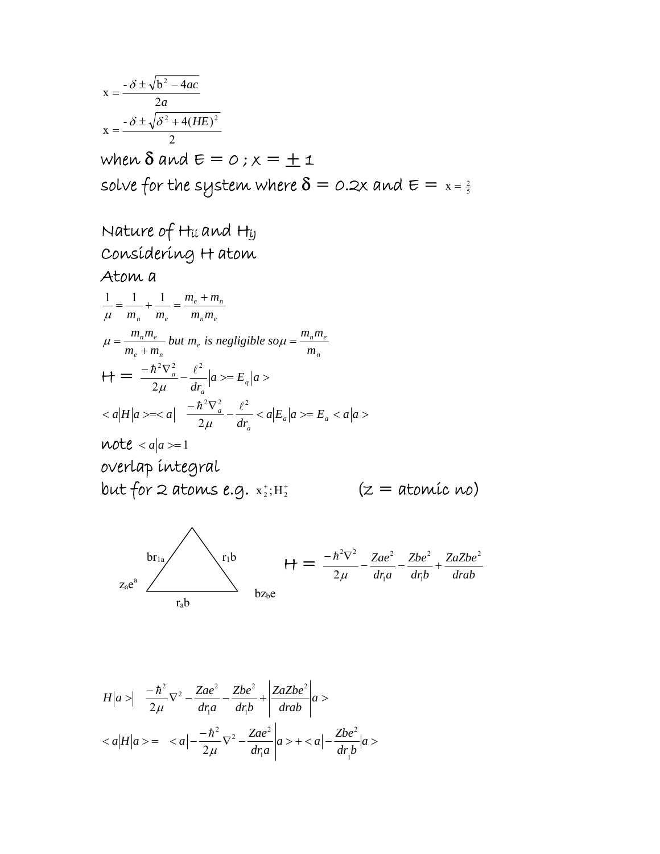$$
x = \frac{-\delta \pm \sqrt{b^2 - 4ac}}{2a}
$$
  
\n
$$
x = \frac{-\delta \pm \sqrt{\delta^2 + 4(HE)^2}}{2}
$$
  
\nwhen  $\delta$  and  $E = 0$ ;  $x = \pm 1$   
\nsolve for the system where  $\delta = 0.2x$  and  $E = x = \frac{2}{5}$ 

Nature of Hii and HiJ Considering H atom

Atom a

$$
\frac{1}{\mu} = \frac{1}{m_n} + \frac{1}{m_e} = \frac{m_e + m_n}{m_n m_e}
$$
\n
$$
\mu = \frac{m_n m_e}{m_e + m_n} \text{ but } m_e \text{ is negligible so } \mu = \frac{m_n m_e}{m_n}
$$
\n
$$
H = \frac{-\hbar^2 \nabla_a^2}{2\mu} - \frac{\ell^2}{dr_a} |a\rangle = E_q |a\rangle
$$
\n
$$
< a|H|a\rangle = \langle a| \frac{-\hbar^2 \nabla_a^2}{2\mu} - \frac{\ell^2}{dr_a} \langle a|E_a|a\rangle = E_a \langle a|a\rangle
$$
\n
$$
\text{Note: } a|a\rangle = 1
$$
\n
$$
\text{Note: } a|a\rangle = 1
$$
\n
$$
\text{Note: } a|a\rangle = 1
$$
\n
$$
\text{Note: } a|a\rangle = 1
$$
\n
$$
\text{Note: } a|a\rangle = 1
$$
\n
$$
\text{Note: } a|a\rangle = 1
$$
\n
$$
\text{Note: } a|a\rangle = 1
$$
\n
$$
\text{Note: } a|a\rangle = 1
$$
\n
$$
\text{Note: } a|a\rangle = 1
$$
\n
$$
\text{Note: } a|a\rangle = 1
$$
\n
$$
\text{Note: } a|a\rangle = 1
$$
\n
$$
\text{Note: } a|a\rangle = 1
$$
\n
$$
\text{Note: } a|a\rangle = 1
$$
\n
$$
\text{Note: } a|a\rangle = 1
$$
\n
$$
\text{Note: } a|a\rangle = 1
$$
\n
$$
\text{Note: } a|a\rangle = 1
$$
\n
$$
\text{Note: } a|a\rangle = 1
$$
\n
$$
\text{Note: } a|a\rangle = 1
$$
\n
$$
\text{Note: } a|a\rangle = 1
$$
\n
$$
\text{Note: } a|a\rangle = 1
$$
\n
$$
\text{Note: } a|a\rangle = 1
$$
\n
$$
\text{Note: } a|a\rangle = 1
$$
\n
$$
\text{Note: } a|a\rangle = 1
$$
\n<math display="block</math>



$$
H|a>| \quad \frac{-\hbar^2}{2\mu}\nabla^2 - \frac{Zae^2}{dr_1a} - \frac{Zbe^2}{dr_1b} + \left|\frac{ZaZbe^2}{dr_1ab}\right|a>
$$
  

$$
< a|H|a>= \quad +.<="" math="">
$$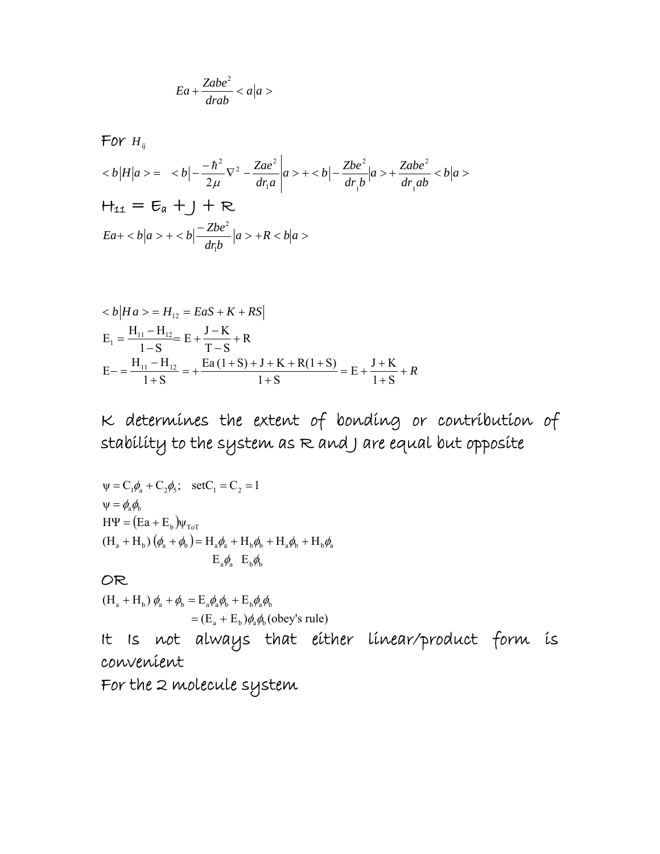$$
Ea + \frac{Zabe^2}{drab} < a|a >
$$

For  $H_{ii}$ 

$$
\langle b|H|a\rangle = \langle b|-\frac{\hbar^2}{2\mu}\nabla^2 - \frac{Zae^2}{dr_1a}\Big|a\rangle + \langle b|-\frac{Zbe^2}{dr_1b}|a\rangle + \frac{Zabe^2}{dr_1ab} < b|a\rangle
$$
  
 
$$
H_{\perp\perp} = E_a + \int + \mathcal{R}
$$
  
\n
$$
E_a + \langle b|a\rangle + \langle b|-\frac{Zbe^2}{dr_1b}|a\rangle + R \langle b|a\rangle
$$

$$
\langle b|Ha \rangle = H_{12} = EaS + K + RS
$$
  
\n
$$
E_1 = \frac{H_{11} - H_{12}}{1 - S} = E + \frac{J - K}{T - S} + R
$$
  
\n
$$
E = \frac{H_{11} - H_{12}}{1 + S} = \frac{Ea(1 + S) + J + K + R(1 + S)}{1 + S} = E + \frac{J + K}{1 + S} + R
$$

# $K$  determines the extent of bonding or contribution of stability to the system as R and J are equal but opposite

$$
\psi = C_1 \phi_a + C_2 \phi_5; \quad \text{set } C_1 = C_2 = 1
$$
  
\n
$$
\psi = \phi_a \phi_b
$$
  
\n
$$
H\Psi = (\text{Ea} + \text{E}_b)\psi_{\text{tot}}
$$
  
\n
$$
(\text{H}_a + \text{H}_b) (\phi_a + \phi_b) = \text{H}_a \phi_a + \text{H}_b \phi_b + \text{H}_a \phi_b + \text{H}_b \phi_a
$$
  
\n
$$
\text{E}_a \phi_a \quad \text{E}_b \phi_b
$$

### OR

 $=(E_a + E_b)\phi_a\phi_b$  (obey's rule)  $(H_a + H_b) \phi_a + \phi_b = E_a \phi_a \phi_b + E_b \phi_a \phi_b$ <br>=  $(E_a + E_b) \phi_a \phi_b$  (obov's rule)

It Is not always that either linear/product form is convenient

For the 2 molecule system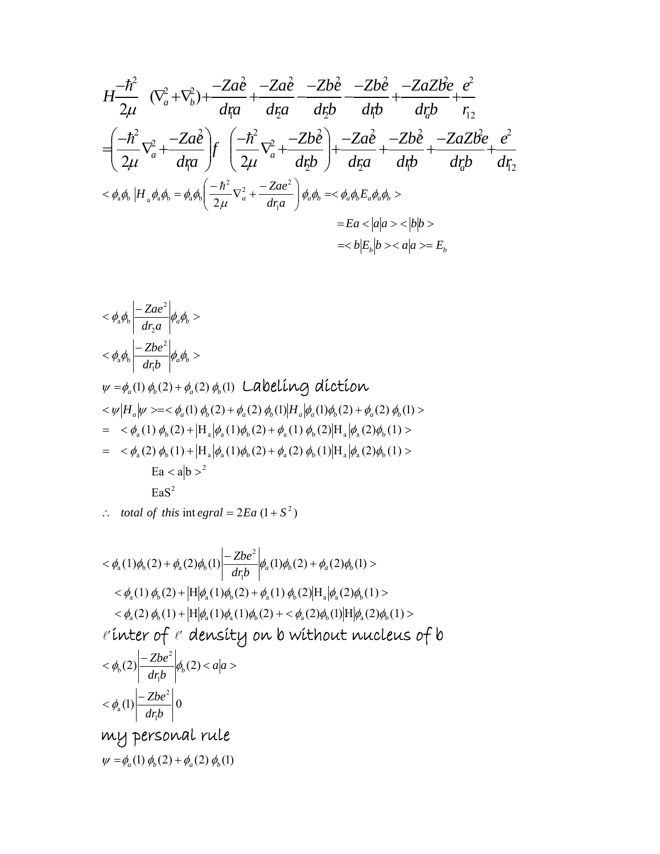$$
H\frac{-\hbar^2}{2\mu} \quad (\nabla_a^2 + \nabla_b^2) + \frac{-Za\hat{e}}{d\eta a} + \frac{-Za\hat{e}}{d\eta a} - \frac{-Zb\hat{e}}{d\eta b} - \frac{-Zb\hat{e}}{d\eta b} + \frac{-ZaZb\hat{e}}{d\eta b} + \frac{\hat{e}}{d\eta a}
$$
  
\n
$$
= \left(\frac{-\hbar^2}{2\mu}\nabla_a^2 + \frac{-Za\hat{e}}{d\eta a}\right)f \quad \left(\frac{-\hbar^2}{2\mu}\nabla_a^2 + \frac{-Zb\hat{e}}{d\eta b}\right) + \frac{-Za\hat{e}}{d\eta a} + \frac{-Zb\hat{e}}{d\eta b} + \frac{-ZaZb\hat{e}}{d\eta b} + \frac{\hat{e}}{d\eta a}
$$
  
\n
$$
< \phi_a \phi_b | H_a \phi_a \phi_b = \phi_a \phi_b \left(\frac{-\hbar^2}{2\mu}\nabla_a^2 + \frac{-Za\hat{e}^2}{d\eta a}\right)\phi_a \phi_b = < \phi_a \phi_b E_a \phi_a \phi_b>
$$
  
\n
$$
= Ea < |a|a > < |b|b> =
$$
  
\n
$$
= \langle b|E_b|b > < a|a> = E_b
$$

$$
\langle \phi_{a} \phi_{b} \left| \frac{-Zae^{2}}{dr_{2}a} \right| \phi_{a} \phi_{b} >
$$
\n
$$
\langle \phi_{a} \phi_{b} \left| \frac{-Zbe^{2}}{dr_{1}b} \right| \phi_{a} \phi_{b} >
$$
\n
$$
\psi = \phi_{a}(1) \phi_{b}(2) + \phi_{a}(2) \phi_{b}(1) \quad \text{LableLine of direction}
$$
\n
$$
\langle \psi | H_{a} | \psi \rangle = \langle \phi_{a}(1) \phi_{b}(2) + \phi_{a}(2) \phi_{b}(1) | H_{a} | \phi_{a}(1) \phi_{b}(2) + \phi_{a}(2) \phi_{b}(1) >
$$
\n
$$
= \langle \phi_{a}(1) \phi_{b}(2) + | H_{a} | \phi_{a}(1) \phi_{b}(2) + \phi_{a}(1) \phi_{b}(2) | H_{a} | \phi_{a}(2) \phi_{b}(1) >
$$
\n
$$
= \langle \phi_{a}(2) \phi_{b}(1) + | H_{a} | \phi_{a}(1) \phi_{b}(2) + \phi_{a}(2) \phi_{b}(1) | H_{a} | \phi_{a}(2) \phi_{b}(1) >
$$
\n
$$
\text{Ea} \langle \phi_{a} \rangle = \text{Ea} \langle \phi_{a} \rangle = \text{Ea} \langle \phi_{a} \rangle = \text{Ea} \langle \phi_{a} \rangle = \text{Ea} \langle \phi_{a} \rangle = \text{Ea} \langle \phi_{a} \rangle = \text{Ea} \langle \phi_{a} \rangle = \text{Ea} \langle \phi_{a} \rangle = \text{Ea} \langle \phi_{a} \rangle = \text{Ea} \langle \phi_{a} \rangle = \text{Ea} \langle \phi_{a} \rangle = \text{Ea} \langle \phi_{a} \rangle = \text{Ea} \langle \phi_{a} \rangle = \text{Ea} \langle \phi_{a} \rangle = \text{Ea} \langle \phi_{a} \rangle = \text{Ea} \langle \phi_{a} \rangle = \text{Ea} \langle \phi_{a} \rangle = \text{Ea} \langle \phi_{a} \rangle = \text{Ea} \langle \phi_{a} \rangle = \text{Ea} \langle \phi_{a} \rangle = \text{Ea} \langle \phi_{a} \rangle = \text{Ea} \langle \phi_{a}
$$

 $\therefore$  *total of this* integral = 2Ea (1+S<sup>2</sup>)

$$
\langle \phi_{a}(1)\phi_{b}(2) + \phi_{a}(2)\phi_{b}(1) \frac{|-Zbe^{2}|}{dr_{b}^{b}} \phi_{a}(1)\phi_{b}(2) + \phi_{a}(2)\phi_{b}(1) \rangle
$$
\n
$$
\langle \phi_{a}(1)\phi_{b}(2) + |H|\phi_{a}(1)\phi_{b}(2) + \phi_{a}(1)\phi_{b}(2)|H_{a}|\phi_{a}(2)\phi_{b}(1) \rangle
$$
\n
$$
\langle \phi_{a}(2)\phi_{b}(1) + |H|\phi_{a}(1)\phi_{a}(1)\phi_{b}(2) + \langle \phi_{a}(2)\phi_{b}(1)|H|\phi_{a}(2)\phi_{b}(1) \rangle
$$
\n
$$
\ell' \text{inter of } \ell' \text{ density on } b \text{ without nucleus of } b
$$
\n
$$
\langle \phi_{b}(2) \frac{|-Zbe^{2}|}{dr_{b}^{b}} \phi_{b}(2) \langle a|a \rangle
$$
\n
$$
\langle \phi_{a}(1) \frac{|-Zbe^{2}|}{dr_{b}^{b}} \phi_{b}(2) \langle a|a \rangle
$$

my personal rule

 $\psi = \phi_a(1) \phi_b(2) + \phi_a(2) \phi_b(1)$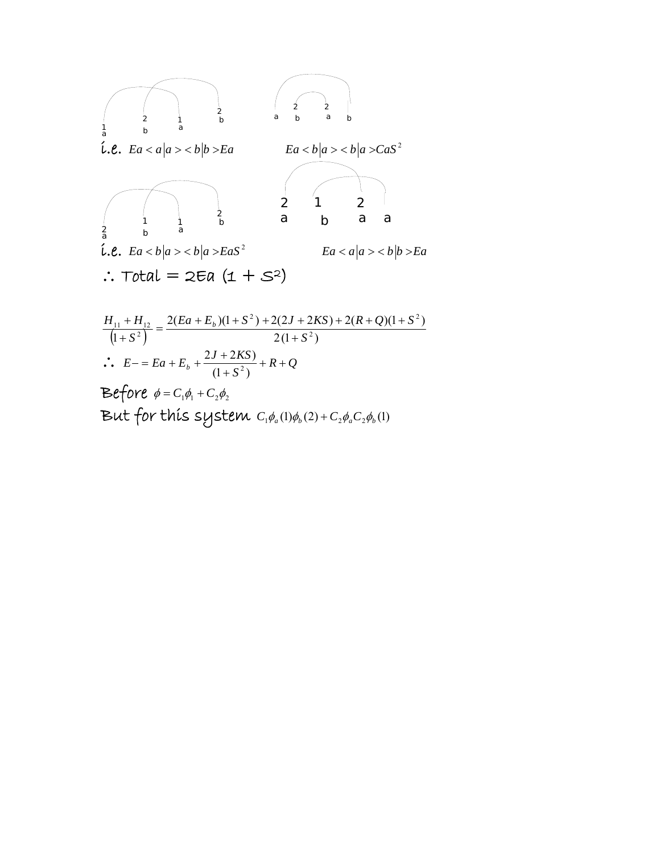

$$
\frac{H_{11} + H_{12}}{\left(1 + S^2\right)} = \frac{2(Ea + E_b)(1 + S^2) + 2(2J + 2KS) + 2(R + Q)(1 + S^2)}{2(1 + S^2)}
$$
\n
$$
\therefore E - Ea + E_b + \frac{2J + 2KS}{(1 + S^2)} + R + Q
$$

Before  $\phi = C_1 \phi_1 + C_2 \phi_2$ But for this system  $C_1 \phi_a(1) \phi_b(2) + C_2 \phi_a C_2 \phi_b(1)$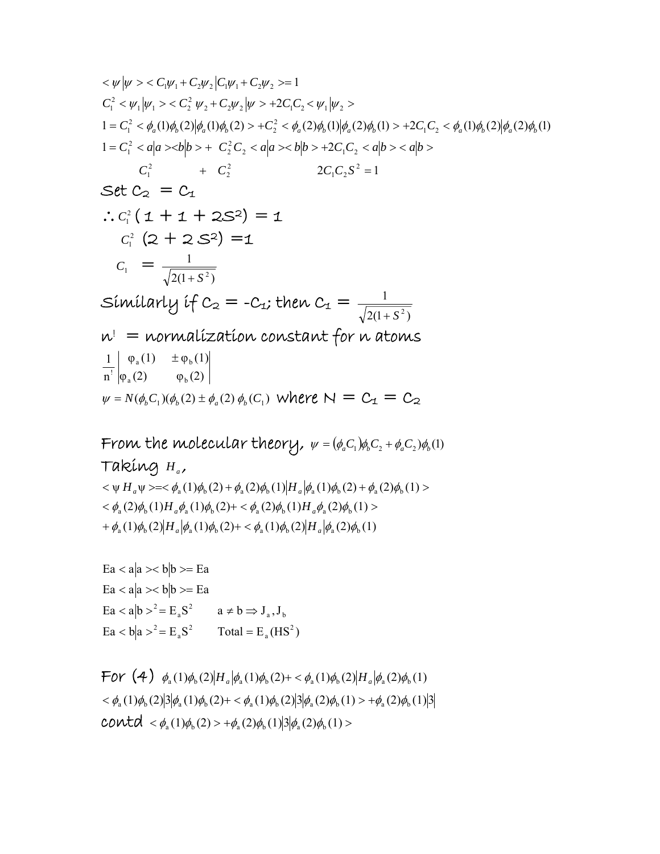$$
\langle \psi | \psi \rangle < C_1 \psi_1 + C_2 \psi_2 | C_1 \psi_1 + C_2 \psi_2 \rangle = 1
$$
\n
$$
C_1^2 < \psi_1 | \psi_1 \rangle < C_2^2 \psi_2 + C_2 \psi_2 | \psi \rangle + 2C_1 C_2 < \psi_1 | \psi_2 \rangle
$$
\n
$$
1 = C_1^2 < \phi_a(1) \phi_b(2) | \phi_a(1) \phi_b(2) \rangle + C_2^2 < \phi_a(2) \phi_b(1) | \phi_a(2) \phi_b(1) \rangle + 2C_1 C_2 < \phi_a(1) \phi_b(2) | \phi_a(2) \phi_b(1)
$$
\n
$$
1 = C_1^2 < a |a \rangle < b |b \rangle + C_2^2 C_2 < a |a \rangle < b |b \rangle + 2C_1 C_2 < a |b \rangle < a |b \rangle
$$
\n
$$
C_1^2 + C_2^2 < 2C_1 C_2 S^2 = 1
$$
\n
$$
\langle C_1^2 \left( 1 + 1 + 2S^2 \right) = 1
$$
\n
$$
C_1^2 \left( 2 + 2S^2 \right) = 1
$$
\n
$$
C_1 = \frac{1}{\sqrt{2(1 + S^2)}}
$$
\n
$$
\langle \psi | \psi | \psi \rangle = \frac{\langle \psi | \psi \rangle}{\sqrt{2(1 + S^2)}}
$$
\n
$$
\mathbf{M}^1 = \frac{1}{\sqrt{2(1 + S^2)}}
$$
\n
$$
\mathbf{M}^1 = \frac{1}{\sqrt{2(1 + S^2)}}
$$
\n
$$
\mathbf{M}^1 = \frac{1}{\sqrt{2(1 + S^2)}}
$$
\n
$$
\mathbf{M}^1 = \frac{1}{\sqrt{2(1 + S^2)}}
$$
\n
$$
\mathbf{M}^1 = \frac{1}{\sqrt{2(1 + S^2)}}
$$
\n
$$
\mathbf{M}^1 = \frac{1}{\sqrt{2(1 + S^2)}}
$$
\n
$$
\mathbf{M}^1 = \frac{1}{\sqrt{2(1 + S^2)}}
$$
\n
$$
\mathbf{M
$$

From the molecular theory,  $\psi = (\phi_a C_1) \phi_b C_2 + \phi_a C_2 \phi_b$ <sub>(1)</sub> Taking *Ha* ,  $+\phi_a(1)\phi_b(2)|H_a|\phi_a(1)\phi_b(2)+\langle\phi_a(1)\phi_b(2)|H_a|\phi_a(2)\phi_b(1)\rangle$  $<\phi_a(2)\phi_b(1)H_a\phi_a(1)\phi_b(2)+<\phi_a(2)\phi_b(1)H_a\phi_a(2)\phi_b(1)$  $<\psi H_a \psi> = <\phi_a(1)\phi_b(2) + \phi_a(2)\phi_b(1)|H_a|\phi_a(1)\phi_b(2) + \phi_a(2)\phi_b(1)$ 

 $\text{Ea} < b \mid a >^2 = \text{E}_a S^2$  Total =  $\text{E}_a (\text{HS}^2)$  $\text{Ea} < a \mid b >^2 = \text{E}_a \text{S}^2$   $a \neq b \Rightarrow J_a, J_b$  $Ea < a|a>< b|b> = Ea$  $Ea < a|a>< b|b> = Ea$ 

For  $(4)$   $\phi_a(1)\phi_b(2)H_a|\phi_a(1)\phi_b(2)+\langle\phi_a(1)\phi_b(2)|H_a|\phi_a(2)\phi_b(1)$  $<\phi_a(1)\phi_b(2)|3|\phi_a(1)\phi_b(2)+<\phi_a(1)\phi_b(2)|3|\phi_a(2)\phi_b(1)\rangle+\phi_a(2)\phi_b(1)|3|$ contd  $<\phi_{a}(1)\phi_{b}(2) > +\phi_{a}(2)\phi_{b}(1)|3|\phi_{a}(2)\phi_{b}(1) >$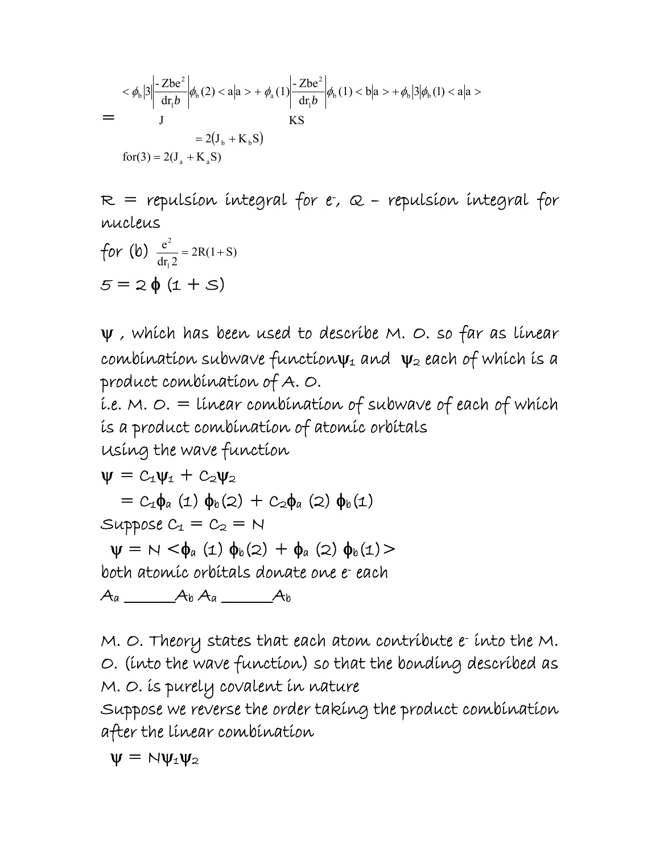$$
\langle \phi_{b} | 3 \left| \frac{-Zbe^{2}}{dr_{1}b} \right| \phi_{b}(2) < a|a \rangle + \phi_{a}(1) \left| \frac{-Zbe^{2}}{dr_{1}b} \right| \phi_{b}(1) < b|a \rangle + \phi_{b}|3| \phi_{b}(1) < a|a \rangle
$$
\n
$$
= 2(J_{b} + K_{b}S)
$$
\n
$$
= 2(J_{a} + K_{a}S)
$$
\nfor(3) = 2(J\_{a} + K\_{a}S)

 $\textstyle\mathop{\textstyle\mathop{\rm\bf E}}$  = repulsion integral for for e-,  $\varpi$  – repulsion integral for nucleus

for (b) 
$$
\frac{e^2}{dr_1 2} = 2R(1+S)
$$

$$
5 = 2 \phi (1+S)
$$

ψ , which has been used to describe M. O. so far as linear combination subwave function  $\psi_1$  and  $\psi_2$  each of which is a product combination of A. O.

 $i.e.$  M.  $\circ$ . = linear combination of subwave of each of which is a product combination of atomic orbitals Using the wave function

$$
\Psi = C_1 \Psi_1 + C_2 \Psi_2
$$
  
= C\_1 \phi\_a (1) \phi\_b(2) + C\_2 \phi\_a (2) \phi\_b(1)  
Suppose C<sub>1</sub> = C<sub>2</sub> = N  

$$
\Psi = N < \phi_a (1) \phi_b(2) + \phi_a (2) \phi_b(1) >
$$
 both atomic orbitals dorate one e- each  
A<sub>a</sub>  $\longrightarrow$  Ab A<sub>a</sub>  $\longrightarrow$  Ab

M. O. Theory states that each atom contribute e- into the M. O. (into the wave function) so that the bonding described as M. O. is purely covalent in nature

Suppose we reverse the order taking the product combination after the linear combination

 $\Psi = N\Psi_1\Psi_2$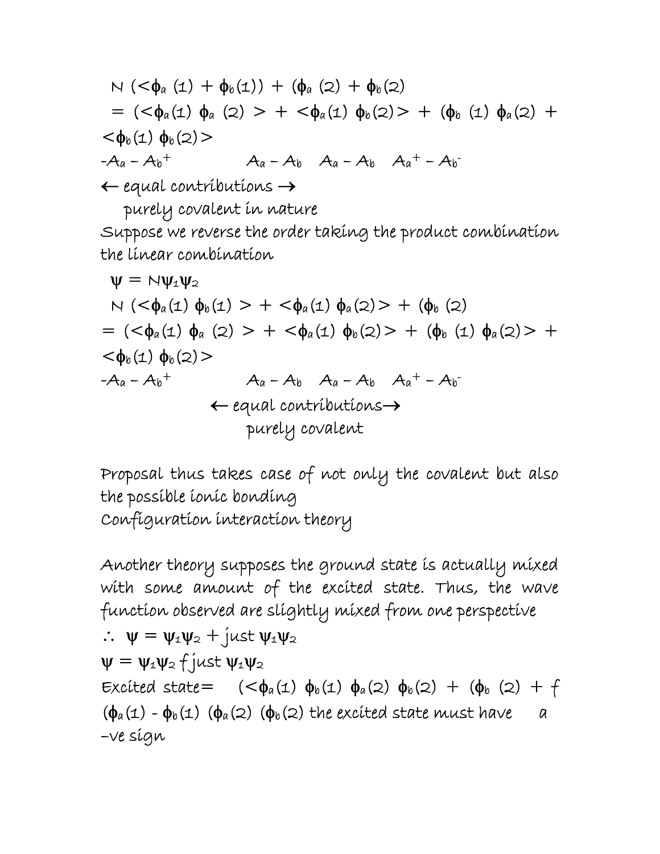N  $( $\phi_a (1) + \phi_b(1)$  +  $(\phi_a (2) + \phi_b(2))$$ =  $( $\phi_a(1) \phi_a(2) > +  $\phi_a(1) \phi_b(2) > + (\phi_b(1) \phi_a(2) +$$$  $<\!\phi_{b}(\mathbf{1})\; \phi_{b}(\mathbf{2})\!>$  $-A_a - A_b$ <sup>+</sup> +  $A_a - A_b$   $A_a - A_b$   $A_a^+ - A_b^ \leftarrow$  equal contributions  $\rightarrow$  purely covalent in nature Suppose we reverse the order taking the product combination the linear combination  $\Psi = N\Psi_1\Psi_2$ N  $(<\phi_a(1) \phi_b(1) > + <\phi_a(1) \phi_a(2) > + (\phi_b (2)$ =  $( $\phi_a(1) \phi_a(2) > +  $\phi_a(1) \phi_b(2) > + (\phi_b(1) \phi_a(2) > +$$$ 

$$
<\Phi_{b}(1) \phi_{b}(2)
$$
  
\n $-A_{a}-A_{b}^{+}$   $A_{a}-A_{b}$   $A_{a}^{-}+A_{b}^{-}$   
\n $\leftarrow$  equal contributions $\rightarrow$   
\npurely covalent

Proposal thus takes case of not only the covalent but also the possible ionic bonding Configuration interaction theory

Another theory supposes the ground state is actually mixed with some amount of the excited state. Thus, the wave function observed are slightly mixed from one perspective  $\therefore$   $\psi = \psi_1 \psi_2 + \int \psi_1 \psi_2$  $\Psi = \Psi_1 \Psi_2$  f just  $\Psi_1 \Psi_2$ Excited state=  $( $\phi_a(1) \phi_b(1) \phi_a(2) \phi_b(2) + (\phi_b (2) + f$$  $(\phi_a(1) - \phi_b(1)$   $(\phi_a(2)$   $(\phi_b(2)$  the excited state must have a –ve sign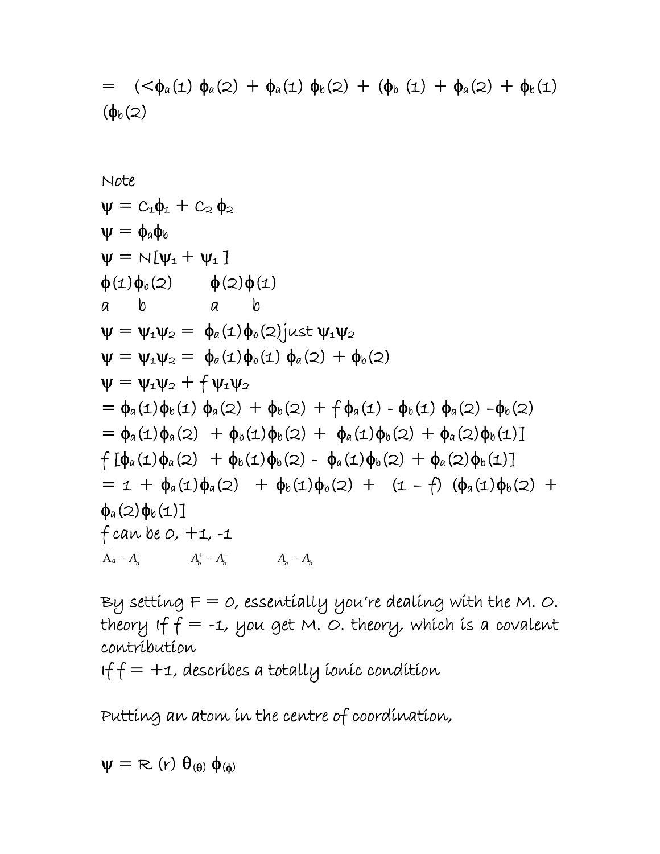$$
= ( <\phi_a(\underline{\tau}) \ \phi_a(\underline{\tau}) + \phi_a(\underline{\tau}) \ \phi_b(\underline{\tau}) + (\phi_b(\underline{\tau}) + \phi_a(\underline{\tau}) + \phi_b(\underline{\tau})
$$

$$
(\phi_b(\underline{\tau}))
$$

Note  
\n
$$
\psi = C_{4}\phi_{1} + C_{2}\phi_{2}
$$
\n
$$
\psi = \phi_{a}\phi_{b}
$$
\n
$$
\psi = N[\psi_{1} + \psi_{1}]
$$
\n
$$
\phi(1)\phi_{b}(2) \qquad \phi(2)\phi(1)
$$
\na\nb\n
$$
\psi = \psi_{1}\psi_{2} = \phi_{a}(1)\phi_{b}(2)\text{just }\psi_{1}\psi_{2}
$$
\n
$$
\psi = \psi_{1}\psi_{2} = \phi_{a}(1)\phi_{b}(1)\phi_{a}(2) + \phi_{b}(2)
$$
\n
$$
\psi = \psi_{1}\psi_{2} + f\psi_{1}\psi_{2}
$$
\n
$$
\psi = \psi_{1}\psi_{2} + f\psi_{1}\psi_{2}
$$
\n
$$
= \phi_{a}(1)\phi_{b}(1)\phi_{a}(2) + \phi_{b}(2) + f\phi_{a}(1) - \phi_{b}(1)\phi_{a}(2) - \phi_{b}(2)
$$
\n
$$
= \phi_{a}(1)\phi_{a}(2) + \phi_{b}(1)\phi_{b}(2) + \phi_{a}(1)\phi_{b}(2) + \phi_{a}(2)\phi_{b}(1)]
$$
\n
$$
f[\phi_{a}(1)\phi_{a}(2) + \phi_{b}(1)\phi_{b}(2) - \phi_{a}(1)\phi_{b}(2) + \phi_{a}(2)\phi_{b}(1)]
$$
\n
$$
= 1 + \phi_{a}(1)\phi_{a}(2) + \phi_{b}(1)\phi_{b}(2) + (1 - f)(\phi_{a}(1)\phi_{b}(2) + \phi_{a}(2)\phi_{b}(1))
$$
\n
$$
f \text{can be } O, +1, -1
$$
\n
$$
\overline{A_{a}-A_{a}^{+}} \qquad A_{b}^{+}-A_{b}^{-} \qquad A_{a}-A_{b}
$$

By setting  $F = 0$ , essentially you're dealing with the M. O. theory If  $f = -1$ , you get M. O. theory, which is a covalent contribution

 $1ff = +1$ , describes a totally ionic condition

Putting an atom in the centre of coordination,

 $\Psi = \mathcal{R}$  (r)  $\theta_{(\theta)} \phi_{(\phi)}$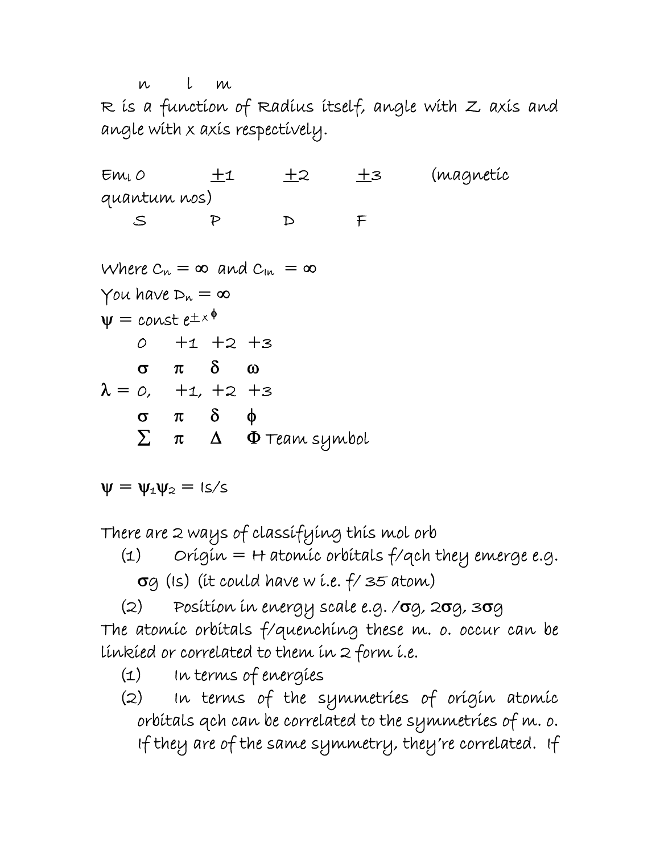n l m R is a function of Radius itself, angle with Z axis and angle with x axis respectively.

 $Em<sub>L</sub>$  0  $\pm$ 1  $\pm$ 2  $\pm$ 3 (magnetic quantum nos) S P D F

Where  $C_n = \infty$  and  $C_{1n} = \infty$ You have  $D_n = \infty$  $\psi =$  const  $e^{\pm \times \Phi}$ 0 +1 +2 +3 σ π δ ω  $\lambda = 0, \quad +1, \quad +2 \quad +3$ σ π δ φ  $\pi$   $\Delta$   $\Phi$  Team symbol

$$
\psi = \psi_{\text{1}}\psi_{\text{2}} = \text{ls/s}
$$

There are 2 ways of classifying this mol orb

(1) Origin = H atomic orbitals  $f/q$ ch they emerge e.g.

 $\sigma$ g (Is) (it could have w i.e.  $f/$  35 atom)

(2) Position in energy scale e.g. /σg, 2σg, 3σg The atomic orbitals f/quenching these m. o. occur can be linkied or correlated to them in  $2$  form i.e.

- (1) In terms of energies
- (2) In terms of the symmetries of origin atomic orbitals qch can be correlated to the symmetries of m. o. If they are of the same symmetry, they're correlated. If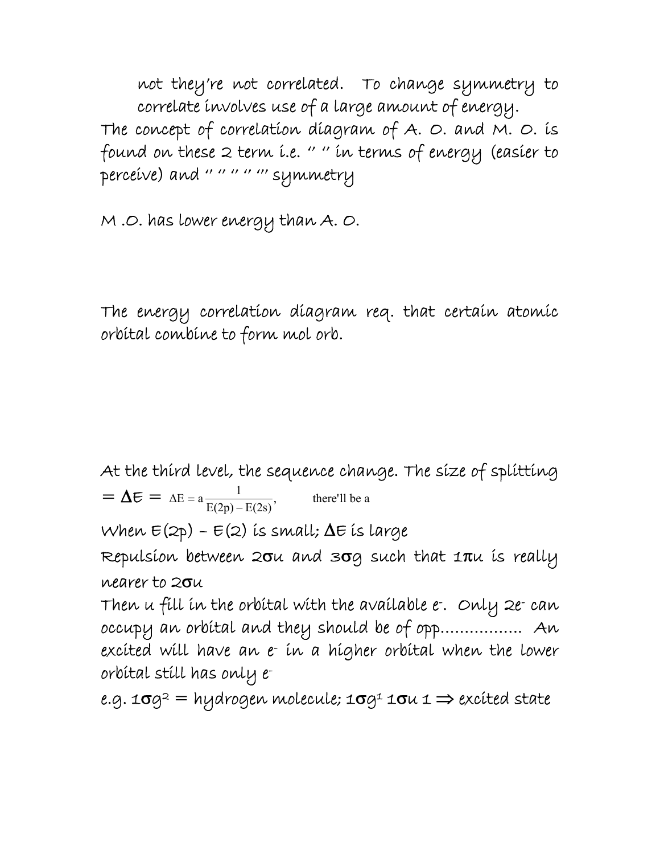not they're not correlated. To change symmetry to correlate involves use of a large amount of energy. The concept of correlation diagram of A. O. and M. O. is found on these 2 term *i.e.* " " in terms of energy (easier to perceive) and '' '' '' '' ''' symmetry

M .O. has lower energy than A. O.

The energy correlation diagram req. that certain atomic orbital combine to form mol orb.

At the third level, the sequence change. The size of splitting  $= \Delta \mathbf{E} = \Delta E = a \frac{1}{E(2p) - E(2s)}$ , there'll be a

When  $E(2p) - E(2)$  is small;  $\Delta E$  is large

Repulsion between  $2\sigma u$  and  $3\sigma g$  such that  $1\pi u$  is really nearer to 2σu

Then u fill in the orbital with the available e- . Only 2e- can occupy an orbital and they should be of opp…………….. An excited will have an e- in a higher orbital when the lower orbital still has only e-

e.g. 1 $\sigma g^2$  = hydrogen molecule; 1 $\sigma g^1$  1 $\sigma u$  1  $\Rightarrow$  excited state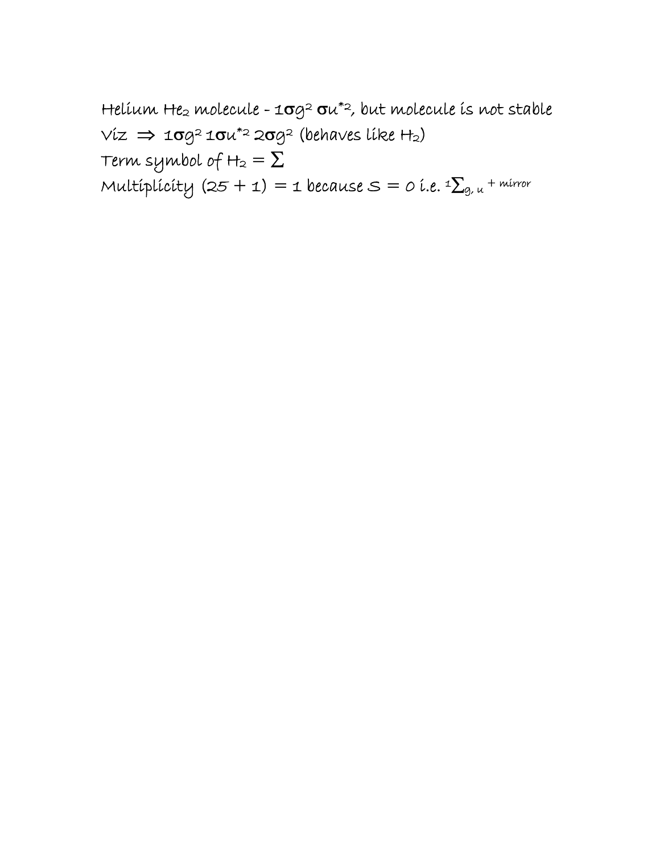Helium He<sub>2</sub> molecule - 1 $\sigma g^2 \sigma u^{*2}$ , but molecule is not stable  $Viz \Rightarrow 10^{-2}10^{-2}20^{-2}$  (behaves like H2) Term symbol of  $H_2 = \sum$ Multiplicity (25 + 1) = 1 because S = 0 i.e. 1 $\sum_{g,\,u}$  + mirror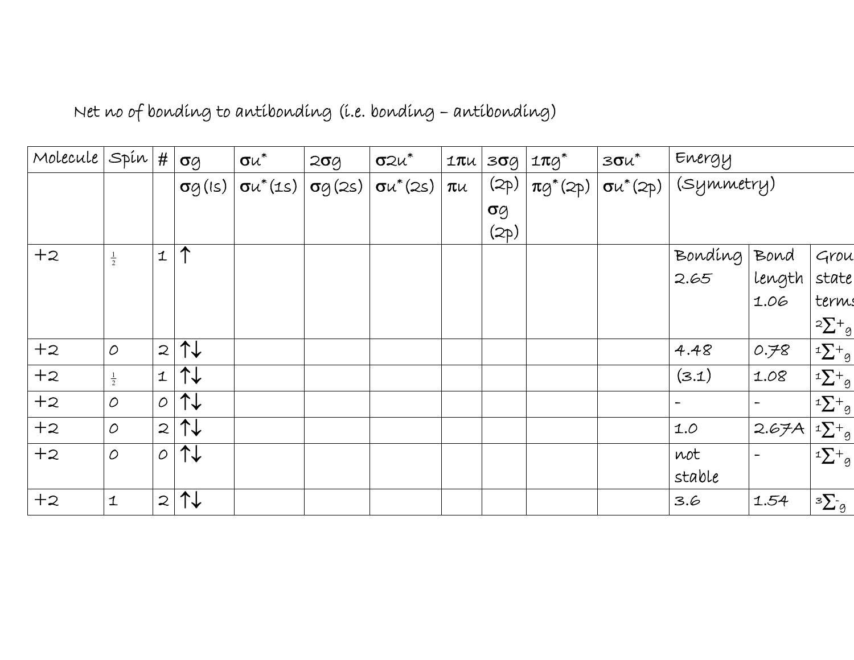| Molecule $ \operatorname{\mathsf{Spin}}\nolimits  \#  \operatorname{\mathsf{og}}\nolimits $ |               |                       |                | $\sigma u^*$                                | 200 | $\sigma$ 2 $u^*$ | $1\pi$ u |          | $3$ σ $g \mid 1 \pi g^*$ | $30*$            | Energy       |        |                        |
|---------------------------------------------------------------------------------------------|---------------|-----------------------|----------------|---------------------------------------------|-----|------------------|----------|----------|--------------------------|------------------|--------------|--------|------------------------|
|                                                                                             |               |                       | $\sigma$ g(Is) | $\sigma$ u <sup>*</sup> (1s) $\sigma$ g(2s) |     | $\sigma u^*(2s)$ | $\pi$ u  | (2p)     | $\pi q^*(2p)$            | $\sigma u^*(2p)$ | (Symmetry)   |        |                        |
|                                                                                             |               |                       |                |                                             |     |                  |          | $\sigma$ |                          |                  |              |        |                        |
|                                                                                             |               |                       |                |                                             |     |                  |          | (2p)     |                          |                  |              |        |                        |
| $+2$                                                                                        | $\frac{1}{2}$ | $\mathbf 1$           | 1              |                                             |     |                  |          |          |                          |                  | Bonding Bond |        | Grou                   |
|                                                                                             |               |                       |                |                                             |     |                  |          |          |                          |                  | 2.65         | length | state                  |
|                                                                                             |               |                       |                |                                             |     |                  |          |          |                          |                  |              | 1.06   | terms                  |
|                                                                                             |               |                       |                |                                             |     |                  |          |          |                          |                  |              |        | $2\sum +g$             |
| $+2$                                                                                        | $\mathcal{O}$ | $\mathbf{z}$          | 1↓             |                                             |     |                  |          |          |                          |                  | 4.48         | 0.78   | $1\sum +$ <sub>9</sub> |
| $+2$                                                                                        | $\frac{1}{2}$ | ${\mathbf \mathbf 1}$ | ↑↓             |                                             |     |                  |          |          |                          |                  | (3.1)        | 1.08   | $1^1\Sigma^+$ g        |
| $+2$                                                                                        | $\mathcal{O}$ | $\mathcal{O}$         | ↑↓             |                                             |     |                  |          |          |                          |                  |              |        | $1\sum +$ <sub>g</sub> |
| $+2$                                                                                        | $\mathcal{O}$ | $\mathbf{z}$          | ↑↓             |                                             |     |                  |          |          |                          |                  | 1.0          | 2.67A  | $12^+$ g               |
| $+2$                                                                                        | $\mathcal{O}$ | $\circ$               | ↑↓             |                                             |     |                  |          |          |                          |                  | not          |        | $1\sum +$ <sub>g</sub> |
|                                                                                             |               |                       |                |                                             |     |                  |          |          |                          |                  | stable       |        |                        |
| $+2$                                                                                        | ${\bf 1}$     | 2                     | 个              |                                             |     |                  |          |          |                          |                  | 3.6          | 1.54   | $3\Sigma_g$            |

Net no of bonding to antibonding (i.e. bonding – antibonding)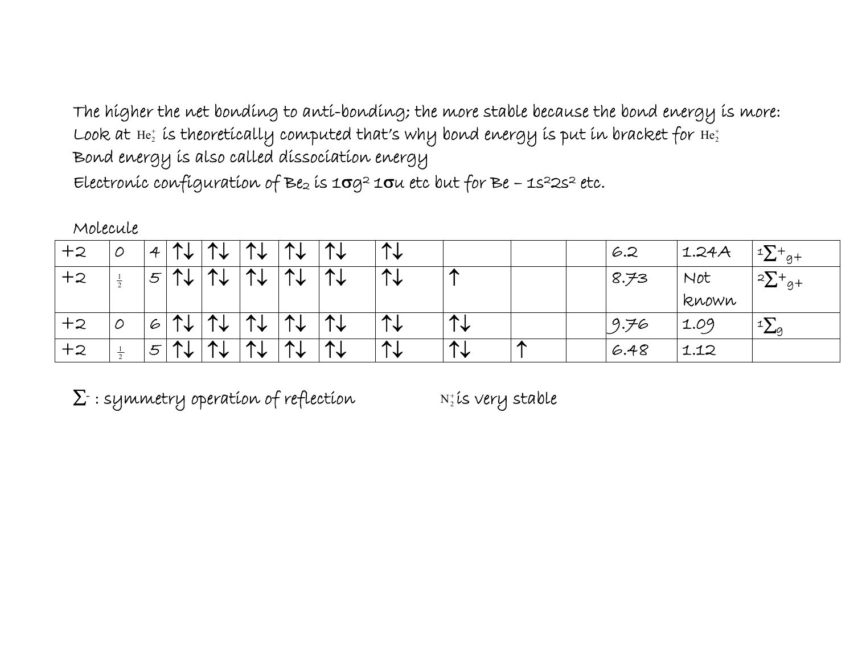The higher the net bonding to anti-bonding; the more stable because the bond energy is more: Look at  $He_2^*$  is theoretically computed that's why bond energy is put in bracket for  $He_2^*$ Bond energy is also called dissociation energy Electronic configuration of  $Be_2$  is  $1\sigma g^2$  1 $\sigma$ u etc but for  $Be - 1s^22s^2$  etc.

Molecule

| $+2$ | O | ≖                           | ⌒⌒<br>╰         | $\triangleright$<br>◡ | $\blacktriangleright$<br>╰ | T<br>╰┡                     | $\sqrt{ }$<br>╰       | ╰                |                       |            | 6.2  | 1.24A              | g+<br>▃                  |
|------|---|-----------------------------|-----------------|-----------------------|----------------------------|-----------------------------|-----------------------|------------------|-----------------------|------------|------|--------------------|--------------------------|
| $+2$ |   | <b>__</b><br>っ              | ↗<br>び          | $\triangleright$<br>∼ | $\blacktriangle$<br>◡      | $\blacktriangleright$<br>╰┢ | $\blacktriangle$      | ́∼<br>╰          | $\sqrt{2}$            |            | 8.73 | Not                | $2\sqrt{2}$<br>g+<br>▃   |
|      |   |                             |                 |                       |                            |                             |                       |                  |                       |            |      | known              |                          |
| $+2$ | O | 6                           | $\sqrt{2}$<br>✔ | $\triangleright$<br>✔ | $\blacktriangle$<br>╰      | $\blacktriangle$<br>╰╇      | $\blacktriangle$<br>╰ | $\sqrt{ }$<br>⋰  | $\triangleright$<br>╰ |            | 9.76 | $\perp O^{\alpha}$ | $\overline{\phantom{0}}$ |
| $+2$ |   | $\mathcal{F}_{\mathcal{L}}$ | ⌒<br>◡          | Ж.<br>◡               | $\blacktriangle$<br>╰      | $\sqrt{2}$<br>نان           | $\sqrt{2}$<br>N.      | $\sqrt{2}$<br>╰╈ | $\triangleright$<br>₩ | $\sqrt{2}$ | 6.48 | 1.12               |                          |

 $\Sigma$ - : symmetry operation of reflection  $N_2^*$  is very stable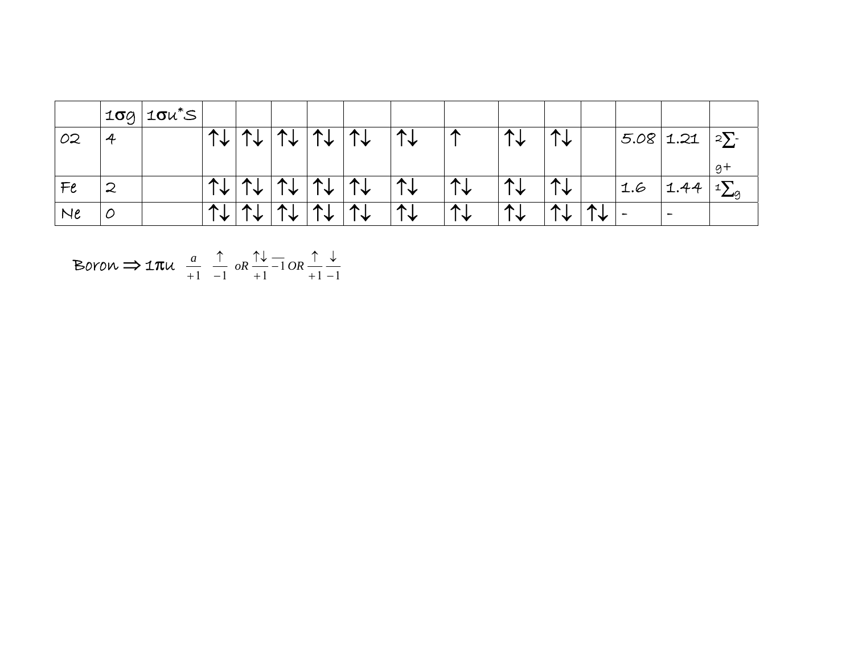|    |              | $ 100 10u^*$ S |                             |        |                     |              |  |                  |                       |                 |             |                         |
|----|--------------|----------------|-----------------------------|--------|---------------------|--------------|--|------------------|-----------------------|-----------------|-------------|-------------------------|
| 02 |              |                | $\blacktriangleright$<br>╰┻ | ⌒      | $\mathbf{r}$<br>مای | T.           |  | ‴                | T.<br>╰               | $\sqrt{2}$<br>╰ | $5.08$ 1.21 | $\overline{\mathbf{2}}$ |
|    |              |                |                             |        |                     |              |  |                  |                       |                 |             | -97                     |
| Fe | $\mathbf{z}$ |                | $\blacktriangleright$<br>▸  | ⌒<br>◡ | $\sqrt{ }$<br>ملحا  | $\mathbf{r}$ |  | T.               | T.<br>╰               | $\sqrt{2}$<br>╰ | 1.6         |                         |
| Ne | Ω            |                | $\sqrt{2}$                  |        | æ                   |              |  | $\triangleright$ | $\blacktriangleright$ | $\sqrt{2}$<br>◡ |             |                         |

$$
\text{Boron} \implies \text{Im} \ u \ \xrightarrow{a} \ \frac{\uparrow}{1} \ \frac{\uparrow}{-1} \ \text{or} \ \frac{\uparrow\downarrow}{+1} \frac{\uparrow}{-1} \ \text{or} \ \frac{\uparrow}{+1} \frac{\downarrow}{-1}
$$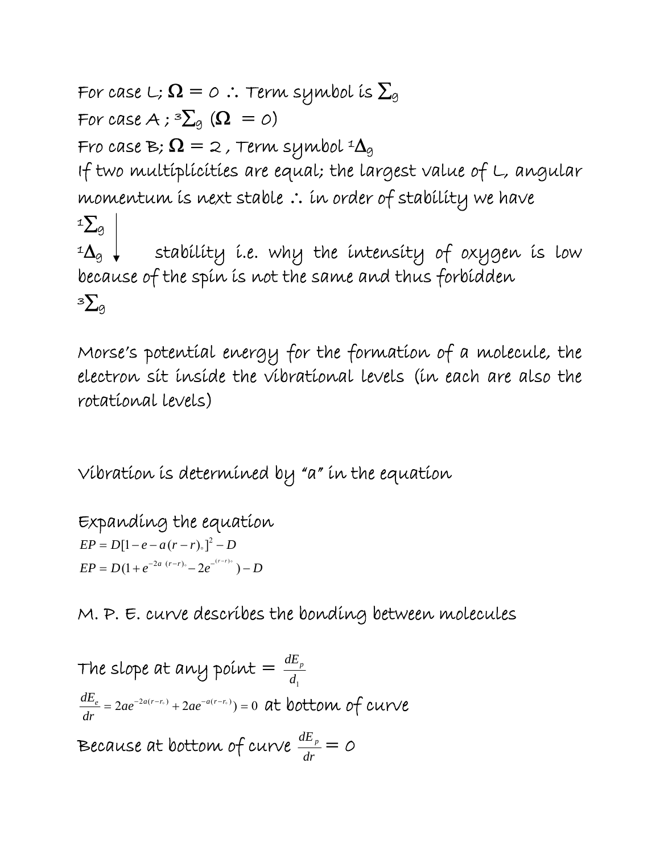For case L;  $\Omega = o$  ∴ Term symbol is  $\Sigma_g$ For case  $A: {}^3\Sigma_a$  ( $\Omega = 0$ ) Fro case B;  $\Omega = z$ , Term symbol  ${}^{\text{1}}\Delta_{g}$ If two multiplicities are equal; the largest value of L, angular momentum is next stable ∴ in order of stability we have  $1\sum_{\alpha}$  $1\Delta$ g  $\downarrow$  stability i.e. why the intensity of oxygen is low because of the spin is not the same and thus forbidden <sup>3</sup>∑g

Morse's potential energy for the formation of a molecule, the electron sit inside the vibrational levels (in each are also the rotational levels)

Vibration is determined by "a" in the equation

Expanding the equation  $EP = D(1 + e^{-2a(r-r)s} - 2e^{-(r-r)s}) - D$  $EP = D[1 - e - a(r - r)_0]^2 - D$ 

M. P. E. curve describes the bonding between molecules

The slope at any point  $=\frac{dE_p}{d_1}$  $\frac{e}{r} = 2ae^{-2a(r-r_0)} + 2ae^{-a(r-r_0)} = 0$  $\frac{dE_e}{dr} = 2ae^{-2a(r-r_0)} + 2ae^{-a(r-r_0)}) = 0$  at bottom of curve Because at bottom of curve  $\frac{dE_p}{dr} = O$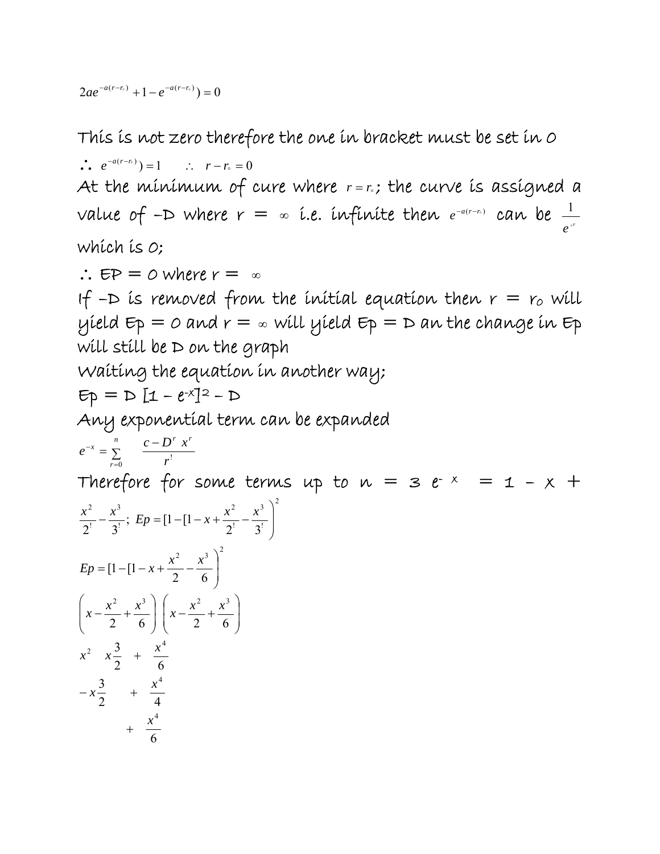$2ae^{-a(r-r_0)} + 1 - e^{-a(r-r_0)} = 0$ 

This is not zero therefore the one in bracket must be set in 0

 $\therefore$   $e^{-a(r-r_0)}$  = 1  $\therefore$   $r-r_0 = 0$ At the minimum of cure where  $r = r$ ; the curve is assigned a value of −D where r = ∞ í.e. ínfiníte then  $e^{-a(r-n)}$  can be  $\frac{1}{e^{a^r}}$  $\frac{1}{\sqrt{1-\frac{1}{x}}}$ which is 0;

∴  $EP = Q$  where  $r = ∞$ 

If  $-D$  is removed from the initial equation then  $r = r_0$  will  $y$ ield  $Ep = o$  and  $r = \infty$  will yield  $Ep = p$  an the change in  $Ep$ will still be D on the graph

Waiting the equation in another way;

$$
\mathsf{Ep} = \mathsf{D} \left[ \mathbf{1} - e^{-x} \right]^2 - \mathsf{D}
$$

Any exponential term can be expanded

 $r^!$  $e^{-x} = \sum_{n=0}^{n} \frac{c - D^r x^n}{r}$  $r^{-x} = \sum_{r=0}^{n} \frac{c - D^r x^r}{r!}$ Therefore for some terms up to  $n = 3 e<sup>-x</sup> = 1 - x +$ 

$$
\frac{x^2}{2^1} - \frac{x^3}{3^1}; \quad Ep = [1 - [1 - x + \frac{x^2}{2^1} - \frac{x^3}{3^1}]\n\nEp = [1 - [1 - x + \frac{x^2}{2} - \frac{x^3}{6}]\n\n\left(x - \frac{x^2}{2} + \frac{x^3}{6}\right)\left(x - \frac{x^2}{2} + \frac{x^3}{6}\right)\n\nx^2\n\nx^2\n\nx^3\n\n\frac{x^3}{2} + \frac{x^4}{6}\n\n\left(-x - \frac{x^3}{2} + \frac{x^4}{4}\right)\n\n\left(-x - \frac{x^3}{2} + \frac{x^4}{4}\right)\n\n\left(-x - \frac{x^3}{2} + \frac{x^4}{4}\right)\n\n\left(-x - \frac{x^3}{2} + \frac{x^4}{4}\right)\n\n\left(-x - \frac{x^3}{2} + \frac{x^4}{4}\right)\n\n\left(-x - \frac{x^3}{2} + \frac{x^4}{4}\right)\n\n\left(-x - \frac{x^3}{2} + \frac{x^4}{4}\right)\n\n\left(-x - \frac{x^3}{2} + \frac{x^4}{4}\right)\n\n\left(-x - \frac{x^3}{2} + \frac{x^4}{4}\right)\n\n\left(-x - \frac{x^2}{2} + \frac{x^3}{4}\right)\n\n\left(-x - \frac{x^2}{2} + \frac{x^3}{4}\right)\n\n\left(-x - \frac{x^2}{2} + \frac{x^3}{4}\right)\n\n\left(-x - \frac{x^2}{2} + \frac{x^3}{4}\right)\n\n\left(-x - \frac{x^2}{2} + \frac{x^3}{4}\right)\n\n\left(-x - \frac{x^2}{2} + \frac{x^3}{4}\right)\n\n\left(-x - \frac{x^2}{2} + \frac{x^3}{4}\right)\n\n\left(-x - \frac{x^2}{2} + \frac{x^3}{4}\right)\n\n\left(-x - \frac{x^2}{2} + \frac{x^3}{4}\right)\n\n\left(-x - \frac{x^2}{2} + \frac{x^3}{4}\right)\n\n\left(-x - \frac{x^2}{2} + \frac{x^3}{4}\right)\n\n\left(-x - \frac{x^2}{2} + \frac{x^3}{4
$$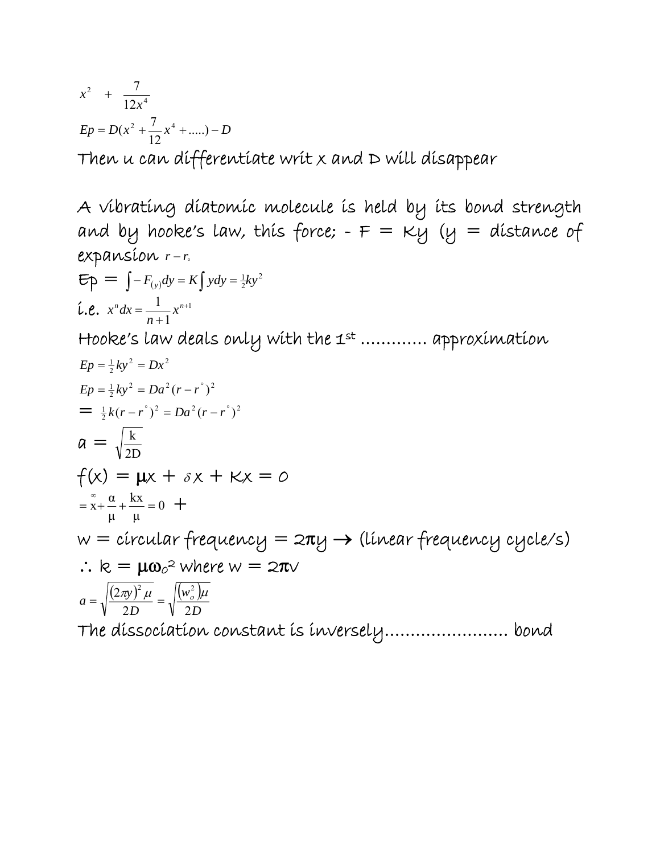$$
x^{2} + \frac{7}{12x^{4}}
$$
  
Ep = D(x<sup>2</sup> +  $\frac{7}{12}$ x<sup>4</sup> + .....) - D  
Then u can differentiate writ x and D will disappear

A vibrating diatomic molecule is held by its bond strength and by hooke's law, this force;  $-F = \kappa y$   $(y =$  distance of expansion <sup>−</sup> ° *<sup>r</sup> <sup>r</sup>*  $\epsilon_P = \int -F_{(y)}dy = K \int ydy = \frac{1}{2}ky^2$  $\int -F_{(y)}dy = K\int ydy = \frac{1}{2}ky^2$ **i.e.**  $x^n dx = \frac{1}{n+1} x^{n+1}$  $x^n dx = \frac{1}{n+1} x^{n+1}$ Hooke's law deals only with the 1st ............ approximation  $Ep = \frac{1}{2}ky^2 = Dx^2$  $2 - Dg^2(u - v^2)^2$  $Ep = \frac{1}{2}ky^2 = Da^2(r - r^2)^2$  $= \frac{1}{2}k(r-r^{2})^{2} = Da^{2}(r-r^{2})^{2}$  $a = \sqrt{\frac{k}{2D}}$  $f(x) = \mu x + \delta x + \kappa x = 0$ 0 μ kx μ  $=\stackrel{\infty}{x}+\frac{\alpha}{\mu}+\frac{kx}{\mu}=0$  +  $w =$  circular frequency =  $2\pi y \rightarrow$  (linear frequency cycle/s)  $\therefore$  k =  $\mu\omega_0^2$  where  $w = 2\pi v$  $(2\pi y)^2 \mu$   $|(w_0^2)|$ *D w D*  $a = \sqrt{\frac{(2\pi y)^2}{a}}$ 2D  $\sqrt{2}$  $=\sqrt{\frac{(2\pi y)^2 \mu}{2D}} = \sqrt{\frac{(w_o^2)\mu}{2D}}$ The dissociation constant is inversely…………………… bond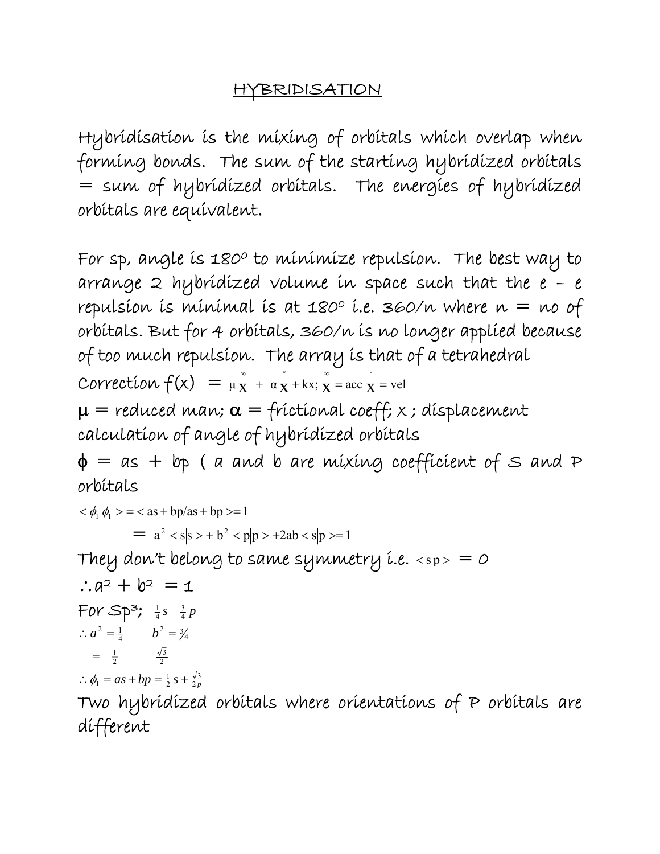# HYBRIDISATION

Hybridisation is the mixing of orbitals which overlap when forming bonds. The sum of the starting hybridized orbitals = sum of hybridized orbitals. The energies of hybridized orbitals are equivalent.

For sp, angle is 180° to minimize repulsion. The best way to arrange 2 hybridized volume in space such that the  $e - e$ repulsion is minimal is at 180° i.e.  $360/n$  where  $n = no$  of orbitals. But for 4 orbitals, 360/n is no longer applied because of too much repulsion. The array is that of a tetrahedral Correction  $f(x) = \mu \frac{\alpha}{x} + \alpha \frac{\alpha}{x} + kx$ ;  $\frac{\alpha}{x} = \text{acc } x = \text{vel}$  $\mu$  = reduced man;  $\alpha$  = frictional coeff; x; displacement calculation of angle of hybridized orbitals  $\phi = as + bp$  (a and b are mixing coefficient of S and P orbitals  $<\phi_1|\phi_1>=\langle as+bp/as+bp>=1$ 

 $= a<sup>2</sup> < s | s > + b<sup>2</sup> < p | p > + 2ab < s | p > = 1$ 

They don't belong to same symmetry i.e.  $\langle s | p \rangle = O$ 

∴ $a^2 + b^2 = 1$ For  $Sp^3; \frac{1}{4}s \frac{3}{4}p$ 2 3  $= \frac{1}{2}$ ∴  $a^2 = \frac{1}{4}$   $b^2 = \frac{3}{4}$  $as + bp = \frac{1}{2}s + \frac{\sqrt{3}}{2p}$  $\therefore \phi_1 = as + bp = \frac{1}{2}s + \frac{\sqrt{3}}{2p}$ 

Two hybridized orbitals where orientations of P orbitals are different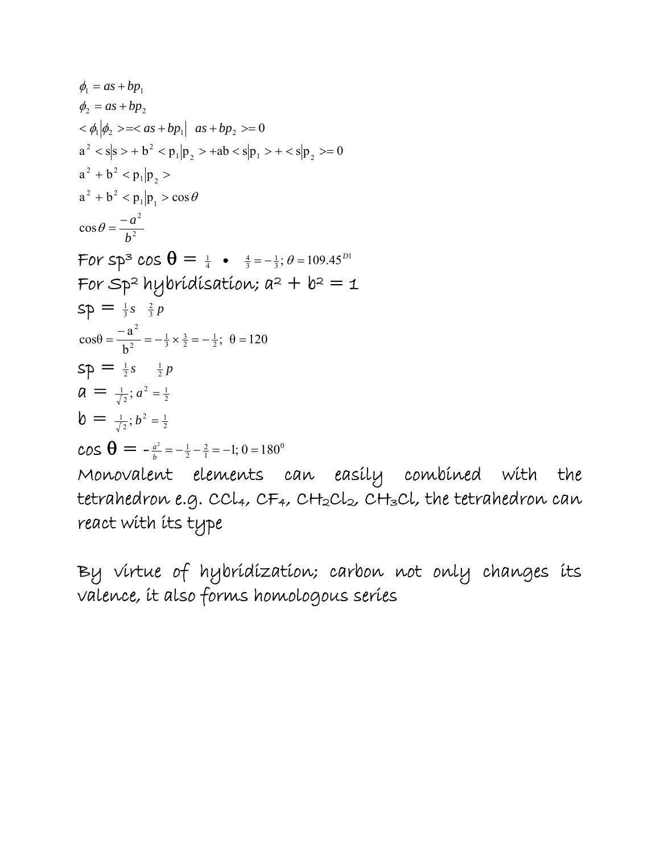$$
\phi_1 = as + bp_1
$$
  
\n
$$
\phi_2 = as + bp_2
$$
  
\n
$$
\langle \phi_1 | \phi_2 \rangle = \langle as + bp_1 | as + bp_2 \rangle = 0
$$
  
\n
$$
a^2 < s | s \rangle + b^2 < p_1 | p_2 \rangle + ab < s | p_1 \rangle + \langle s | p_2 \rangle = 0
$$
  
\n
$$
a^2 + b^2 < p_1 | p_2 \rangle
$$
  
\n
$$
a^2 + b^2 < p_1 | p_1 \rangle \langle \cos \theta \rangle
$$
  
\n
$$
\cos \theta = \frac{-a^2}{b^2}
$$

For  $\text{sp}^3$  cos  $\theta = \frac{1}{4}$  •  $\frac{4}{3} = -\frac{1}{3}$ ;  $\theta = 109.45^{D1}$ For  $Sp^2$  hybrídísatíon;  $a^2 + b^2 = 1$  $sp = \frac{1}{3}s \frac{2}{3}p$ ;  $θ = 120$ b  $\cos\theta = \frac{-a^2}{b^2} = -\frac{1}{3} \times \frac{3}{2} = -\frac{1}{2}$ 2  $=\frac{-a^2}{b^2}=-\frac{1}{3}\times\frac{3}{2}=-\frac{1}{2};\;\;0=120$  $sp = \frac{1}{2}s - \frac{1}{2}p$  $a = \frac{1}{\sqrt{2}}$ ;  $a^2 = \frac{1}{2}$  $\frac{1}{\sqrt{2}}$ ;  $a^2 = \frac{1}{2}$  $b = \frac{1}{\sqrt{2}}$ ;  $b^2 = \frac{1}{2}$  $\frac{1}{\sqrt{2}}$ ;  $b^2 = \frac{1}{2}$ 

 $\cos \theta = -\frac{a^2}{b} = -\frac{1}{2} - \frac{2}{1} = -1; 0 = 180^\circ$ 

Monovalent elements can easily combined with the tetrahedron e.g. CCL4, CF4, CH2CL2, CH3CL, the tetrahedron can react with its type

By virtue of hybridization; carbon not only changes its valence, it also forms homologous series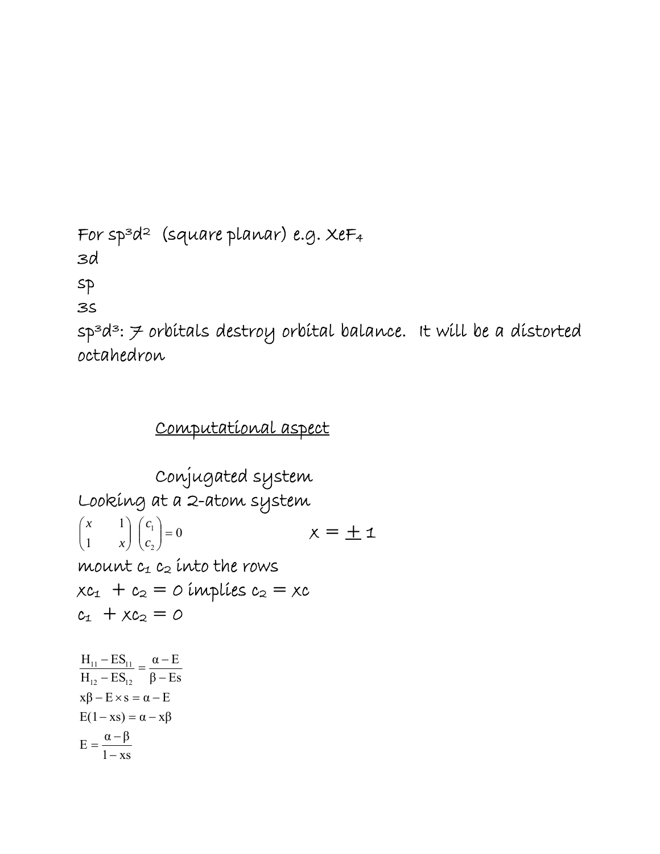```
For sp3d2 (square planar) e.g. XeF4 
3d 
sp 
3s 
sp^s d^s: \neq orbitals destroy orbital balance. It will be a distorted
octahedron
```
Computational aspect

```
 Conjugated system 
Looking at a 2-atom system 
                               0
   1
             1
                       \begin{pmatrix} 1 \\ 2 \end{pmatrix} =⎠
                         ⎞
                    \overline{\phantom{a}}⎝
                    \big(\sqrt{2}⎠
                ⎞
 \overline{\phantom{a}}⎝
 \sqrt{}c
                      c
   \begin{pmatrix} x & 1 \\ 1 & x \end{pmatrix} \begin{pmatrix} c_1 \\ c_2 \end{pmatrix} = 0   x = \pm 1mount c_1 c_2 into the rows
xc_1 + c_2 = o implies c_2 = xcc_1 + x c_2 = 01 - xsE = \frac{\alpha - \beta}{\sigma}E(1 - xs) = \alpha - x\betax\beta - E \times s = \alpha - E\beta - Es\alpha - EH_{12} - ESH_{11} - ES_{12} - 12_{11} - 11−
     =\frac{\alpha-1}{\alpha-1}\frac{-\text{ES}_{11}}{-\text{ES}_{12}} = \frac{\alpha - \beta}{\beta - \beta}
```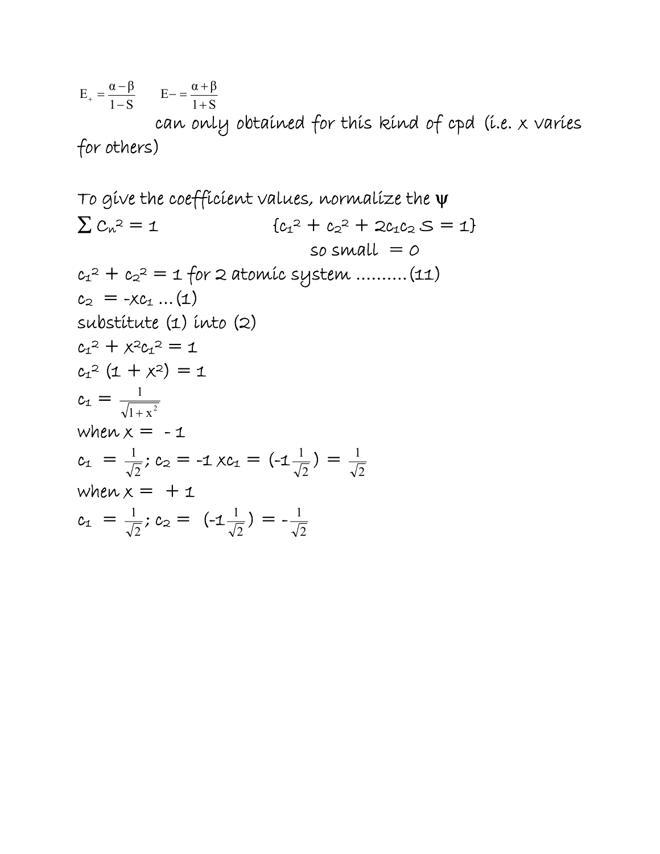$1 + S$  $E - \frac{\alpha + \beta}{\alpha}$  $1 - S$  $E_{+} = \frac{\alpha - \beta}{1 - \alpha}$  $_{+} = \frac{\alpha - \beta}{1 - S}$   $E - = \frac{\alpha + \beta}{1 + S}$  can only obtained for this kind of cpd (i.e. x varies for others)

To give the coefficient values, normalize the 
$$
\Psi
$$
  
\n $\sum c_n^2 = 1$  { $c_1^2 + c_2^2 + 2c_1c_2 S = 1$ }  
\nso small = 0  
\n $c_1^2 + c_2^2 = 1$  for 2 atomic system .........(11)  
\n $c_2 = -x c_1 ... (1)$   
\nsubstitute (1) into (2)  
\n $c_1^2 + x^2 c_1^2 = 1$   
\n $c_1^2 (1 + x^2) = 1$   
\n $c_1 = \frac{1}{\sqrt{1 + x^2}}$   
\nwhen  $x = -1$   
\n $c_1 = \frac{1}{\sqrt{2}}$ ;  $c_2 = -1$   $x c_1 = (-1\frac{1}{\sqrt{2}}) = \frac{1}{\sqrt{2}}$   
\nwhen  $x = +1$   
\n $c_1 = \frac{1}{\sqrt{2}}$ ;  $c_2 = (-1\frac{1}{\sqrt{2}}) = -\frac{1}{\sqrt{2}}$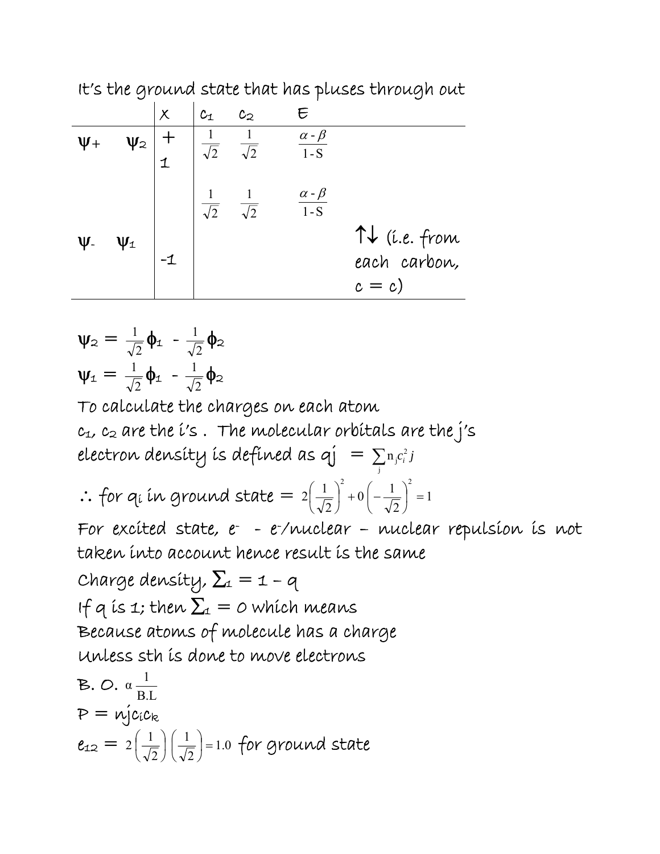|          |                          | $\times$    | c <sub>1</sub>        | $c_{\mathcal{2}}$                    | E                                    |                                           |
|----------|--------------------------|-------------|-----------------------|--------------------------------------|--------------------------------------|-------------------------------------------|
| $\Psi +$ | $\psi_2$                 | $\mathbf 1$ | $\overline{\sqrt{2}}$ | $\boxed{1}$<br>$\overline{\sqrt{2}}$ | $\alpha - \beta$<br>$\overline{1-S}$ |                                           |
| ψ.       | $\psi_{\text{\tiny{1}}}$ |             | $\overline{\sqrt{2}}$ | $\frac{1}{\sqrt{2}}$                 | $\frac{\alpha - \beta}{1 - S}$       | T V (i.e. from<br>each carbon,<br>$c = c$ |

It's the ground state that has pluses through out

$$
\psi_2 = \frac{1}{\sqrt{2}} \phi_1 - \frac{1}{\sqrt{2}} \phi_2
$$

$$
\psi_1 = \frac{1}{\sqrt{2}} \phi_1 - \frac{1}{\sqrt{2}} \phi_2
$$

To calculate the charges on each atom  $c_1$ ,  $c_2$  are the i's. The molecular orbitals are the j's electron density is defined as  $qj~=~\sum_{{\rm n}_j c_i^2} j$  $\sum_{j}$ n<sub>j</sub> $c_i^2 j$ 

$$
\therefore \text{ for } q_i \text{ in ground state } = 2\left(\frac{1}{\sqrt{2}}\right)^2 + 0\left(-\frac{1}{\sqrt{2}}\right)^2 = 1
$$

For excited state, e- - e- /nuclear – nuclear repulsion is not taken into account hence result is the same

Charge density,  $\Sigma_1 = 1 - q$ If q is 1; then  $\Sigma_1 = o$  which means Because atoms of molecule has a charge Unless sth is done to move electrons

B. O. 
$$
\alpha \frac{1}{B.L}
$$
  
\nP =  $\mu j c_i c_k$   
\n $e_{12} = 2 \left( \frac{1}{\sqrt{2}} \right) \left( \frac{1}{\sqrt{2}} \right) = 1.0$  for ground state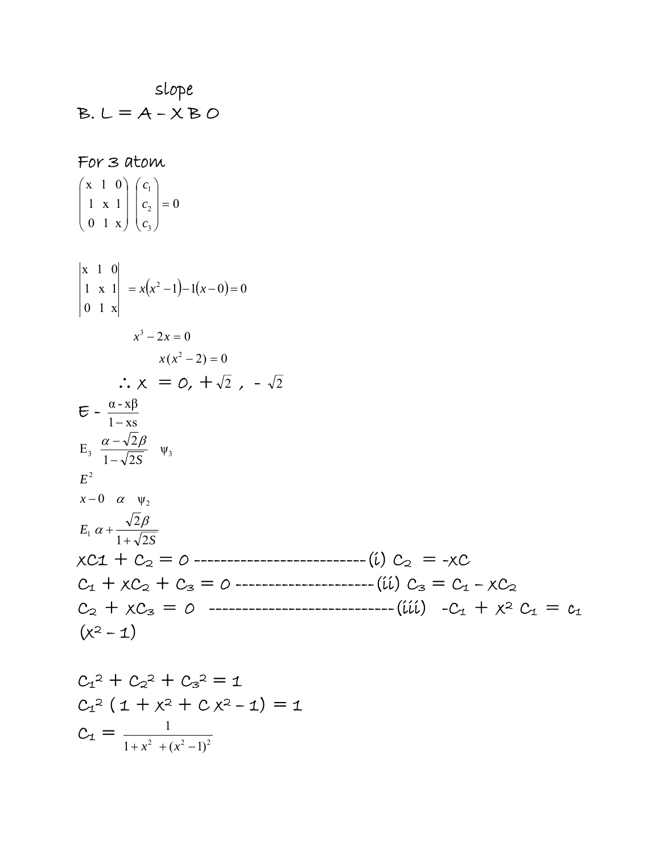slope  $B. L = A - X B O$ 

For 3 atom 0 1 x 1 x 1 0 1 =  $\overline{\phantom{a}}$  $\overline{\phantom{a}}$ ⎞  $\mathsf I$  $\mathsf I$  $\sqrt{}$  $\overline{\phantom{a}}$  $\overline{\phantom{a}}$ ⎞  $\mathsf{L}$  $\mathsf I$  $\sqrt{2}$ *c c*

- 0 1 x 3 2  $\sqrt{2}$ ⎠  $\overline{a}$ ⎝  $\overline{\phantom{a}}$ ⎠  $\overline{ }$ ⎝ *c*
- 0 1 x 1 x 1 x 1 0  $(x^2-1)-1(x-0)=0$  $x^3 - 2x = 0$  $x(x^2-2) = 0$  $\therefore$   $x = 0, +\sqrt{2}, -\sqrt{2}$  $E - \frac{\alpha - xp}{1 - xs}$  $\frac{\alpha - x\beta}{1 - xs}$ *S E*  $x-0$   $\alpha$   $\psi_2$ *E* 2 E<sub>3</sub>  $\frac{\alpha - \sqrt{2\beta}}{1 - \sqrt{2S}}$   $\psi_3$  $1 + \sqrt{2}$ 2  $1^{\alpha}$   $1^{\alpha}$  $\alpha + \frac{\sqrt{2\beta}}{\sqrt{2\beta}}$  $\alpha - \sqrt{2\beta}$ xC1 + C2 = 0 --------------------------(i) C2 = -xC C1 + xC2 + C3 = 0 ---------------------(ii) C3 = C1 – xC2 C2 + xC3 = 0 ----------------------------(iii) -C1 + x2 C1 = c1  $(x^2 - 1)$

$$
C_1^2 + C_2^2 + C_3^2 = 1
$$
  
\n
$$
C_1^2 (1 + x^2 + C x^2 - 1) = 1
$$
  
\n
$$
C_1 = \frac{1}{1 + x^2 + (x^2 - 1)^2}
$$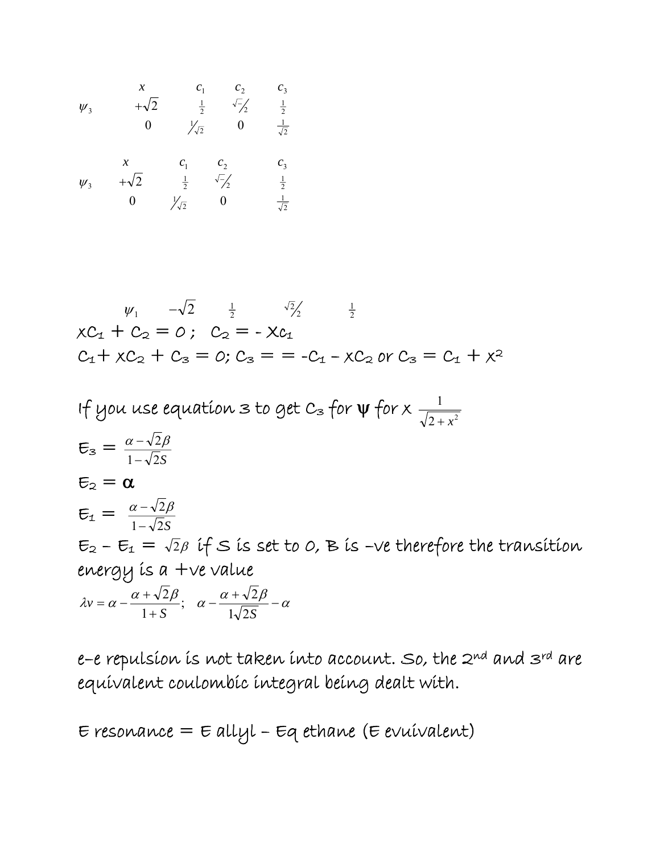$$
\begin{array}{ccccccccc}\n & x & c_1 & c_2 & c_3 \\
\psi_3 & +\sqrt{2} & \frac{1}{2} & \sqrt{-2} & \frac{1}{2} \\
0 & \frac{1}{2} & 0 & \frac{1}{\sqrt{2}} \\
x & c_1 & c_2 & c_3 \\
\psi_3 & +\sqrt{2} & \frac{1}{2} & \sqrt{-2} & \frac{1}{2} \\
0 & \frac{1}{2} & 0 & \frac{1}{\sqrt{2}}\n\end{array}
$$

$$
\psi_1 \quad -\sqrt{2} \quad \frac{1}{2} \quad \frac{\sqrt{2}}{2} \quad \frac{1}{2}
$$
\n
$$
\chi C_1 + C_2 = 0; \quad C_2 = -\chi C_1
$$
\n
$$
C_1 + \chi C_2 + C_3 = 0; \quad C_3 = -C_1 - \chi C_2 \text{ or } C_3 = C_1 + \chi^2
$$

If you use equation  $\bm{s}$  to get  $c_{\bm{s}}$  for  $\bm{\psi}$  for  $\bm{\chi}$   $\frac{1}{\sqrt{2+x^2}}$  $\mathbf{E}_3 = \frac{a - \sqrt{2\beta}}{1 - \sqrt{2S}}$   $\frac{\alpha - \sqrt{2\beta}}{1 - \sqrt{2S}}$  $\mathbf{E}_2 = \mathbf{\alpha}$  $E_1 = \frac{a - \sqrt{2}k}{1 - \sqrt{2}S}$   $\frac{\alpha - \sqrt{2\beta}}{1 - \sqrt{2S}}$  $E_2 - E_1 = \sqrt{2} \beta$  if S is set to 0, B is -ve therefore the transition energy is a +ve value  $\lambda v = \alpha - \frac{\alpha + \sqrt{2\beta}}{1 + S}; \quad \alpha - \frac{\alpha + \sqrt{2\beta}}{1\sqrt{2S}} - \alpha$ *v*  $1\sqrt{2}$  $\frac{+\sqrt{2\beta}}{1+ S}$ ;  $\alpha - \frac{\alpha + \sqrt{2\beta}}{1\sqrt{2S}} - \alpha$ 

e–e repulsion is not taken into account. So, the 2nd and 3rd are equivalent coulombic integral being dealt with.

 $E$  resonance =  $E$  allyl -  $Eq$  ethane ( $E$  evuivalent)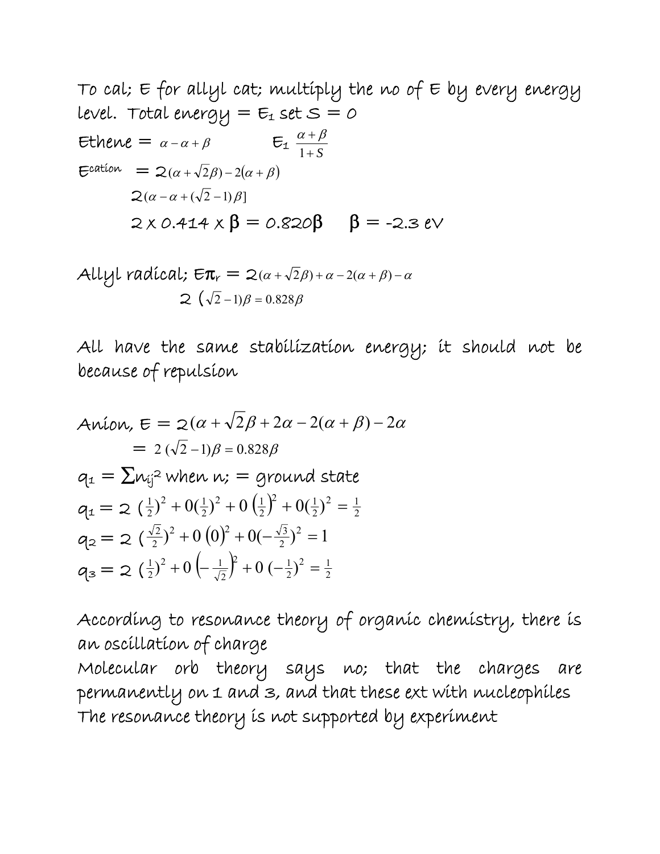To cal; E for allyl cat; multiply the no of E by every energy  
level. Total energy = E<sub>1</sub> set S = 0  
Ethene = 
$$
a - a + \beta
$$
 E<sub>1</sub>  $\frac{a + \beta}{1 + S}$   
Ecation =  $2(a + \sqrt{2}\beta) - 2(a + \beta)$   
 $2(a - a + (\sqrt{2} - 1)\beta)$   
 $2 \times 0.414 \times \beta = 0.820\beta$   $\beta = -2.3 eV$ 

$$
\text{Allyl radical; } \mathbf{E}\pi_r = 2(\alpha + \sqrt{2}\beta) + \alpha - 2(\alpha + \beta) - \alpha
$$
\n
$$
2(\sqrt{2} - 1)\beta = 0.828\beta
$$

All have the same stabilization energy; it should not be because of repulsion

$$
\begin{aligned}\n\text{Anion, } \mathbf{E} &= 2(\alpha + \sqrt{2}\beta + 2\alpha - 2(\alpha + \beta) - 2\alpha \\
&= 2(\sqrt{2} - 1)\beta = 0.828\beta \\
q_1 &= \sum \mu_{ij}^2 \text{ when } \mu_i = \text{ground state} \\
q_1 &= 2(\frac{1}{2})^2 + 0(\frac{1}{2})^2 + 0(\frac{1}{2})^2 + 0(\frac{1}{2})^2 = \frac{1}{2} \\
q_2 &= 2(\frac{\sqrt{2}}{2})^2 + 0(0)^2 + 0(-\frac{\sqrt{3}}{2})^2 = 1 \\
q_3 &= 2(\frac{1}{2})^2 + 0(-\frac{1}{\sqrt{2}})^2 + 0(-\frac{1}{2})^2 = \frac{1}{2}\n\end{aligned}
$$

According to resonance theory of organic chemistry, there is an oscillation of charge Molecular orb theory says no; that the charges are permanently on 1 and 3, and that these ext with nucleophiles The resonance theory is not supported by experiment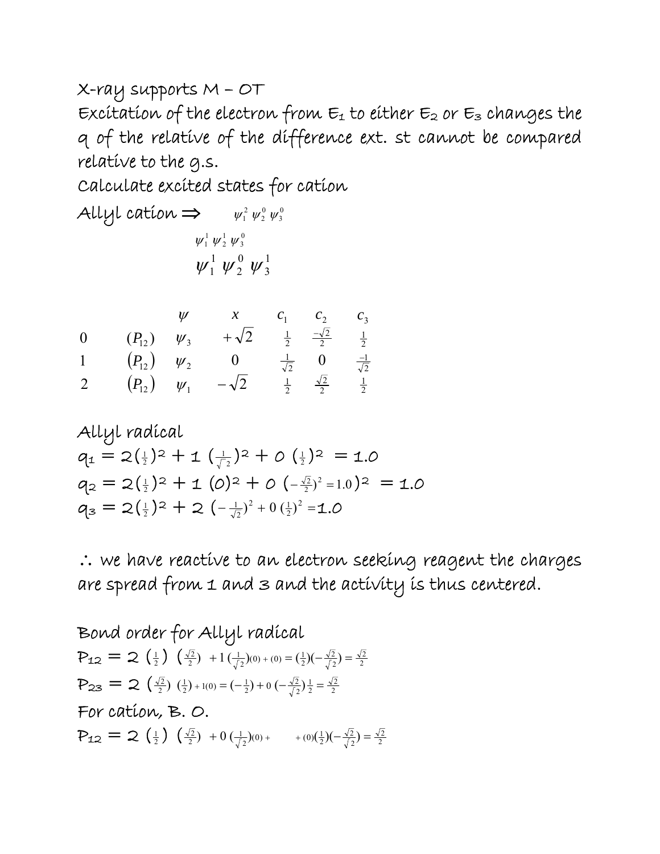X-ray supports M – OT Excitation of the electron from  $E_1$  to either  $E_2$  or  $E_3$  changes the q of the relative of the difference ext. st cannot be compared relative to the g.s.

Calculate excited states for cation

Allyl cation  $\Rightarrow$   $w_1^2 w_2^0 w_3^0$ 0  $\psi_1^2$   $\psi_2^0$   $\psi_3^0$  $\psi_1^1 \psi_2^1 \psi_3^0$ 1  $\psi_1^1 \ \psi_2^1 \ \psi_3^0$  $\overline{\psi}^1_1 \overline{\psi}^0_2 \overline{\psi}^1_3$ 0  $\psi_1^1 \psi_2^0 \psi_3^1$ 

|                        |                     | $\mathcal{X}$                   | $c_1$ $c_2$ $c_3$                                 |                                                  |  |
|------------------------|---------------------|---------------------------------|---------------------------------------------------|--------------------------------------------------|--|
| $\overline{0}$         | $(P_{12})$ $\Psi_3$ | $+\sqrt{2}$                     | $\frac{1}{2}$ $\frac{-\sqrt{2}}{2}$ $\frac{1}{2}$ |                                                  |  |
| $1 \quad \blacksquare$ | $(P_{12})$ $W_2$    | $\begin{matrix} 0 \end{matrix}$ |                                                   | $\frac{1}{\sqrt{2}}$ 0 $\frac{-1}{\sqrt{2}}$     |  |
| 2                      |                     | $(P_{12})$ $\psi_1$ $-\sqrt{2}$ |                                                   | $\frac{1}{2}$ $\frac{\sqrt{2}}{2}$ $\frac{1}{2}$ |  |

Allyl radical

\n
$$
q_1 = 2\left(\frac{1}{2}\right)^2 + 1\left(\frac{1}{\sqrt{2}}\right)^2 + 0\left(\frac{1}{2}\right)^2 = 1.0
$$
\n
$$
q_2 = 2\left(\frac{1}{2}\right)^2 + 1\left(\frac{1}{\sqrt{2}}\right)^2 + 0\left(-\frac{\sqrt{2}}{2}\right)^2 = 1.0
$$
\n
$$
q_3 = 2\left(\frac{1}{2}\right)^2 + 2\left(-\frac{1}{\sqrt{2}}\right)^2 + 0\left(\frac{1}{2}\right)^2 = 1.0
$$

∴ we have reactive to an electron seeking reagent the charges are spread from 1 and 3 and the activity is thus centered.

Bond order for Allyl radical  $P_{12} = 2\left(\frac{1}{2}\right)\left(\frac{\sqrt{2}}{2}\right) + 1\left(\frac{1}{\sqrt{2}}\right)(0) + (0) = \left(\frac{1}{2}\right)\left(-\frac{\sqrt{2}}{\sqrt{2}}\right) = \frac{\sqrt{2}}{2}$ 2 2  $\frac{1}{2}$ 2  $\frac{\sqrt{2}}{2}$  + 1  $\left(\frac{1}{\sqrt{2}}\right)(0) + (0) = \left(\frac{1}{2}\right)\left(-\frac{\sqrt{2}}{\sqrt{2}}\right) = \frac{\sqrt{2}}{2}$  $P_{23} = 2\left(\frac{\sqrt{2}}{2}\right)(\frac{1}{2})+1(0) = (-\frac{1}{2})+0\left(-\frac{\sqrt{2}}{\sqrt{2}}\right)\frac{1}{2} = \frac{\sqrt{2}}{2}$  $\frac{1}{2}$ 2 2  $\frac{\sqrt{2}}{2}$ )  $(\frac{1}{2}) + 1(0) = (-\frac{1}{2}) + 0 \left(-\frac{\sqrt{2}}{\sqrt{2}}\right) \frac{1}{2} = \frac{\sqrt{2}}{2}$ For cation, B. O.  $P_{12} = 2 \left(\frac{1}{2}\right) \left(\frac{\sqrt{2}}{2}\right) + 0 \left(\frac{1}{\sqrt{2}}\right)(0) + \qquad +(0)(\frac{1}{2})(-\frac{\sqrt{2}}{\sqrt{2}}) = \frac{\sqrt{2}}{2}$ 2 2  $\frac{1}{2}$ 2  $\frac{\sqrt{2}}{2}$  + 0  $\left(\frac{1}{\sqrt{2}}\right)(0)$  +  $+ (0)\left(\frac{1}{2}\right)\left(-\frac{\sqrt{2}}{\sqrt{2}}\right) = \frac{\sqrt{2}}{2}$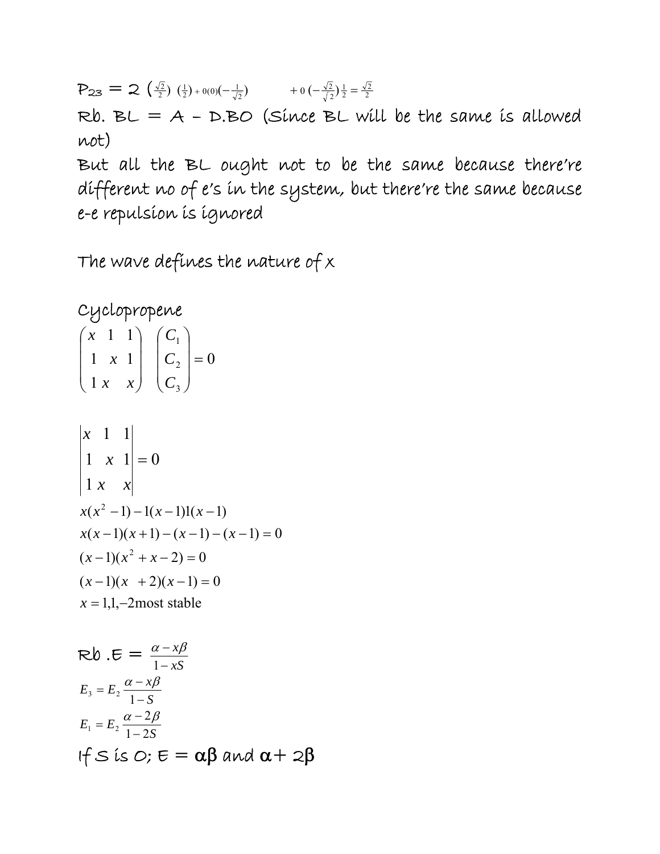$P_{23} = 2 \left( \frac{\sqrt{2}}{2} \right) \left( \frac{1}{2} \right) + 0(0) \left( - \frac{1}{\sqrt{2}} \right) \qquad + 0 \left( - \frac{\sqrt{2}}{\sqrt{2}} \right) \frac{1}{2} = \frac{\sqrt{2}}{2}$  $\frac{1}{2}$ 2 2 2  $\frac{\sqrt{2}}{2}$ )  $(\frac{1}{2}) + 0(0)(-\frac{1}{\sqrt{2}})$  + 0  $(-\frac{\sqrt{2}}{\sqrt{2}})$   $\frac{1}{2} = \frac{\sqrt{2}}{2}$ 

 $Rb. B L = A - D.BO$  (Since  $B L$  will be the same is allowed not)

But all the BL ought not to be the same because there're different no of e's in the system, but there're the same because e-e repulsion is ignored

The wave defines the nature of  $x$ 

Cyclopropene

$$
\begin{pmatrix} x & 1 & 1 \ 1 & x & 1 \ 1 & x & x \end{pmatrix} \begin{pmatrix} C_1 \\ C_2 \\ C_3 \end{pmatrix} = 0
$$

$$
\begin{vmatrix} x & 1 & 1 \ 1 & x & 1 \ 1 & x & x \end{vmatrix} = 0
$$
  
x(x<sup>2</sup> - 1) - 1(x-1)1(x-1)  
x(x-1)(x+1) - (x-1) - (x-1) = 0  
(x-1)(x<sup>2</sup> + x-2) = 0  
(x-1)(x + 2)(x-1) = 0  
x = 1,1,-2most stable

$$
\begin{aligned}\n\mathcal{R}b \cdot \mathcal{E} &= \frac{\alpha - x\beta}{1 - xS} \\
E_3 &= E_2 \frac{\alpha - x\beta}{1 - S} \\
E_1 &= E_2 \frac{\alpha - 2\beta}{1 - 2S} \\
\text{If } S \text{ is } O; E = \alpha\beta \text{ and } \alpha + 2\beta\n\end{aligned}
$$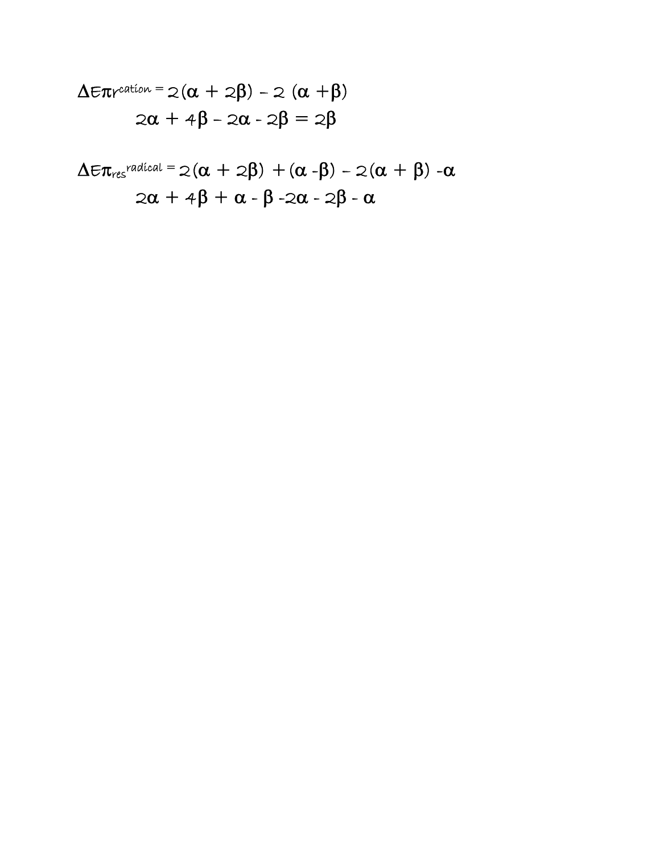$$
\Delta \epsilon \pi r^{\text{cation}} = 2(\alpha + 2\beta) - 2(\alpha + \beta)
$$
  

$$
2\alpha + 4\beta - 2\alpha - 2\beta = 2\beta
$$

$$
\Delta \epsilon \pi_{res}^{radical} = 2(\alpha + 2\beta) + (\alpha - \beta) - 2(\alpha + \beta) - \alpha
$$
  
2\alpha + 4\beta + \alpha - \beta - 2\alpha - 2\beta - \alpha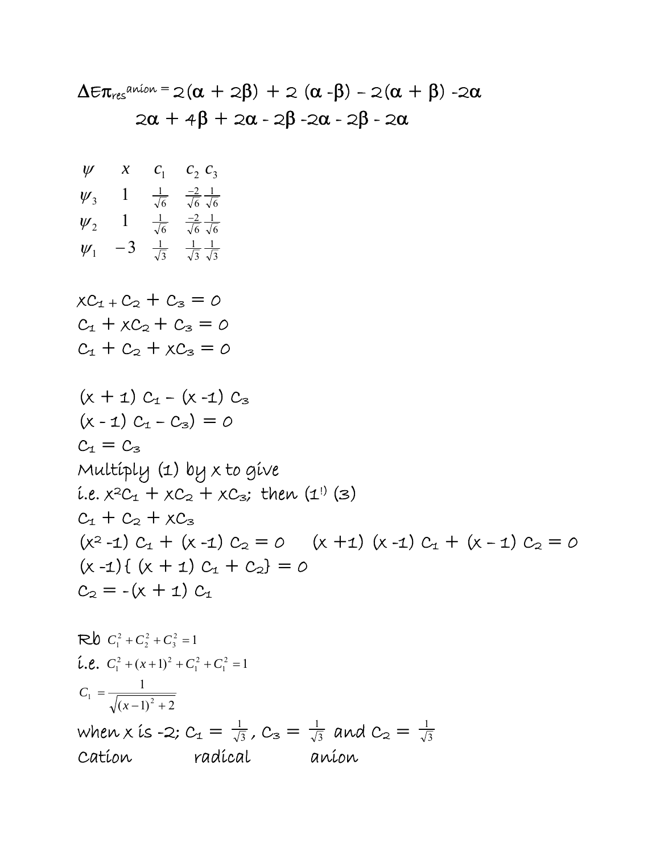$\Delta \varepsilon \pi_{res}$ <sup>aníon =</sup> 2(α + 2β) + 2 (α -β) - 2(α + β) -2α 2α + 4β + 2α - 2β -2α - 2β - 2α

$$
\begin{array}{ccc}\n\psi & x & c_1 & c_2 & c_3 \\
\psi_3 & 1 & \frac{1}{\sqrt{6}} & \frac{-2}{\sqrt{6}} & \frac{1}{\sqrt{6}} \\
\psi_2 & 1 & \frac{1}{\sqrt{6}} & \frac{-2}{\sqrt{6}} & \frac{1}{\sqrt{6}} \\
\psi_1 & -3 & \frac{1}{\sqrt{3}} & \frac{1}{\sqrt{3}} & \frac{1}{\sqrt{3}} \\
\times C_4 + C_2 + C_3 = 0\n\end{array}
$$

$$
C_1 + C_2 + C_3 = 0
$$
  

$$
C_1 + \chi C_2 + C_3 = 0
$$
  

$$
C_1 + C_2 + \chi C_3 = 0
$$

$$
(x + 1) C_1 - (x - 1) C_3
$$
  
\n
$$
(x - 1) C_1 - C_3) = 0
$$
  
\n
$$
C_1 = C_3
$$
  
\nMultiply (1) by x to give  
\ni.e.  $x^2C_1 + xC_2 + xC_3$ ; then (1<sup>1</sup>) (3)  
\n
$$
C_1 + C_2 + xC_3
$$
  
\n
$$
(x^2 - 1) C_1 + (x - 1) C_2 = 0 \t (x + 1) (x - 1) C_1 + (x - 1) C_2 = 0
$$
  
\n
$$
(x - 1) { (x + 1) C_1 + C_2 } = 0
$$
  
\n
$$
C_2 = -(x + 1) C_1
$$

$$
\mathcal{R}b \ C_1^2 + C_2^2 + C_3^2 = 1
$$
\n
$$
\text{i.e. } C_1^2 + (x+1)^2 + C_1^2 + C_1^2 = 1
$$
\n
$$
C_1 = \frac{1}{\sqrt{(x-1)^2 + 2}}
$$
\n
$$
\text{when } x \text{ is } -2; C_1 = \frac{1}{\sqrt{3}}, C_2 = \frac{1}{\sqrt{3}} \text{ and } C_2 = \frac{1}{\sqrt{3}}
$$
\n
$$
\text{Caftion} \qquad \text{radical} \qquad \text{anion}
$$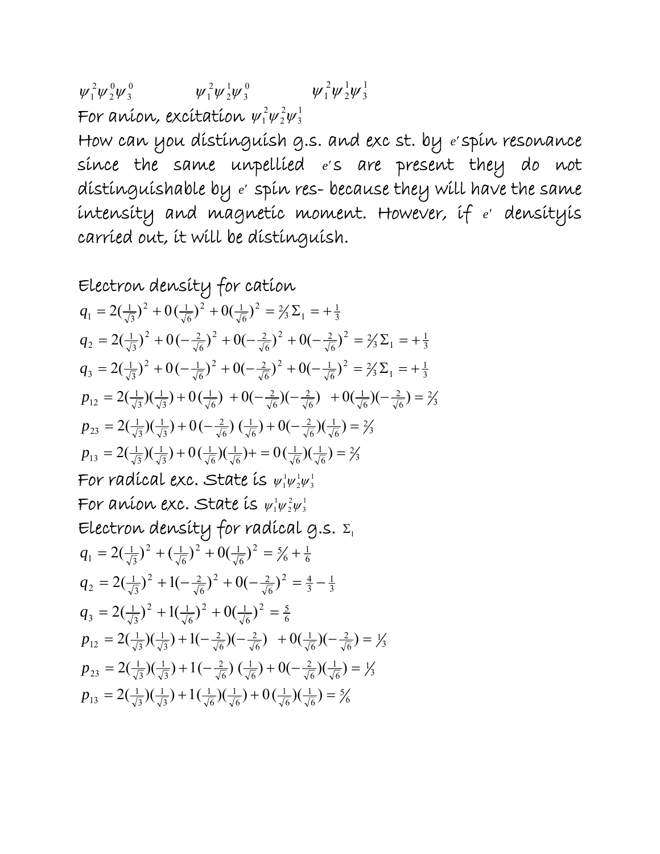$\psi_1^2 \psi_2^0 \psi_3^0$   $\psi_1^2 \psi_2^1 \psi_3^0$   $\psi_1^2 \psi_2^1 \psi_3^0$   $\psi_1^2 \psi_2^1 \psi_3^1$   $\psi_1^2 \psi_2^1 \psi_3^1$ For aníon, excítatíon  $\psi_1^2\psi_2^2\psi_3^1$   $\psi_1^2 \psi_2^2 \psi_3^1$ 

How can you distinguish g.s. and exc st. by *e*′spin resonance since the same unpellied *e*′s are present they do not distinguishable by *e*′ spin res- because they will have the same intensity and magnetic moment. However, if *e*′ densityis carried out, it will be distinguish.

Electron density for cation  
\n
$$
q_1 = 2(\frac{1}{\sqrt{3}})^2 + 0(\frac{1}{\sqrt{6}})^2 + 0(\frac{1}{\sqrt{6}})^2 = \frac{2}{3}\sum_1 = +\frac{1}{3}
$$
\n
$$
q_2 = 2(\frac{1}{\sqrt{3}})^2 + 0(-\frac{2}{\sqrt{6}})^2 + 0(-\frac{2}{\sqrt{6}})^2 + 0(-\frac{2}{\sqrt{6}})^2 = \frac{2}{3}\sum_1 = +\frac{1}{3}
$$
\n
$$
q_3 = 2(\frac{1}{\sqrt{3}})^2 + 0(-\frac{1}{\sqrt{6}})^2 + 0(-\frac{2}{\sqrt{6}})^2 + 0(-\frac{1}{\sqrt{6}})^2 = \frac{2}{3}\sum_1 = +\frac{1}{3}
$$
\n
$$
p_{12} = 2(\frac{1}{\sqrt{3}})(\frac{1}{\sqrt{3}}) + 0(\frac{1}{\sqrt{6}}) + 0(-\frac{2}{\sqrt{6}})(-\frac{2}{\sqrt{6}}) + 0(\frac{1}{\sqrt{6}})(-\frac{2}{\sqrt{6}}) = \frac{2}{3}
$$
\n
$$
p_{23} = 2(\frac{1}{\sqrt{3}})(\frac{1}{\sqrt{3}}) + 0(-\frac{2}{\sqrt{6}})(\frac{1}{\sqrt{6}}) + 0(-\frac{2}{\sqrt{6}})(\frac{1}{\sqrt{6}}) = \frac{2}{3}
$$
\n
$$
p_{13} = 2(\frac{1}{\sqrt{3}})(\frac{1}{\sqrt{3}}) + 0(\frac{1}{\sqrt{6}})(\frac{1}{\sqrt{6}}) + 0(-\frac{2}{\sqrt{6}})(\frac{1}{\sqrt{6}}) = \frac{2}{3}
$$
\nFor radical exc. State is  $\psi_1^1\psi_2^1\psi_3^1$   
\nFor aation exc. State is  $\psi_1^1\psi_2^2\psi_3^1$   
\nElectron density for radical g.s.  $\Sigma_1$   
\n
$$
q_1 = 2(\frac{1}{\sqrt{3}})^2 + (\frac{1}{\sqrt{6}})^2 + 0(\frac{2}{\sqrt{6}})^2 = \frac{4}{3} - \frac{1}{3}
$$
\n
$$
q_3 = 2(\frac{1}{\sqrt{3}}
$$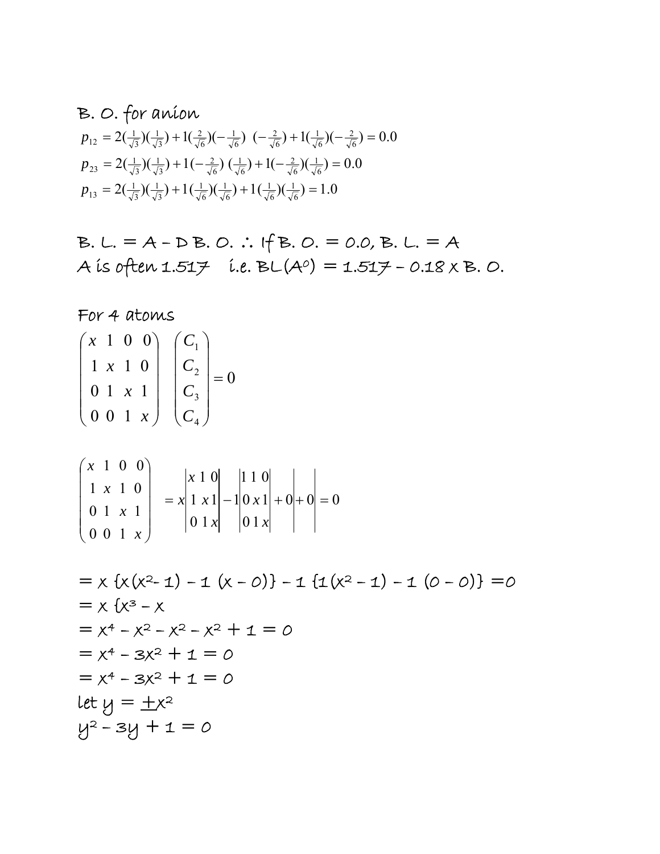#### B. O. for anion  $2(\frac{1}{\sqrt{3}})(\frac{1}{\sqrt{3}}) + 1(\frac{1}{\sqrt{6}})(\frac{1}{\sqrt{6}}) + 1(\frac{1}{\sqrt{6}})(\frac{1}{\sqrt{6}}) = 1.0$  $2(\frac{1}{\sqrt{3}})(\frac{1}{\sqrt{3}}) + 1(-\frac{2}{\sqrt{6}})(\frac{1}{\sqrt{6}}) + 1(-\frac{2}{\sqrt{6}})(\frac{1}{\sqrt{6}}) = 0.0$  $2(\frac{1}{\sqrt{3}})(\frac{1}{\sqrt{3}}) + 1(\frac{2}{\sqrt{6}})(-\frac{1}{\sqrt{6}})(-\frac{2}{\sqrt{6}}) + 1(\frac{1}{\sqrt{6}})(-\frac{2}{\sqrt{6}}) = 0.0$ 1 6 1 6 1 6 1 3 1 3 1  $p_{13} = 2(\frac{1}{\sqrt{3}})(\frac{1}{\sqrt{3}}) + 1(\frac{1}{\sqrt{6}})(\frac{1}{\sqrt{6}}) + 1(\frac{1}{\sqrt{6}})(\frac{1}{\sqrt{6}}) =$ 1 6 2 6 1 6 2 3 1 3 1  $p_{23} = 2(\frac{1}{\sqrt{3}})(\frac{1}{\sqrt{3}}) + 1(-\frac{2}{\sqrt{6}})(\frac{1}{\sqrt{6}}) + 1(-\frac{2}{\sqrt{6}})(\frac{1}{\sqrt{6}}) =$ 2 6 1 6 2 6 1 6 2 3 1 3 1  $p_{12} = 2(\frac{1}{\sqrt{3}})(\frac{1}{\sqrt{3}}) + 1(\frac{2}{\sqrt{6}})(-\frac{1}{\sqrt{6}})(-\frac{2}{\sqrt{6}}) + 1(\frac{1}{\sqrt{6}})(-\frac{2}{\sqrt{6}}) =$

B. L. = A – D B. O. ∴ If B. O. = 0.0, B. L. = A A is often 1.517 i.e.  $BL(A^o) = 1.517 - 0.18 \times B$ . O.

For 4 atoms

0 0 0 1  $0 1 x 1$  $1 x 1 0$ 1 0 0 4 3 2 1 =  $\vert$  $\overline{\phantom{a}}$  $\overline{\phantom{a}}$  $\overline{\phantom{a}}$  $\overline{\phantom{a}}$ ⎠ ⎞  $\mathsf I$  $\mathsf{L}$  $\mathsf{L}$  $\mathsf{L}$  $\mathsf{L}$ ⎝  $\big($  $\sqrt{2}$  $\overline{\phantom{a}}$  $\overline{\phantom{a}}$  $\overline{\phantom{a}}$ ⎠ ⎞  $\overline{\phantom{a}}$  $\mathsf{L}$  $\mathsf{L}$  $\mathsf{L}$ ⎝  $\big($ *C C C C x x x x*

$$
\begin{pmatrix} x & 1 & 0 & 0 \ 1 & x & 1 & 0 \ 0 & 1 & x & 1 \ 0 & 0 & 1 & x \end{pmatrix} = x \begin{vmatrix} x & 1 & 0 \ 1 & x & 1 \ 0 & 1 & x \end{vmatrix} - 1 \begin{vmatrix} 1 & 1 & 0 \ 0 & x & 1 \ 0 & 1 & x \end{vmatrix} + 0 \begin{vmatrix} + & 0 \ 0 & 0 \end{vmatrix} = 0
$$

$$
= x \{x(x^{2}-1) - 1 (x - 0)\} - 1 \{1(x^{2}-1) - 1 (0 - 0)\} = 0
$$
  
= x \{x^{3}-x  
= x^{4}-x^{2}-x^{2}-x^{2}+1=0  
= x^{4}-3x^{2}+1=0  
= x^{4}-3x^{2}+1=0  
let y = \pm x^{2}  
y^{2}-3y + 1=0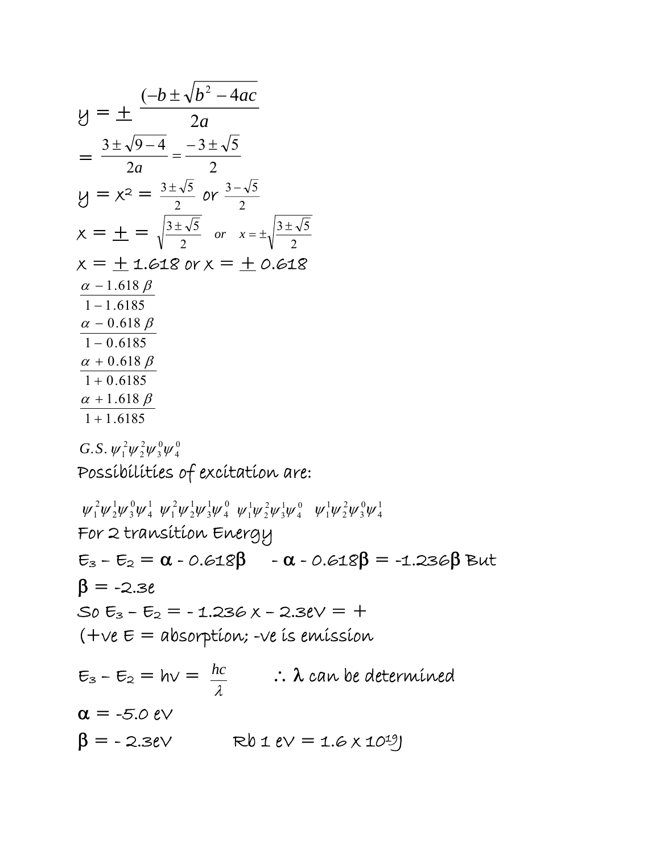$$
y = \pm \frac{(-b \pm \sqrt{b^2 - 4ac})}{2a}
$$
  
\n
$$
= \frac{3 \pm \sqrt{9 - 4}}{2a} = \frac{-3 \pm \sqrt{5}}{2}
$$
  
\n
$$
y = x^2 = \frac{3 \pm \sqrt{5}}{2} \text{ or } \frac{3 - \sqrt{5}}{2}
$$
  
\n
$$
x = \pm \sqrt{\frac{3 \pm \sqrt{5}}{2}} \text{ or } x = \pm \sqrt{\frac{3 \pm \sqrt{5}}{2}}
$$
  
\n
$$
x = \pm 1.618 \text{ or } x = \pm 0.618
$$
  
\n
$$
\frac{\alpha - 1.618 \beta}{1 - 1.6185}
$$
  
\n
$$
\frac{\alpha - 0.618 \beta}{1 - 0.6185}
$$
  
\n
$$
\frac{\alpha + 0.618 \beta}{1 + 0.6185}
$$
  
\n
$$
\frac{\alpha + 1.618 \beta}{1 + 1.6185}
$$
  
\n
$$
G.S. \psi_1^2 \psi_2^2 \psi_3^0 \psi_4^0
$$
  
\n
$$
Poss. \psi_1^2 \psi_2^1 \psi_3^0 \psi_4^1 \psi_4^2 \psi_5^1 \psi_4^1 \psi_4^1 \psi_2^1 \psi_3^1 \psi_4^1 \psi_4^1 \psi_4^1 \psi_4^1 \psi_4^1 \psi_4^1 \psi_4^1 \psi_4^1 \psi_4^1 \psi_4^1 \psi_4^1 \psi_4^1 \psi_4^1 \psi_4^1 \psi_4^1 \psi_4^1 \psi_4^1 \psi_4^1 \psi_4^1 \psi_4^1 \psi_4^1 \psi_4^1 \psi_4^1 \psi_4^1 \psi_4^1 \psi_4^1 \psi_4^1 \psi_4^1 \psi_4^1 \psi_4^1 \psi_4^1 \psi_4^1 \psi_4^1 \psi_4^1 \psi_4^1 \psi_4^1 \psi_4^1 \psi_4^1 \psi_4^1 \psi_4^1 \psi_4^1 \psi_4^1 \psi_4^1 \psi_4^1 \psi_4^1 \psi_4^1 \psi_4^1 \psi_4^1 \psi_4^1 \psi_4
$$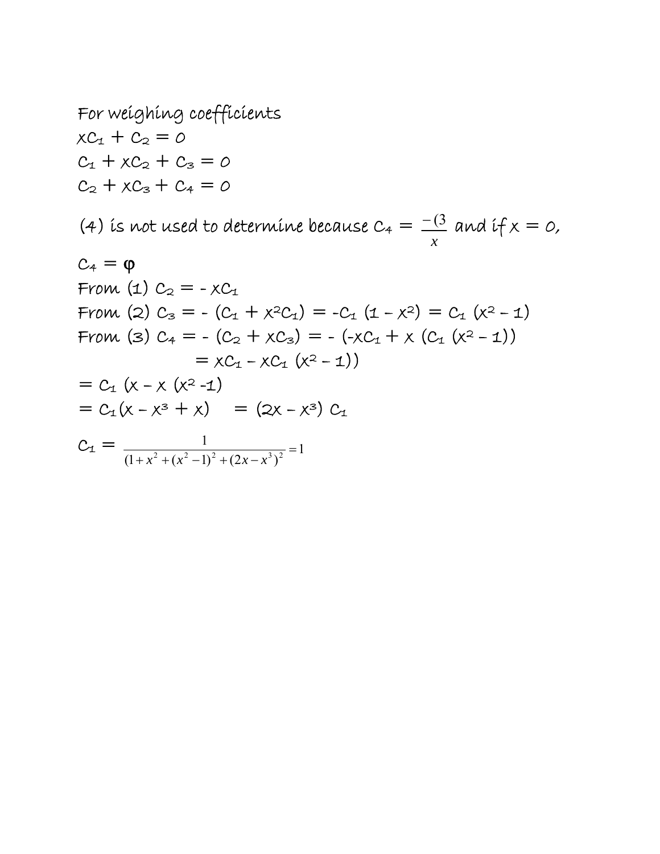For weighing coefficients  $xC_1 + C_2 = 0$  $C_1 + \chi C_2 + C_3 = 0$  $C_2 + \chi C_3 + C_4 = 0$ 

(4) is not used to determine because  $C_4 =$ *x*  $\frac{-(3)}{2}$  and if  $x = 0$ ,

$$
C_4 = \varphi
$$
  
From (1)  $C_2 = -\chi C_1$   
From (2)  $C_3 = - (C_1 + \chi^2 C_1) = -C_1 (1 - \chi^2) = C_1 (\chi^2 - 1)$   
From (3)  $C_4 = - (C_2 + \chi C_3) = - (-\chi C_1 + \chi (C_1 (\chi^2 - 1)))$   
 $= \chi C_1 - \chi C_1 (\chi^2 - 1)$   
 $= C_1 (\chi - \chi^3 + \chi) = (2\chi - \chi^3) C_1$   
 $C_1 = \frac{1}{(1 + \chi^2 + (\chi^2 - 1)^2 + (2\chi - \chi^3)^2} = 1$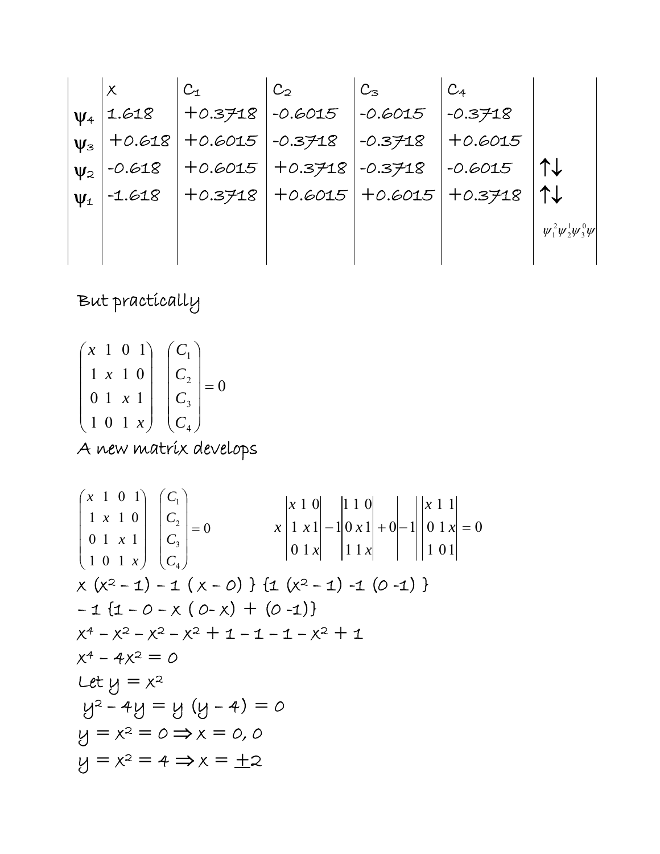|            |             | $C_1$                       | $C_{2}$ | $C_{3}$     | $C_{4}$                               |                                   |
|------------|-------------|-----------------------------|---------|-------------|---------------------------------------|-----------------------------------|
| $\Psi_4$   | 1.618       | +0.3718   -0.6015           |         | $ -0.6015 $ | $-0.3718$                             |                                   |
| $\Psi_{3}$ |             | +0.618   +0.6015   -0.3718  |         | $-0.3718$   | $+0.6015$                             |                                   |
| $\Psi_2$   | $  -0.618 $ | +0.6015   +0.3718   -0.3718 |         |             | $-.6015$                              |                                   |
| $\Psi_1$   | $ -1.618$   |                             |         |             | +0.3718   +0.6015   +0.6015   +0.3718 |                                   |
|            |             |                             |         |             |                                       | $\psi_1^2 \psi_2^1 \psi_3^0 \psi$ |
|            |             |                             |         |             |                                       |                                   |

But practically

$$
\begin{pmatrix} x & 1 & 0 & 1 \ 1 & x & 1 & 0 \ 0 & 1 & x & 1 \ 1 & 0 & 1 & x \end{pmatrix} \begin{pmatrix} C_1 \ C_2 \ C_3 \ C_4 \end{pmatrix} = 0
$$

A new matrix develops

$$
\begin{pmatrix}\nx & 1 & 0 & 1 \\
1 & x & 1 & 0 \\
0 & 1 & x & 1 \\
1 & 0 & 1 & x\n\end{pmatrix}\n\begin{pmatrix}\nC_1 \\
C_2 \\
C_3 \\
C_4\n\end{pmatrix} = 0\n\begin{pmatrix}\nx & 1 & 0 \\
1 & x & 1 \\
0 & 1 & x\n\end{pmatrix}\n\begin{pmatrix}\nx & 1 & 1 \\
0 & x & 1 \\
1 & 1 & x\n\end{pmatrix} + 0 - 1\n\begin{pmatrix}\nx & 1 & 1 \\
0 & 1 & x \\
1 & 0 & 1\n\end{pmatrix} = 0
$$
\n
$$
\begin{pmatrix}\nx & 1 & 0 \\
C_2 & C_3 & C_4\n\end{pmatrix} = 0\n\begin{pmatrix}\nx & 1 & 0 \\
1 & x & 1 \\
0 & 1 & x\n\end{pmatrix}\n\begin{pmatrix}\nx & 1 & 1 \\
1 & 0 & 1\n\end{pmatrix} = 0
$$
\n
$$
\begin{pmatrix}\nx & 1 & 0 \\
C_2 & C_3 & C_4\n\end{pmatrix} = 0\n\begin{pmatrix}\nx & 1 & 0 \\
C_4 & C_5 & C_6\n\end{pmatrix} + 1\n\begin{pmatrix}\nx & 1 & 1 \\
1 & x & 1\n\end{pmatrix} = 0\n\begin{pmatrix}\nx & 1 & 1 \\
0 & 1 & x\n\end{pmatrix} = 0
$$
\n
$$
\begin{pmatrix}\nx & 1 & 0 \\
C_5 & C_6 & C_7\n\end{pmatrix} = 0\n\begin{pmatrix}\nx & 1 & 0 \\
1 & x & 1\n\end{pmatrix} + 1\n\begin{pmatrix}\nx & 1 & 1 \\
0 & 1 & x\n\end{pmatrix} = 0
$$
\n
$$
\begin{pmatrix}\nx & 1 & 0 \\
C_2 & C_3 & C_4\n\end{pmatrix} = 0\n\begin{pmatrix}\nx & 1 & 0 \\
C_4 & C_5 & C_6\n\end{pmatrix} = 0\n\begin{pmatrix}\nx & 1 & 0 \\
C_5 & C_6 & C_7\n\end{pmatrix} + 1\n\begin{pmatrix}\nx & 1 & 0 \\
0 & 1 & x\n\end{pmatrix} = 0\n\begin{pmatrix}\nx & 1 & 0 \\
C_6 & C_7 & C_8\n\end{pmatrix} = 0\n\begin{pmatrix}\nx & 1 & 0 \\
C_
$$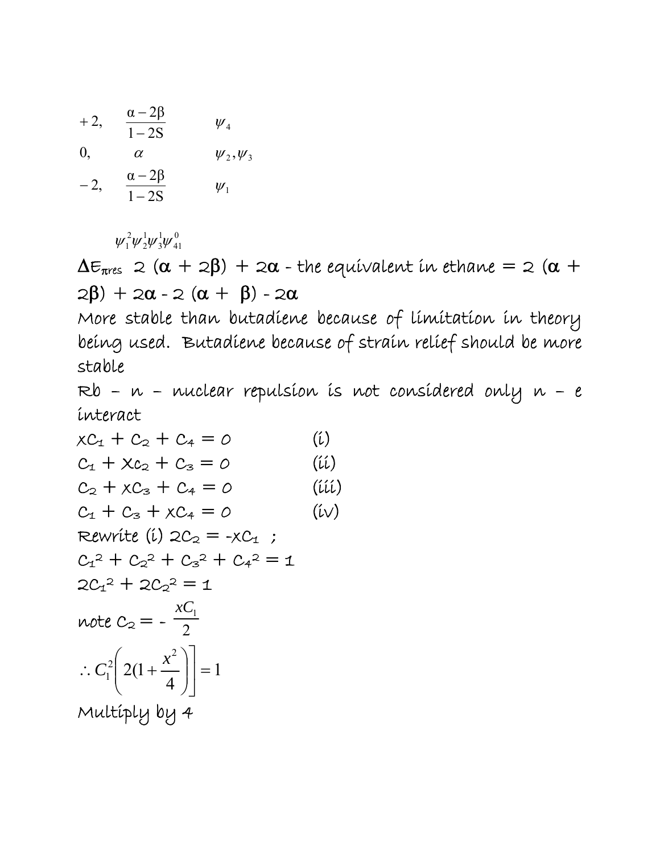$\psi_1$  $\psi_2, \psi_3$  $\psi_4$  $1 - 2S$ 2,  $\frac{\alpha-2\beta}{\alpha}$ 0,  $\alpha$   $\psi_2, \psi$  $1 - 2S$ 2,  $\frac{\alpha-2\beta}{\alpha}$ −  $-2, \quad \frac{\alpha -}{}$ −  $+2, \quad \frac{\alpha -}{}$ 

> 0 41 1 3 1 2 2  $\psi_1 \psi_2 \psi_3 \psi$

 $\Delta \epsilon_{\pi res}$  2  $(\alpha + 2\beta)$  + 2 $\alpha$  - the equivalent in ethane = 2  $(\alpha + 1)$  $2\beta$ ) + 2α - 2 (α +  $\beta$ ) - 2α

More stable than butadiene because of limitation in theory being used. Butadiene because of strain relief should be more stable

 $Rb - n$  – nuclear repulsion is not considered only  $n - e$ interact

 $\chi C_1 + C_2 + C_4 = 0$  (i)  $C_1 + Xc_2 + C_3 = 0$  (ii)  $C_2 + \chi C_3 + C_4 = 0$  (iii)  $C_1 + C_3 + \chi C_4 = 0$  (iv) Rewrite (i)  $2C_2 = -XC_1$ ;  $C_1^2 + C_2^2 + C_3^2 + C_4^2 = 1$  $2C_1^2 + 2C_2^2 = 1$  $\omega_0 = -\frac{xC_1}{2}$ 1 4 2(1 2  $\binom{1}{1} 2(1+\frac{x}{4})$  = ⎦  $\overline{\phantom{a}}$  $\sqrt{2}$ ⎠  $\setminus$  $\overline{\phantom{a}}$ ⎝  $\sqrt{}$  $\therefore C_1^2 | 2(1 +$  $C_1^2\left(2(1+\frac{x^2}{4})\right)=1$ Multiply by 4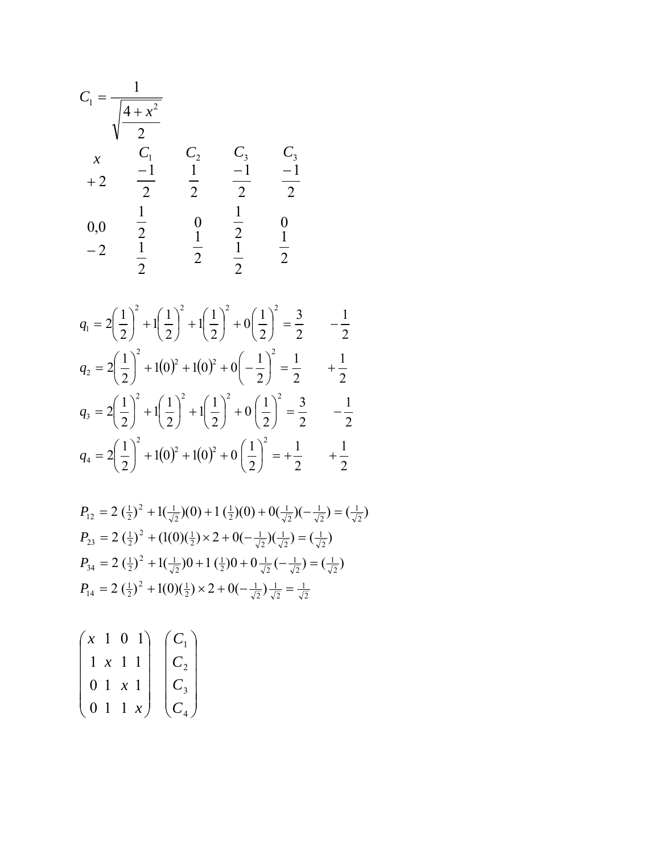$$
C_1 = \frac{1}{\sqrt{\frac{4 + x^2}{2}}}
$$
  
\nx  $C_1$   $C_2$   $C_3$   $C_3$   
\n+2  $\frac{-1}{2}$   $\frac{1}{2}$   $\frac{-1}{2}$   $\frac{-1}{2}$   
\n0,0  $\frac{1}{2}$  0  $\frac{1}{2}$  0  
\n-2  $\frac{1}{2}$   $\frac{1}{2}$   $\frac{1}{2}$   $\frac{1}{2}$   
\n2  $\frac{1}{2}$   $\frac{1}{2}$   $\frac{1}{2}$ 

$$
q_1 = 2\left(\frac{1}{2}\right)^2 + 1\left(\frac{1}{2}\right)^2 + 1\left(\frac{1}{2}\right)^2 + 0\left(\frac{1}{2}\right)^2 = \frac{3}{2} \qquad -\frac{1}{2}
$$
  
\n
$$
q_2 = 2\left(\frac{1}{2}\right)^2 + 1(0)^2 + 1(0)^2 + 0\left(-\frac{1}{2}\right)^2 = \frac{1}{2} \qquad +\frac{1}{2}
$$
  
\n
$$
q_3 = 2\left(\frac{1}{2}\right)^2 + 1\left(\frac{1}{2}\right)^2 + 1\left(\frac{1}{2}\right)^2 + 0\left(\frac{1}{2}\right)^2 = \frac{3}{2} \qquad -\frac{1}{2}
$$
  
\n
$$
q_4 = 2\left(\frac{1}{2}\right)^2 + 1(0)^2 + 1(0)^2 + 0\left(\frac{1}{2}\right)^2 = +\frac{1}{2} \qquad +\frac{1}{2}
$$

$$
P_{12} = 2 \left(\frac{1}{2}\right)^2 + 1\left(\frac{1}{\sqrt{2}}\right)(0) + 1\left(\frac{1}{2}\right)(0) + 0\left(\frac{1}{\sqrt{2}}\right)\left(-\frac{1}{\sqrt{2}}\right) = \left(\frac{1}{\sqrt{2}}\right)
$$
\n
$$
P_{23} = 2 \left(\frac{1}{2}\right)^2 + (1(0)\left(\frac{1}{2}\right) \times 2 + 0\left(-\frac{1}{\sqrt{2}}\right)\left(\frac{1}{\sqrt{2}}\right) = \left(\frac{1}{\sqrt{2}}\right)
$$
\n
$$
P_{34} = 2 \left(\frac{1}{2}\right)^2 + 1\left(\frac{1}{\sqrt{2}}\right)0 + 1\left(\frac{1}{2}\right)0 + 0\frac{1}{\sqrt{2}}\left(-\frac{1}{\sqrt{2}}\right) = \left(\frac{1}{\sqrt{2}}\right)
$$
\n
$$
P_{14} = 2 \left(\frac{1}{2}\right)^2 + 1(0)\left(\frac{1}{2}\right) \times 2 + 0\left(-\frac{1}{\sqrt{2}}\right)\frac{1}{\sqrt{2}} = \frac{1}{\sqrt{2}}
$$

$$
\begin{pmatrix} x & 1 & 0 & 1 \ 1 & x & 1 & 1 \ 0 & 1 & x & 1 \ 0 & 1 & 1 & x \end{pmatrix} \begin{pmatrix} C_1 \ C_2 \ C_3 \ C_4 \end{pmatrix}
$$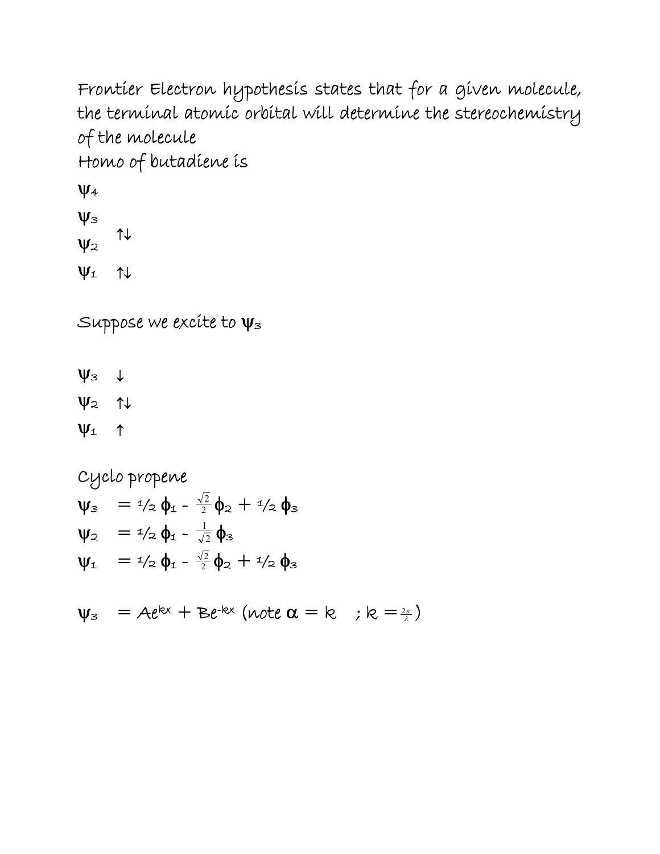```
Frontier Electron hypothesis states that for a given molecule, 
the terminal atomic orbital will determine the stereochemistry 
of the molecule 
Homo of butadiene is 
ψ4
\Psi_3\Psi<sub>2</sub>
     ↑↓ 
\Psi_1 ↑↓
Suppose we excite to ψ3
\Psi_3 ↓
ψ2 ↑↓
```
 $\Psi_1$  ↑

Cyclo propene  
\n
$$
\Psi_3 = \frac{1}{2} \phi_1 - \frac{\sqrt{2}}{2} \phi_2 + \frac{1}{2} \phi_3
$$
\n
$$
\Psi_2 = \frac{1}{2} \phi_1 - \frac{1}{\sqrt{2}} \phi_3
$$
\n
$$
\Psi_1 = \frac{1}{2} \phi_1 - \frac{\sqrt{2}}{2} \phi_2 + \frac{1}{2} \phi_3
$$

 $\psi_3$  = Ae<sup>kx</sup> + Be<sup>-kx</sup> (note  $\alpha = k$  ;  $k = \frac{2\pi}{\lambda}$ )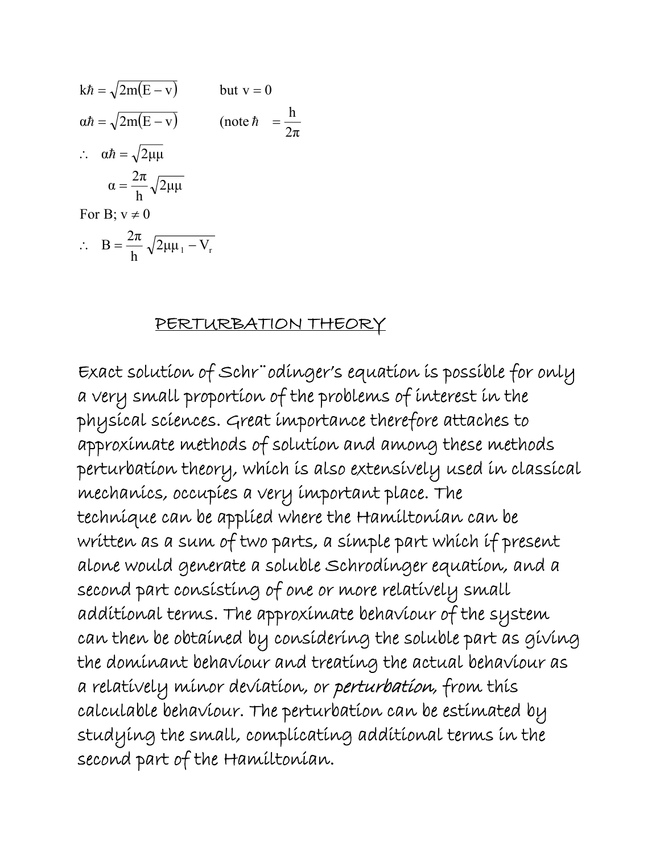$k \hbar = \sqrt{2m(E - v)}$  but  $v = 0$  $\alpha \hbar = \sqrt{2m(E - v)}$  (note  $\hbar$  = For B;  $v \neq 0$  $\frac{2\pi}{h}$  $\sqrt{2}$ μμ 2π  $\alpha =$  $\therefore$   $\alpha \hbar = \sqrt{2\mu\mu}$ 2π h

$$
\therefore B = \frac{2\pi}{h} \sqrt{2\mu\mu_1 - V_r}
$$

### PERTURBATION THEORY

Exact solution of Schr¨odinger's equation is possible for only a very small proportion of the problems of interest in the physical sciences. Great importance therefore attaches to approximate methods of solution and among these methods perturbation theory, which is also extensively used in classical mechanics, occupies a very important place. The technique can be applied where the Hamiltonian can be written as a sum of two parts, a simple part which if present alone would generate a soluble Schrodinger equation, and a second part consisting of one or more relatively small additional terms. The approximate behaviour of the system can then be obtained by considering the soluble part as giving the dominant behaviour and treating the actual behaviour as a relatively minor deviation, or perturbation, from this calculable behaviour. The perturbation can be estimated by studying the small, complicating additional terms in the second part of the Hamiltonian.